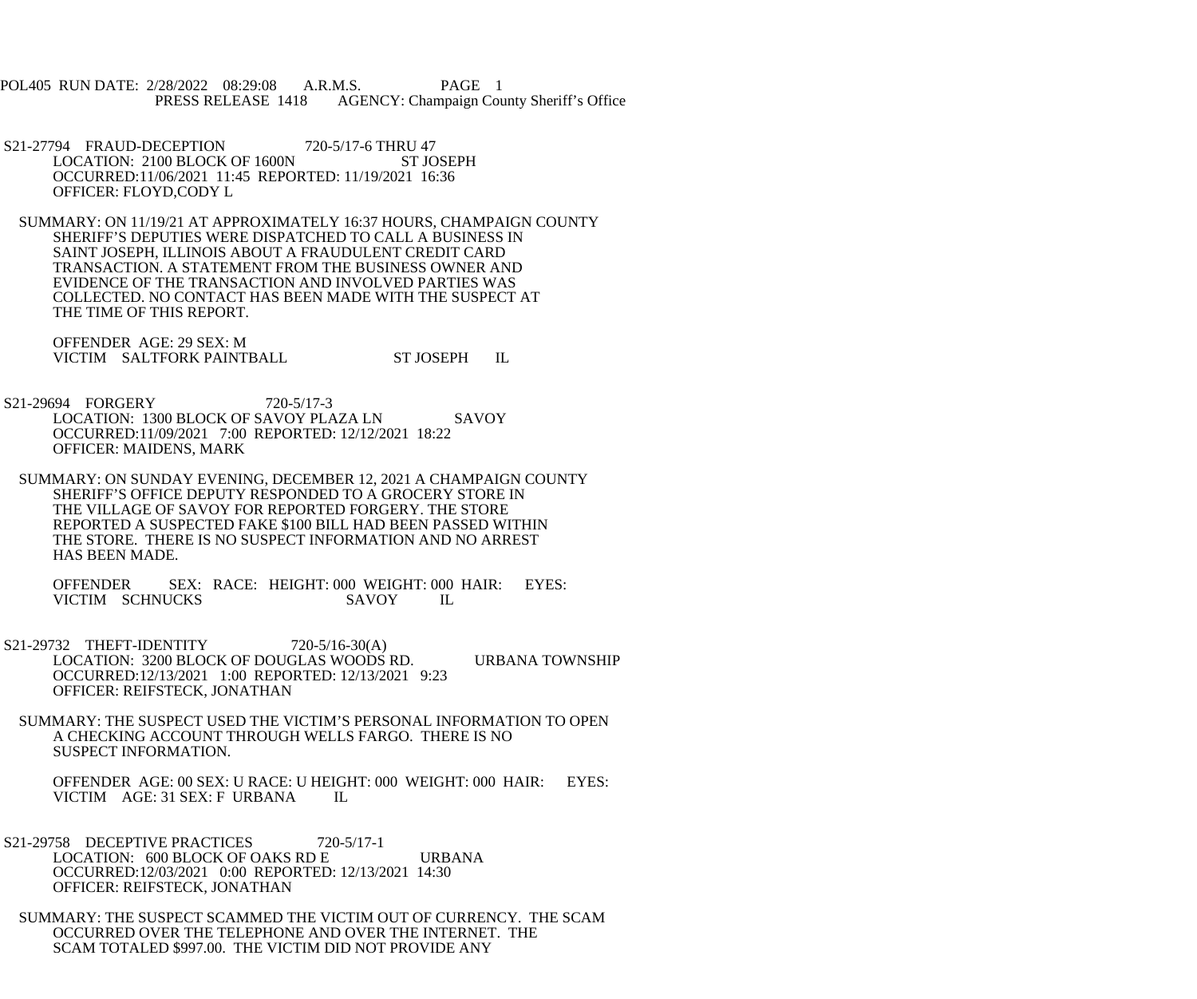POL405 RUN DATE: 2/28/2022 08:29:08 A.R.M.S. PAGE 1 PRESS RELEASE 1418 AGENCY: Champaign County Sheriff's Office

- S21-27794 FRAUD-DECEPTION 720-5/17-6 THRU 47 LOCATION: 2100 BLOCK OF 1600N ST JOSEPH OCCURRED:11/06/2021 11:45 REPORTED: 11/19/2021 16:36 OFFICER: FLOYD,CODY L
- SUMMARY: ON 11/19/21 AT APPROXIMATELY 16:37 HOURS, CHAMPAIGN COUNTY SHERIFF'S DEPUTIES WERE DISPATCHED TO CALL A BUSINESS IN SAINT JOSEPH, ILLINOIS ABOUT A FRAUDULENT CREDIT CARD TRANSACTION. A STATEMENT FROM THE BUSINESS OWNER AND EVIDENCE OF THE TRANSACTION AND INVOLVED PARTIES WAS COLLECTED. NO CONTACT HAS BEEN MADE WITH THE SUSPECT AT THE TIME OF THIS REPORT.

 OFFENDER AGE: 29 SEX: M VICTIM SALTFORK PAINTBALL ST JOSEPH IL

- S21-29694 FORGERY 720-5/17-3 LOCATION: 1300 BLOCK OF SAVOY PLAZA LN SAVOY OCCURRED:11/09/2021 7:00 REPORTED: 12/12/2021 18:22 OFFICER: MAIDENS, MARK
- SUMMARY: ON SUNDAY EVENING, DECEMBER 12, 2021 A CHAMPAIGN COUNTY SHERIFF'S OFFICE DEPUTY RESPONDED TO A GROCERY STORE IN THE VILLAGE OF SAVOY FOR REPORTED FORGERY. THE STORE REPORTED A SUSPECTED FAKE \$100 BILL HAD BEEN PASSED WITHIN THE STORE. THERE IS NO SUSPECT INFORMATION AND NO ARREST HAS BEEN MADE.

 OFFENDER SEX: RACE: HEIGHT: 000 WEIGHT: 000 HAIR: EYES: VICTIM SCHNUCKS SAVOY IL

- S21-29732 THEFT-IDENTITY 720-5/16-30(A) LOCATION: 3200 BLOCK OF DOUGLAS WOODS RD. URBANA TOWNSHIP OCCURRED:12/13/2021 1:00 REPORTED: 12/13/2021 9:23 OFFICER: REIFSTECK, JONATHAN
- SUMMARY: THE SUSPECT USED THE VICTIM'S PERSONAL INFORMATION TO OPEN A CHECKING ACCOUNT THROUGH WELLS FARGO. THERE IS NO SUSPECT INFORMATION.

OFFENDER AGE: 00 SEX: U RACE: U HEIGHT: 000 WEIGHT: 000 HAIR: EYES: VICTIM AGE: 31 SEX: F URBANA VICTIM AGE: 31 SEX: F URBANA

- S21-29758 DECEPTIVE PRACTICES 720-5/17-1 LOCATION: 600 BLOCK OF OAKS RD E URBANA OCCURRED:12/03/2021 0:00 REPORTED: 12/13/2021 14:30 OFFICER: REIFSTECK, JONATHAN
- SUMMARY: THE SUSPECT SCAMMED THE VICTIM OUT OF CURRENCY. THE SCAM OCCURRED OVER THE TELEPHONE AND OVER THE INTERNET. THE SCAM TOTALED \$997.00. THE VICTIM DID NOT PROVIDE ANY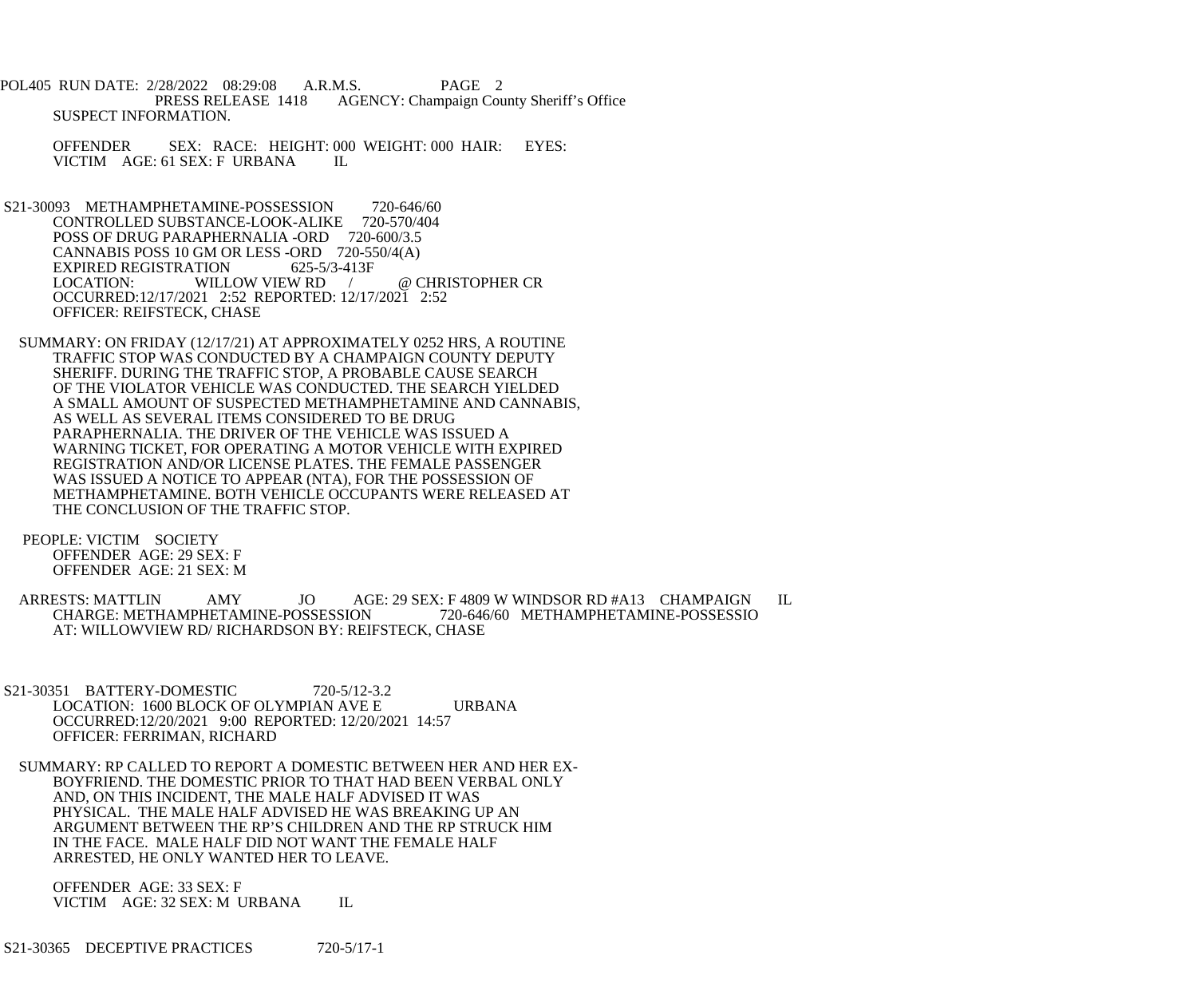POL405 RUN DATE: 2/28/2022 08:29:08 A.R.M.S. PAGE 2 PRESS RELEASE 1418 AGENCY: Champaign County Sheriff's Office SUSPECT INFORMATION.

 OFFENDER SEX: RACE: HEIGHT: 000 WEIGHT: 000 HAIR: EYES: VICTIM AGE: 61 SEX: F URBANA IL

S21-30093 METHAMPHETAMINE-POSSESSION 720-646/60<br>CONTROLLED SUBSTANCE-LOOK-ALIKE 720-570/404 CONTROLLED SUBSTANCE-LOOK-ALIKE POSS OF DRUG PARAPHERNALIA -ORD 720-600/3.5 CANNABIS POSS 10 GM OR LESS -ORD 720-550/4(A) EXPIRED REGISTRATION 625-5/3-413F<br>LOCATION: WILLOW VIEW RD LOCATION: WILLOW VIEW RD / @ CHRISTOPHER CR OCCURRED:12/17/2021 2:52 REPORTED: 12/17/2021 2:52 OFFICER: REIFSTECK, CHASE

 SUMMARY: ON FRIDAY (12/17/21) AT APPROXIMATELY 0252 HRS, A ROUTINE TRAFFIC STOP WAS CONDUCTED BY A CHAMPAIGN COUNTY DEPUTY SHERIFF. DURING THE TRAFFIC STOP, A PROBABLE CAUSE SEARCH OF THE VIOLATOR VEHICLE WAS CONDUCTED. THE SEARCH YIELDED A SMALL AMOUNT OF SUSPECTED METHAMPHETAMINE AND CANNABIS, AS WELL AS SEVERAL ITEMS CONSIDERED TO BE DRUG PARAPHERNALIA. THE DRIVER OF THE VEHICLE WAS ISSUED A WARNING TICKET, FOR OPERATING A MOTOR VEHICLE WITH EXPIRED REGISTRATION AND/OR LICENSE PLATES. THE FEMALE PASSENGER WAS ISSUED A NOTICE TO APPEAR (NTA), FOR THE POSSESSION OF METHAMPHETAMINE. BOTH VEHICLE OCCUPANTS WERE RELEASED AT THE CONCLUSION OF THE TRAFFIC STOP.

 PEOPLE: VICTIM SOCIETY OFFENDER AGE: 29 SEX: F OFFENDER AGE: 21 SEX: M

 ARRESTS: MATTLIN AMY JO AGE: 29 SEX: F 4809 W WINDSOR RD #A13 CHAMPAIGN IL CHARGE: METHAMPHETAMINE-POSSESSION 720-646/60 METHAMPHETAMINE-POSSESSIO AT: WILLOWVIEW RD/ RICHARDSON BY: REIFSTECK, CHASE

 S21-30351 BATTERY-DOMESTIC 720-5/12-3.2 LOCATION: 1600 BLOCK OF OLYMPIAN AVE E URBANA OCCURRED:12/20/2021 9:00 REPORTED: 12/20/2021 14:57 OFFICER: FERRIMAN, RICHARD

 SUMMARY: RP CALLED TO REPORT A DOMESTIC BETWEEN HER AND HER EX- BOYFRIEND. THE DOMESTIC PRIOR TO THAT HAD BEEN VERBAL ONLY AND, ON THIS INCIDENT, THE MALE HALF ADVISED IT WAS PHYSICAL. THE MALE HALF ADVISED HE WAS BREAKING UP AN ARGUMENT BETWEEN THE RP'S CHILDREN AND THE RP STRUCK HIM IN THE FACE. MALE HALF DID NOT WANT THE FEMALE HALF ARRESTED, HE ONLY WANTED HER TO LEAVE.

 OFFENDER AGE: 33 SEX: F VICTIM AGE: 32 SEX: M URBANA IL

S21-30365 DECEPTIVE PRACTICES 720-5/17-1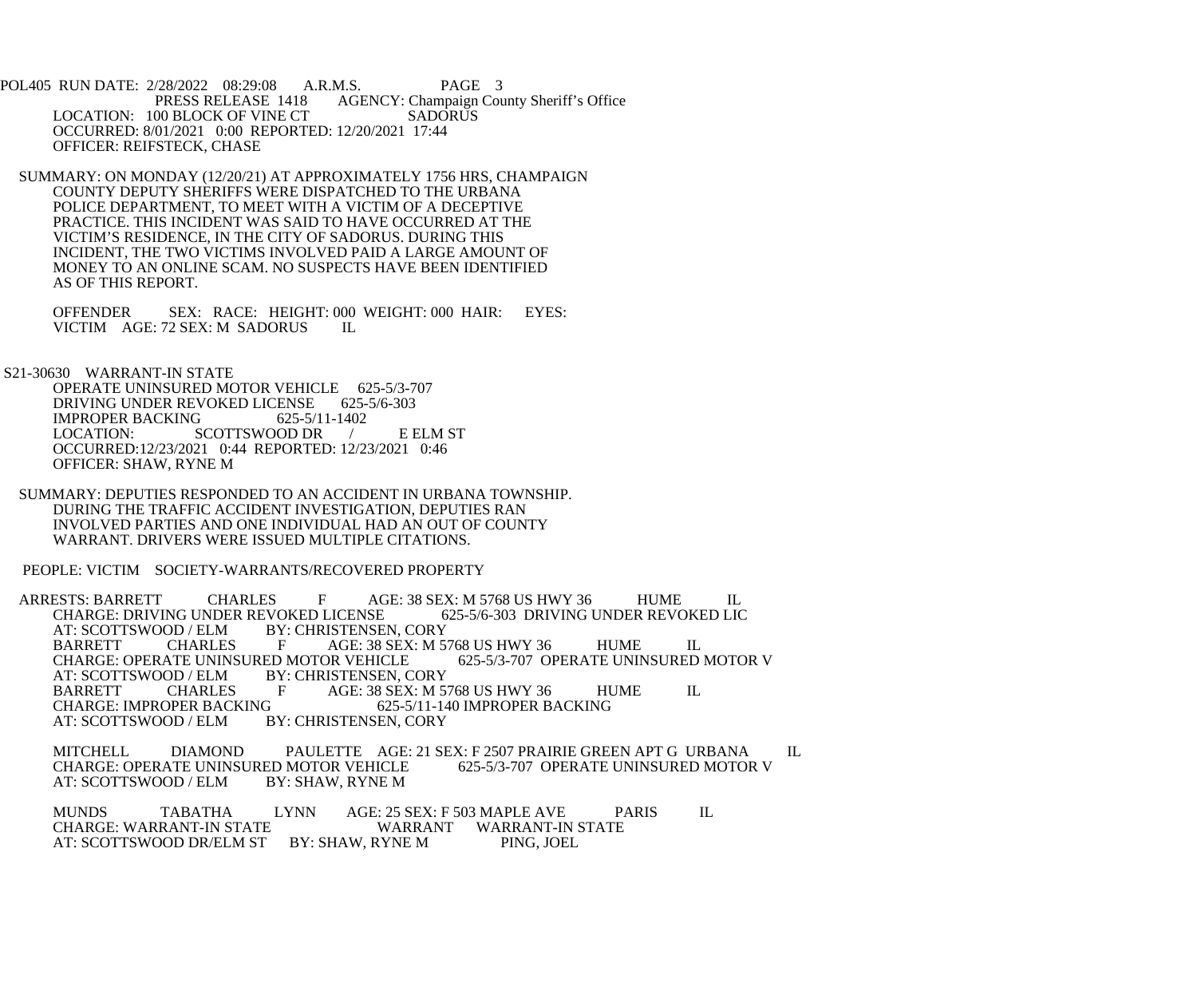POL405 RUN DATE: 2/28/2022 08:29:08 A.R.M.S. PAGE 3<br>PRESS RELEASE 1418 AGENCY: Champaign Cou AGENCY: Champaign County Sheriff's Office LOCATION: 100 BLOCK OF VINE CT SADORUS OCCURRED: 8/01/2021 0:00 REPORTED: 12/20/2021 17:44 OFFICER: REIFSTECK, CHASE

 SUMMARY: ON MONDAY (12/20/21) AT APPROXIMATELY 1756 HRS, CHAMPAIGN COUNTY DEPUTY SHERIFFS WERE DISPATCHED TO THE URBANA POLICE DEPARTMENT, TO MEET WITH A VICTIM OF A DECEPTIVE PRACTICE. THIS INCIDENT WAS SAID TO HAVE OCCURRED AT THE VICTIM'S RESIDENCE, IN THE CITY OF SADORUS. DURING THIS INCIDENT, THE TWO VICTIMS INVOLVED PAID A LARGE AMOUNT OF MONEY TO AN ONLINE SCAM. NO SUSPECTS HAVE BEEN IDENTIFIED AS OF THIS REPORT.

OFFENDER SEX: RACE: HEIGHT: 000 WEIGHT: 000 HAIR: EYES: VICTIM AGE: 72 SEX: M SADORUS IL VICTIM AGE: 72 SEX: M SADORUS

S21-30630 WARRANT-IN STATE

OPERATE UNINSURED MOTOR VEHICLE 625-5/3-707<br>DRIVING UNDER REVOKED LICENSE 625-5/6-303 DRIVING UNDER REVOKED LICENSE 625-<br>IMPROPER BACKING 625-5/11-1402 IMPROPER BACKING<br>LOCATION: S SCOTTSWOOD DR / E ELM ST OCCURRED:12/23/2021 0:44 REPORTED: 12/23/2021 0:46 OFFICER: SHAW, RYNE M

 SUMMARY: DEPUTIES RESPONDED TO AN ACCIDENT IN URBANA TOWNSHIP. DURING THE TRAFFIC ACCIDENT INVESTIGATION, DEPUTIES RAN INVOLVED PARTIES AND ONE INDIVIDUAL HAD AN OUT OF COUNTY WARRANT. DRIVERS WERE ISSUED MULTIPLE CITATIONS.

PEOPLE: VICTIM SOCIETY-WARRANTS/RECOVERED PROPERTY

ARRESTS: BARRETT CHARLES F AGE: 38 SEX: M 5768 US HWY 36 HUME IL<br>CHARGE: DRIVING UNDER REVOKED LICENSE 625-5/6-303 DRIVING UNDER REVOKED LIC CHARGE: DRIVING UNDER REVOKED LICENSE<br>AT: SCOTTSWOOD / ELM BY: CHRISTENSE AT: SCOTTSWOOD / ELM BY: CHRISTENSEN, CORY<br>BARRETT CHARLES F AGE: 38 SEX: M 5 AGE: 38 SEX: M 5768 US HWY 36 HUME IL<br>DR VEHICLE 625-5/3-707 OPERATE UNINSURED MOTOR V CHARGE: OPERATE UNINSURED MOTOR VEHICLE<br>AT: SCOTTSWOOD / ELM BY: CHRISTENSEN. C AT: SCOTTSWOOD / ELM BY: CHRISTENSEN, CORY<br>BARRETT CHARLES F AGE: 38 SEX: M 5 BARRETT CHARLES F AGE: 38 SEX: M 5768 US HWY 36 HUME IL<br>CHARGE: IMPROPER BACKING 625-5/11-140 IMPROPER BACKING CHARGE: IMPROPER BACKING<br>AT: SCOTTSWOOD / ELM BY: CHRISTENSEN, CORY BY: CHRISTENSEN, CORY

MITCHELL DIAMOND PAULETTE AGE: 21 SEX: F 2507 PRAIRIE GREEN APT G URBANA IL CHARGE: OPERATE UNINSURED MOTOR V CHARGE: OPERATE UNINSURED MOTOR VEHICLE<br>AT: SCOTTSWOOD / ELM BY: SHAW, RYNE M AT: SCOTTSWOOD / ELM

MUNDS TABATHA LYNN AGE: 25 SEX: F 503 MAPLE AVE PARIS IL CHARGE: WARRANT-IN STATE WARRANT WARRANT-IN STATE AT: SCOTTSWOOD DR/ELM ST BY: SHAW, RYNE M PING, JOEL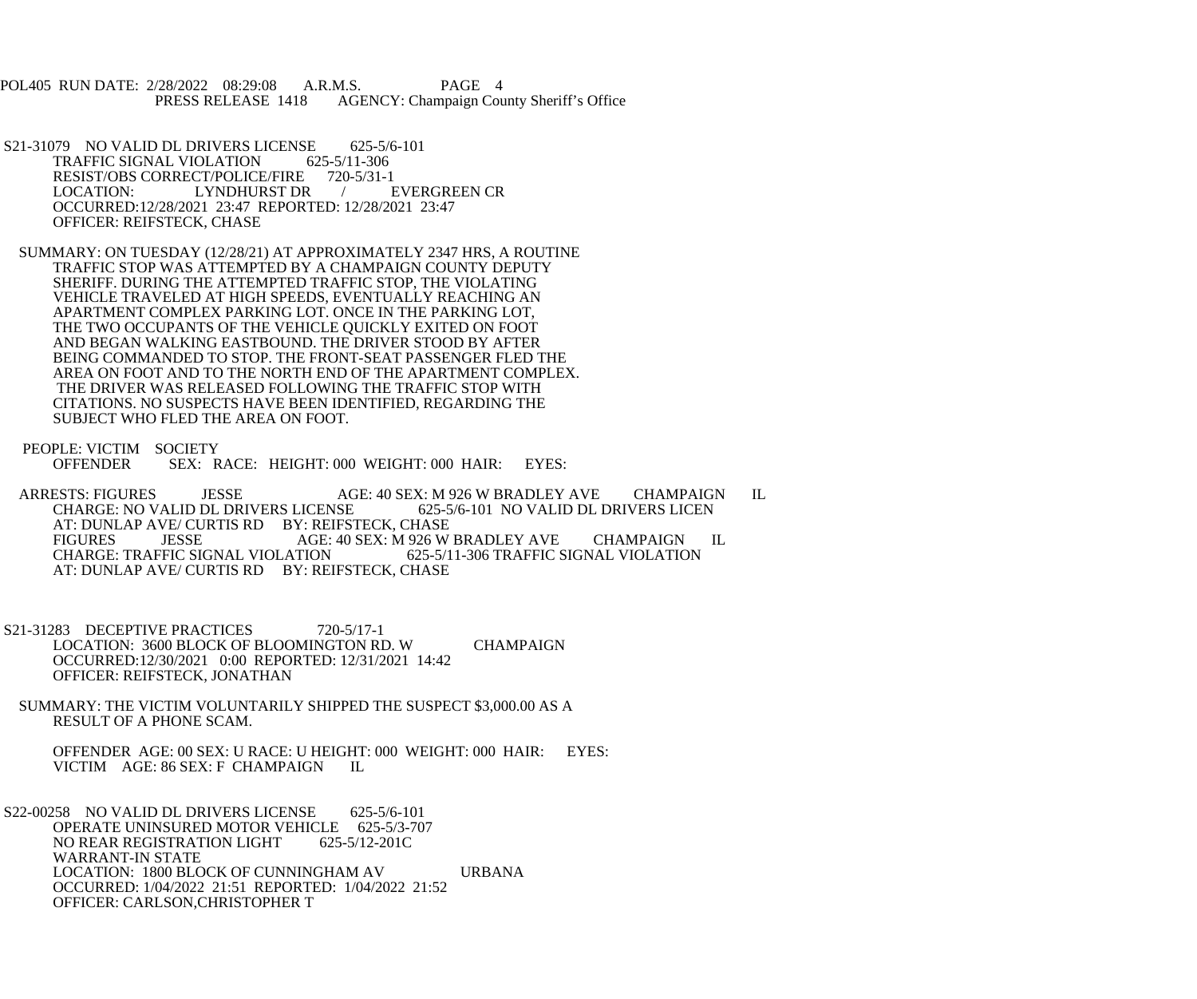POL405 RUN DATE: 2/28/2022 08:29:08 A.R.M.S. PAGE 4<br>PRESS RELEASE 1418 AGENCY: Champaign Cou AGENCY: Champaign County Sheriff's Office

S21-31079 NO VALID DL DRIVERS LICENSE 625-5/6-101<br>TRAFFIC SIGNAL VIOLATION 625-5/11-306 TRAFFIC SIGNAL VIOLATION 625-5/11-306<br>RESIST/OBS CORRECT/POLICE/FIRE 720-5/31-1 RESIST/OBS CORRECT/POLICE/FIRE 720-5/31-1<br>LOCATION: LYNDHURST DR / EVERGREEN CR LOCATION: LYNDHURST DR OCCURRED:12/28/2021 23:47 REPORTED: 12/28/2021 23:47 OFFICER: REIFSTECK, CHASE

 SUMMARY: ON TUESDAY (12/28/21) AT APPROXIMATELY 2347 HRS, A ROUTINE TRAFFIC STOP WAS ATTEMPTED BY A CHAMPAIGN COUNTY DEPUTY SHERIFF. DURING THE ATTEMPTED TRAFFIC STOP, THE VIOLATING VEHICLE TRAVELED AT HIGH SPEEDS, EVENTUALLY REACHING AN APARTMENT COMPLEX PARKING LOT. ONCE IN THE PARKING LOT, THE TWO OCCUPANTS OF THE VEHICLE QUICKLY EXITED ON FOOT AND BEGAN WALKING EASTBOUND. THE DRIVER STOOD BY AFTER BEING COMMANDED TO STOP. THE FRONT-SEAT PASSENGER FLED THE AREA ON FOOT AND TO THE NORTH END OF THE APARTMENT COMPLEX. THE DRIVER WAS RELEASED FOLLOWING THE TRAFFIC STOP WITH CITATIONS. NO SUSPECTS HAVE BEEN IDENTIFIED, REGARDING THE SUBJECT WHO FLED THE AREA ON FOOT.

PEOPLE: VICTIM SOCIETY<br>OFFENDER SEX: R SEX: RACE: HEIGHT: 000 WEIGHT: 000 HAIR: EYES:

ARRESTS: FIGURES JESSE AGE: 40 SEX: M 926 W BRADLEY AVE CHAMPAIGN IL CHARGE: NO VALID DL DRIVERS LICENSE 625-5/6-101 NO VALID DL DRIVERS LICEN AT: DUNLAP AVE/ CURTIS RD BY: REIFSTECK, CHASE<br>FIGURES JESSE AGE: 40 SEX: M 926 W FIGURES JESSE AGE: 40 SEX: M 926 W BRADLEY AVE CHAMPAIGN IL CHARGE: TRAFFIC SIGNAL VIOLATION 625-5/11-306 TRAFFIC SIGNAL VIOLATION CHARGE: TRAFFIC SIGNAL VIOLATION 625-5/11-306 TRAFFIC SIGNAL VIOLATION AT: DUNLAP AVE/ CURTIS RD BY: REIFSTECK, CHASE

S21-31283 DECEPTIVE PRACTICES 720-5/17-1 LOCATION: 3600 BLOCK OF BLOOMINGTON RD. W CHAMPAIGN OCCURRED:12/30/2021 0:00 REPORTED: 12/31/2021 14:42 OFFICER: REIFSTECK, JONATHAN

 SUMMARY: THE VICTIM VOLUNTARILY SHIPPED THE SUSPECT \$3,000.00 AS A RESULT OF A PHONE SCAM.

 OFFENDER AGE: 00 SEX: U RACE: U HEIGHT: 000 WEIGHT: 000 HAIR: EYES: VICTIM AGE: 86 SEX: F CHAMPAIGN IL

 S22-00258 NO VALID DL DRIVERS LICENSE 625-5/6-101 OPERATE UNINSURED MOTOR VEHICLE 625-5/3-707 NO REAR REGISTRATION LIGHT 625-5/12-201C WARRANT-IN STATE LOCATION: 1800 BLOCK OF CUNNINGHAM AV URBANA OCCURRED: 1/04/2022 21:51 REPORTED: 1/04/2022 21:52 OFFICER: CARLSON,CHRISTOPHER T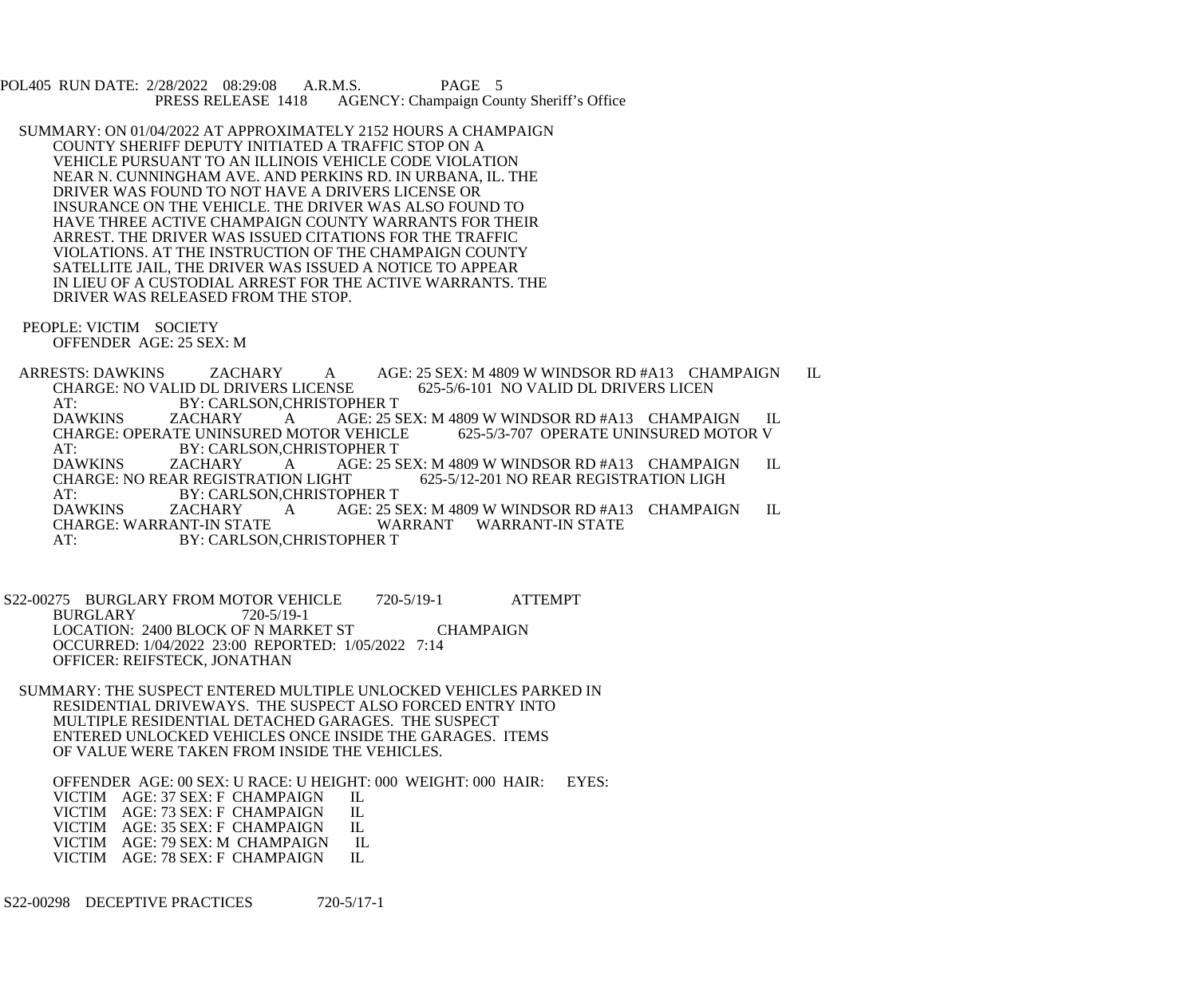POL405 RUN DATE: 2/28/2022 08:29:08 A.R.M.S. PAGE 5<br>PRESS RELEASE 1418 AGENCY: Champaign Cou AGENCY: Champaign County Sheriff's Office

 SUMMARY: ON 01/04/2022 AT APPROXIMATELY 2152 HOURS A CHAMPAIGN COUNTY SHERIFF DEPUTY INITIATED A TRAFFIC STOP ON A VEHICLE PURSUANT TO AN ILLINOIS VEHICLE CODE VIOLATION NEAR N. CUNNINGHAM AVE. AND PERKINS RD. IN URBANA, IL. THE DRIVER WAS FOUND TO NOT HAVE A DRIVERS LICENSE OR INSURANCE ON THE VEHICLE. THE DRIVER WAS ALSO FOUND TO HAVE THREE ACTIVE CHAMPAIGN COUNTY WARRANTS FOR THEIR ARREST. THE DRIVER WAS ISSUED CITATIONS FOR THE TRAFFIC VIOLATIONS. AT THE INSTRUCTION OF THE CHAMPAIGN COUNTY SATELLITE JAIL, THE DRIVER WAS ISSUED A NOTICE TO APPEAR IN LIEU OF A CUSTODIAL ARREST FOR THE ACTIVE WARRANTS. THE DRIVER WAS RELEASED FROM THE STOP.

 PEOPLE: VICTIM SOCIETY OFFENDER AGE: 25 SEX: M

ARRESTS: DAWKINS ZACHARY A AGE: 25 SEX: M 4809 W WINDSOR RD #A13 CHAMPAIGN IL CHARGE: NO VALID DL DRIVERS LICENSE 625-5/6-101 NO VALID DL DRIVERS LICEN CHARGE: NO VALID DL DRIVERS LICENSE AT: BY: CARLSON, CHRISTOPHER T<br>DAWKINS ZACHARY A AGE: 25 S A AGE: 25 SEX: M 4809 W WINDSOR RD #A13 CHAMPAIGN IL<br>MOTOR VEHICLE 625-5/3-707 OPERATE UNINSURED MOTOR V CHARGE: OPERATE UNINSURED MOTOR VEHICLE AT: BY: CARLSON, CHRISTOPHER T<br>DAWKINS ZACHARY A AGE: 25 S DAWKINS ZACHARY A AGE: 25 SEX: M 4809 W WINDSOR RD #A13 CHAMPAIGN IL CHARGE: NO REAR REGISTRATION LIGH 625-5/12-201 NO REAR REGISTRATION LIGH AT: BY: CARLSON, CHRISTOPHER T DAWKINS ZACHARY A AGE: 25 SEX: M 4809 W WINDSOR RD #A13 CHAMPAIGN IL CHARGE: WARRANT-WARRANT WARRANT-IN STATE CHARGE: WARRANT-IN STATE WARRANT WARRANT-IN STATE<br>AT: BY: CARLSON.CHRISTOPHER T BY: CARLSON, CHRISTOPHER T

S22-00275 BURGLARY FROM MOTOR VEHICLE 720-5/19-1 ATTEMPT BURGLARY 720-5/19-1 LOCATION: 2400 BLOCK OF N MARKET ST CHAMPAIGN OCCURRED: 1/04/2022 23:00 REPORTED: 1/05/2022 7:14 OFFICER: REIFSTECK, JONATHAN

 SUMMARY: THE SUSPECT ENTERED MULTIPLE UNLOCKED VEHICLES PARKED IN RESIDENTIAL DRIVEWAYS. THE SUSPECT ALSO FORCED ENTRY INTO MULTIPLE RESIDENTIAL DETACHED GARAGES. THE SUSPECT ENTERED UNLOCKED VEHICLES ONCE INSIDE THE GARAGES. ITEMS OF VALUE WERE TAKEN FROM INSIDE THE VEHICLES.

 OFFENDER AGE: 00 SEX: U RACE: U HEIGHT: 000 WEIGHT: 000 HAIR: EYES: VICTIM AGE: 37 SEX: F CHAMPAIGN IL VICTIM AGE: 73 SEX: F CHAMPAIGN IL<br>VICTIM AGE: 35 SEX: F CHAMPAIGN IL VICTIM AGE: 35 SEX: F CHAMPAIGN VICTIM AGE: 79 SEX: M CHAMPAIGN IL<br>VICTIM AGE: 78 SEX: F CHAMPAIGN IL VICTIM AGE: 78 SEX: F CHAMPAIGN

S22-00298 DECEPTIVE PRACTICES 720-5/17-1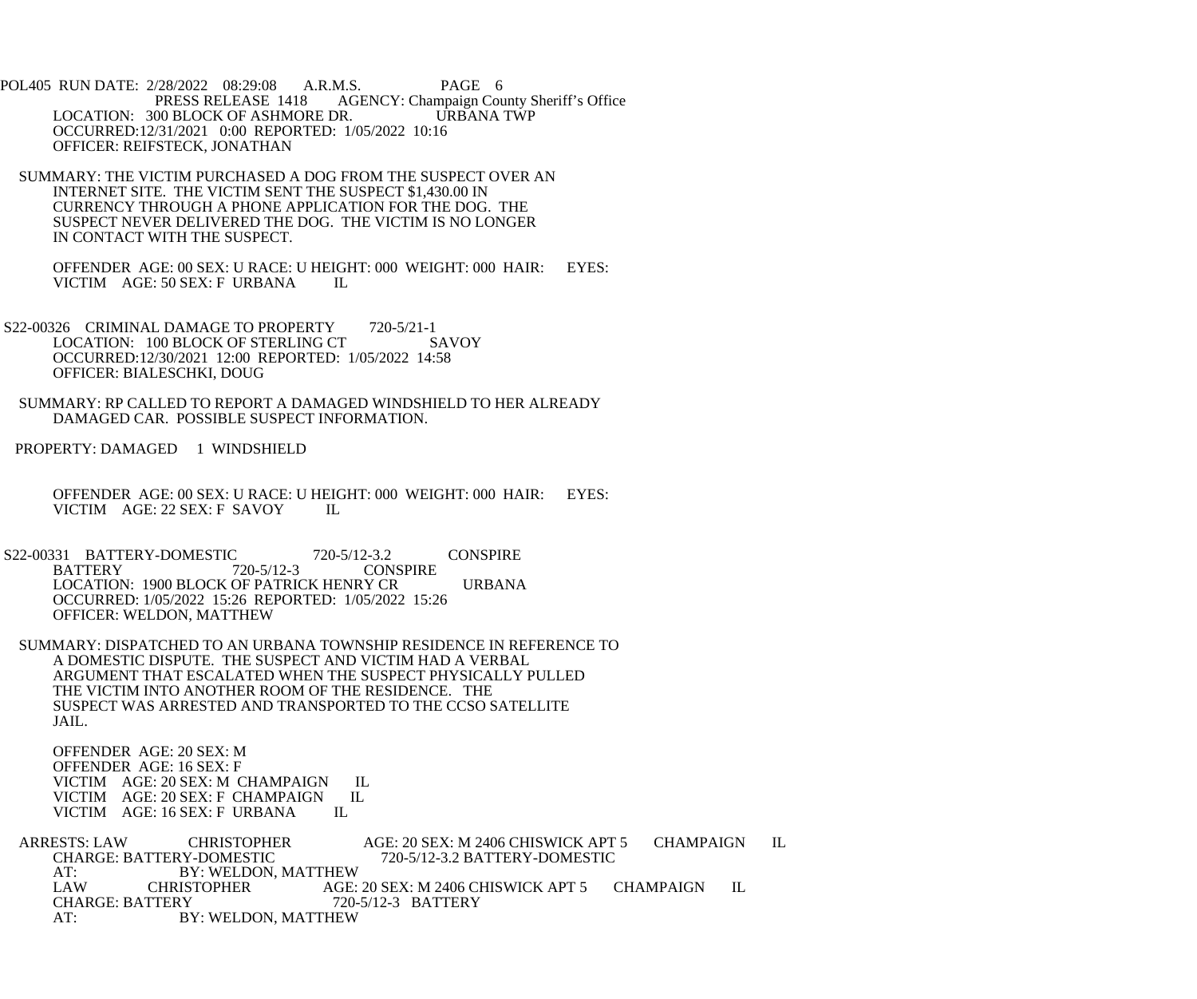POL405 RUN DATE: 2/28/2022 08:29:08 A.R.M.S. PAGE 6<br>PRESS RELEASE 1418 AGENCY: Champaign Cou AGENCY: Champaign County Sheriff's Office LOCATION: 300 BLOCK OF ASHMORE DR. URBANA TWP OCCURRED:12/31/2021 0:00 REPORTED: 1/05/2022 10:16 OFFICER: REIFSTECK, JONATHAN

 SUMMARY: THE VICTIM PURCHASED A DOG FROM THE SUSPECT OVER AN INTERNET SITE. THE VICTIM SENT THE SUSPECT \$1,430.00 IN CURRENCY THROUGH A PHONE APPLICATION FOR THE DOG. THE SUSPECT NEVER DELIVERED THE DOG. THE VICTIM IS NO LONGER IN CONTACT WITH THE SUSPECT.

 OFFENDER AGE: 00 SEX: U RACE: U HEIGHT: 000 WEIGHT: 000 HAIR: EYES: VICTIM AGE: 50 SEX: F URBANA IL

S22-00326 CRIMINAL DAMAGE TO PROPERTY 720-5/21-1 LOCATION: 100 BLOCK OF STERLING CT SAVOY OCCURRED:12/30/2021 12:00 REPORTED: 1/05/2022 14:58 OFFICER: BIALESCHKI, DOUG

 SUMMARY: RP CALLED TO REPORT A DAMAGED WINDSHIELD TO HER ALREADY DAMAGED CAR. POSSIBLE SUSPECT INFORMATION.

PROPERTY: DAMAGED 1 WINDSHIELD

 OFFENDER AGE: 00 SEX: U RACE: U HEIGHT: 000 WEIGHT: 000 HAIR: EYES: VICTIM AGE: 22 SEX: F SAVOY IL

- S22-00331 BATTERY-DOMESTIC 720-5/12-3.2 CONSPIRE<br>BATTERY 720-5/12-3 CONSPIRE **CONSPIRE**  LOCATION: 1900 BLOCK OF PATRICK HENRY CR URBANA OCCURRED: 1/05/2022 15:26 REPORTED: 1/05/2022 15:26 OFFICER: WELDON, MATTHEW
- SUMMARY: DISPATCHED TO AN URBANA TOWNSHIP RESIDENCE IN REFERENCE TO A DOMESTIC DISPUTE. THE SUSPECT AND VICTIM HAD A VERBAL ARGUMENT THAT ESCALATED WHEN THE SUSPECT PHYSICALLY PULLED THE VICTIM INTO ANOTHER ROOM OF THE RESIDENCE. THE SUSPECT WAS ARRESTED AND TRANSPORTED TO THE CCSO SATELLITE JAIL.

 OFFENDER AGE: 20 SEX: M OFFENDER AGE: 16 SEX: F VICTIM AGE: 20 SEX: M CHAMPAIGN IL<br>VICTIM AGE: 20 SEX: F CHAMPAIGN IL VICTIM AGE: 20 SEX: F CHAMPAIGN<br>VICTIM AGE: 16 SEX: F URBANA IL VICTIM AGE: 16 SEX: F URBANA

 ARRESTS: LAW CHRISTOPHER AGE: 20 SEX: M 2406 CHISWICK APT 5 CHAMPAIGN IL CHARGE: BATTERY-DOMESTIC<br>AT: BY: WELDON. AT: BY: WELDON, MATTHEW<br>LAW CHRISTOPHER AGE: LAW CHRISTOPHER AGE: 20 SEX: M 2406 CHISWICK APT 5 CHAMPAIGN IL<br>CHARGE: BATTERY 720-5/12-3 BATTERY CHARGE: BATTERY 720-5/12-3 BATTERY AT: BY: WELDON, MATTHEW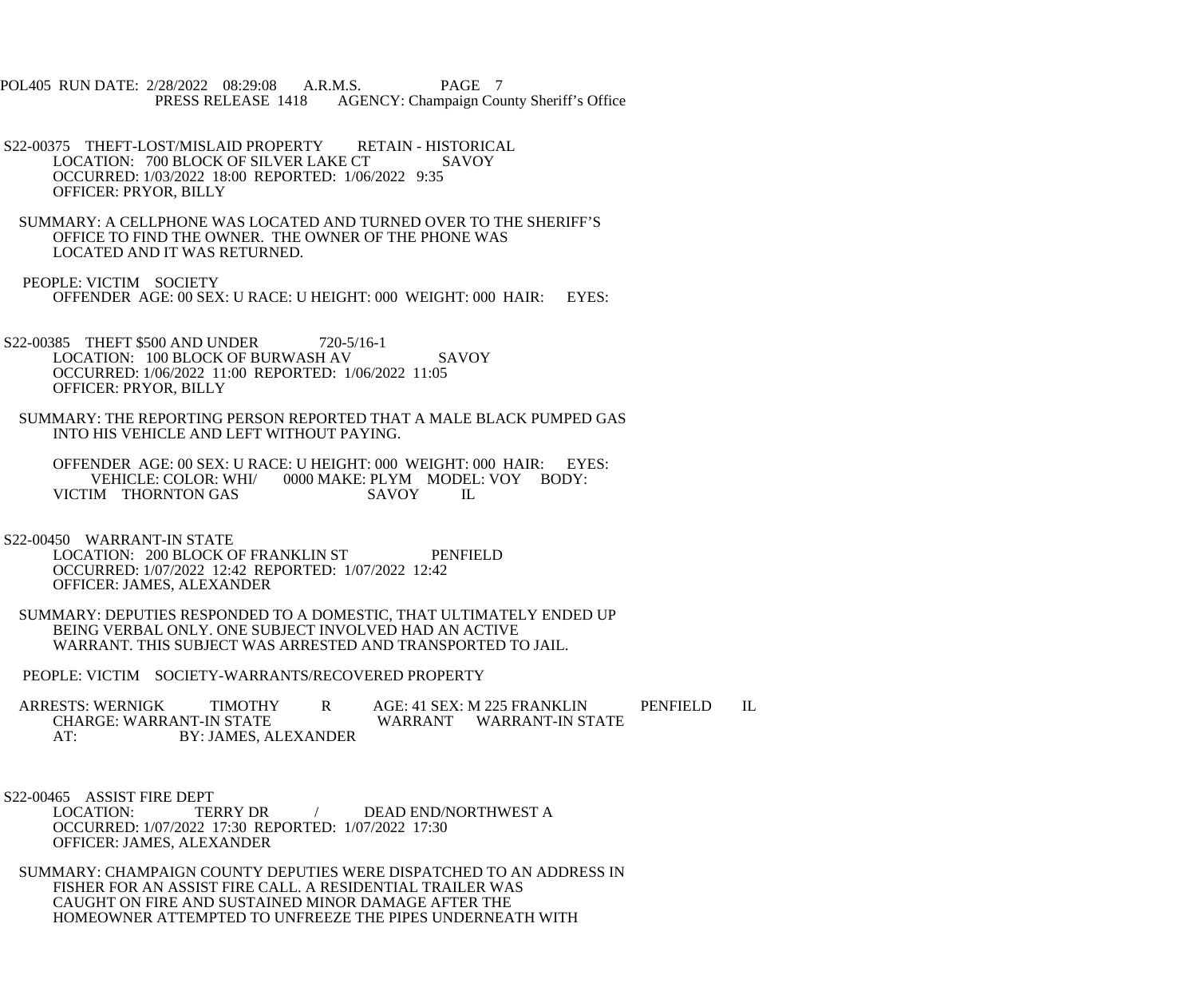POL405 RUN DATE: 2/28/2022 08:29:08 A.R.M.S. PAGE 7 PRESS RELEASE 1418 AGENCY: Champaign County Sheriff's Office

- S22-00375 THEFT-LOST/MISLAID PROPERTY RETAIN HISTORICAL LOCATION: 700 BLOCK OF SILVER LAKE CT SAVOY OCCURRED: 1/03/2022 18:00 REPORTED: 1/06/2022 9:35 OFFICER: PRYOR, BILLY
- SUMMARY: A CELLPHONE WAS LOCATED AND TURNED OVER TO THE SHERIFF'S OFFICE TO FIND THE OWNER. THE OWNER OF THE PHONE WAS LOCATED AND IT WAS RETURNED.
- PEOPLE: VICTIM SOCIETY OFFENDER AGE: 00 SEX: U RACE: U HEIGHT: 000 WEIGHT: 000 HAIR: EYES:
- S22-00385 THEFT \$500 AND UNDER 720-5/16-1 LOCATION: 100 BLOCK OF BURWASH AV SAVOY OCCURRED: 1/06/2022 11:00 REPORTED: 1/06/2022 11:05 OFFICER: PRYOR, BILLY
- SUMMARY: THE REPORTING PERSON REPORTED THAT A MALE BLACK PUMPED GAS INTO HIS VEHICLE AND LEFT WITHOUT PAYING.

 OFFENDER AGE: 00 SEX: U RACE: U HEIGHT: 000 WEIGHT: 000 HAIR: EYES: VEHICLE: COLOR: WHI/ 0000 MAKE: PLYM MODEL: VOY BODY:<br>IM THORNTON GAS SAVOY IL VICTIM THORNTON GAS SAVOY IL

S22-00450 WARRANT-IN STATE

- LOCATION: 200 BLOCK OF FRANKLIN ST PENFIELD OCCURRED: 1/07/2022 12:42 REPORTED: 1/07/2022 12:42 OFFICER: JAMES, ALEXANDER
- SUMMARY: DEPUTIES RESPONDED TO A DOMESTIC, THAT ULTIMATELY ENDED UP BEING VERBAL ONLY. ONE SUBJECT INVOLVED HAD AN ACTIVE WARRANT. THIS SUBJECT WAS ARRESTED AND TRANSPORTED TO JAIL.

PEOPLE: VICTIM SOCIETY-WARRANTS/RECOVERED PROPERTY

ARRESTS: WERNIGK TIMOTHY R AGE: 41 SEX: M 225 FRANKLIN PENFIELD IL CHARGE: WARRANT-IN STATE WARRANT WARRANT-IN STATE AT: BY: JAMES, ALEXANDER

S22-00465 ASSIST FIRE DEPT<br>LOCATION: TEI

TERRY DR / DEAD END/NORTHWEST A OCCURRED: 1/07/2022 17:30 REPORTED: 1/07/2022 17:30 OFFICER: JAMES, ALEXANDER

 SUMMARY: CHAMPAIGN COUNTY DEPUTIES WERE DISPATCHED TO AN ADDRESS IN FISHER FOR AN ASSIST FIRE CALL. A RESIDENTIAL TRAILER WAS CAUGHT ON FIRE AND SUSTAINED MINOR DAMAGE AFTER THE HOMEOWNER ATTEMPTED TO UNFREEZE THE PIPES UNDERNEATH WITH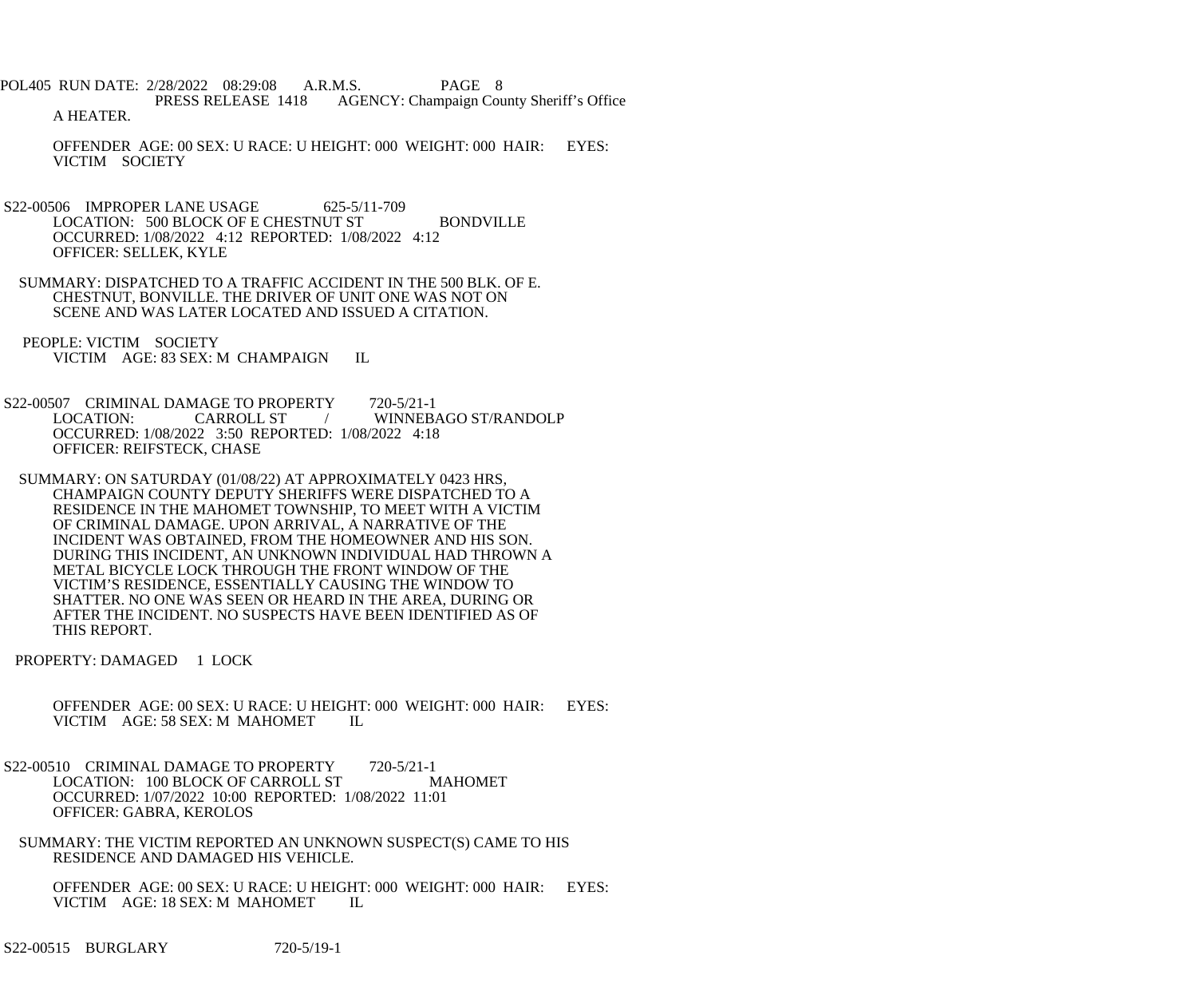POL405 RUN DATE: 2/28/2022 08:29:08 A.R.M.S. PAGE 8 PRESS RELEASE 1418 AGENCY: Champaign County Sheriff's Office A HEATER.

 OFFENDER AGE: 00 SEX: U RACE: U HEIGHT: 000 WEIGHT: 000 HAIR: EYES: VICTIM SOCIETY

- S22-00506 IMPROPER LANE USAGE 625-5/11-709 LOCATION: 500 BLOCK OF E CHESTNUT ST BONDVILLE OCCURRED: 1/08/2022 4:12 REPORTED: 1/08/2022 4:12 OFFICER: SELLEK, KYLE
- SUMMARY: DISPATCHED TO A TRAFFIC ACCIDENT IN THE 500 BLK. OF E. CHESTNUT, BONVILLE. THE DRIVER OF UNIT ONE WAS NOT ON SCENE AND WAS LATER LOCATED AND ISSUED A CITATION.

 PEOPLE: VICTIM SOCIETY VICTIM AGE: 83 SEX: M CHAMPAIGN IL

S22-00507 CRIMINAL DAMAGE TO PROPERTY 720-5/21-1<br>LOCATION: CARROLL ST / WINNEB CARROLL ST / WINNEBAGO ST/RANDOLP OCCURRED: 1/08/2022 3:50 REPORTED: 1/08/2022 4:18 OFFICER: REIFSTECK, CHASE

 SUMMARY: ON SATURDAY (01/08/22) AT APPROXIMATELY 0423 HRS, CHAMPAIGN COUNTY DEPUTY SHERIFFS WERE DISPATCHED TO A RESIDENCE IN THE MAHOMET TOWNSHIP, TO MEET WITH A VICTIM OF CRIMINAL DAMAGE. UPON ARRIVAL, A NARRATIVE OF THE INCIDENT WAS OBTAINED, FROM THE HOMEOWNER AND HIS SON. DURING THIS INCIDENT, AN UNKNOWN INDIVIDUAL HAD THROWN A METAL BICYCLE LOCK THROUGH THE FRONT WINDOW OF THE VICTIM'S RESIDENCE, ESSENTIALLY CAUSING THE WINDOW TO SHATTER. NO ONE WAS SEEN OR HEARD IN THE AREA, DURING OR AFTER THE INCIDENT. NO SUSPECTS HAVE BEEN IDENTIFIED AS OF THIS REPORT.

PROPERTY: DAMAGED 1 LOCK

 OFFENDER AGE: 00 SEX: U RACE: U HEIGHT: 000 WEIGHT: 000 HAIR: EYES: VICTIM AGE: 58 SEX: M MAHOMET IL

- S22-00510 CRIMINAL DAMAGE TO PROPERTY 720-5/21-1 LOCATION: 100 BLOCK OF CARROLL ST MAHOMET OCCURRED: 1/07/2022 10:00 REPORTED: 1/08/2022 11:01 OFFICER: GABRA, KEROLOS
- SUMMARY: THE VICTIM REPORTED AN UNKNOWN SUSPECT(S) CAME TO HIS RESIDENCE AND DAMAGED HIS VEHICLE.

 OFFENDER AGE: 00 SEX: U RACE: U HEIGHT: 000 WEIGHT: 000 HAIR: EYES: VICTIM AGE: 18 SEX: M MAHOMET IL

S22-00515 BURGLARY 720-5/19-1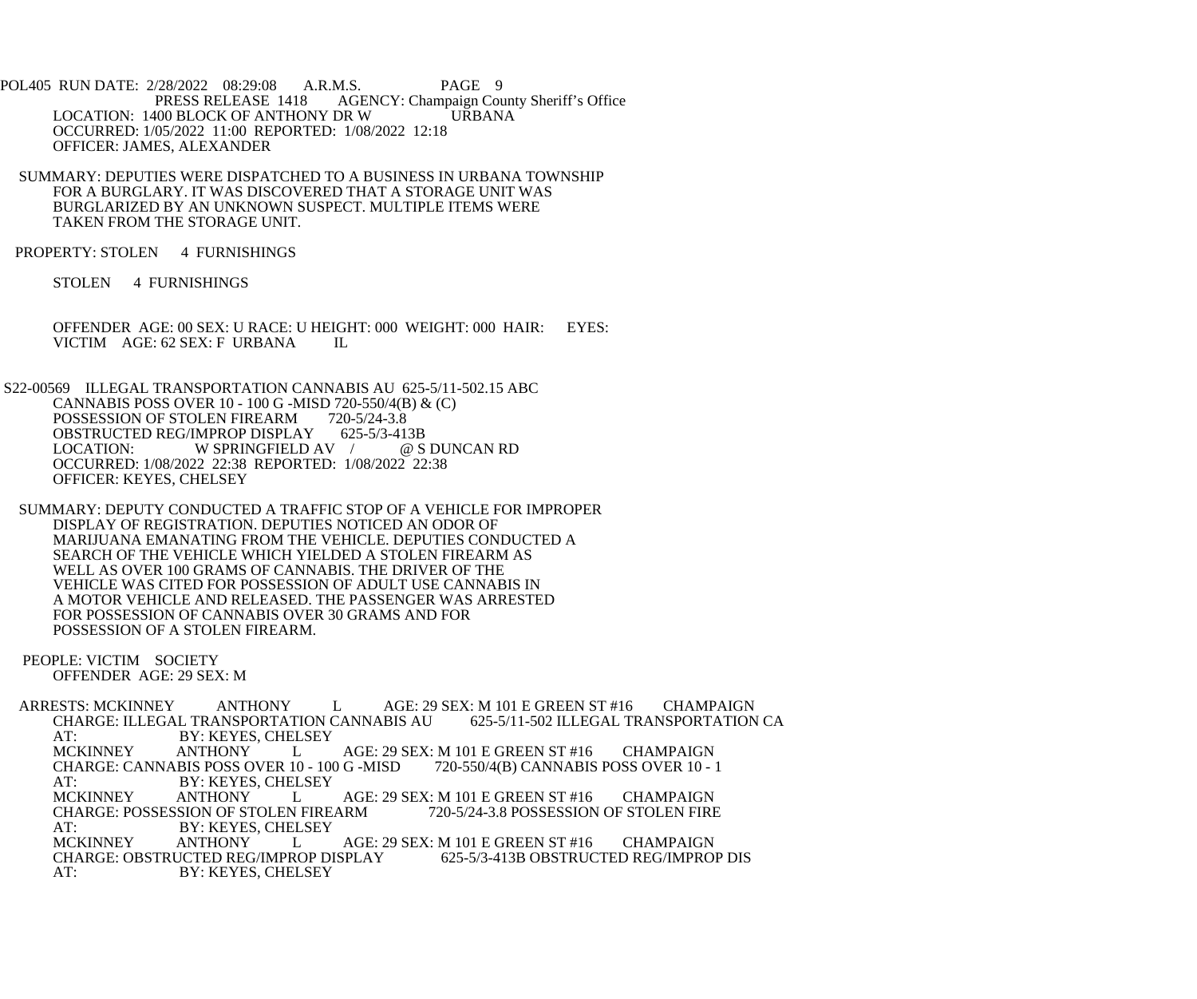POL405 RUN DATE: 2/28/2022 08:29:08 A.R.M.S. PAGE 9<br>PRESS RELEASE 1418 AGENCY: Champaign Cou AGENCY: Champaign County Sheriff's Office LOCATION: 1400 BLOCK OF ANTHONY DR W URBANA OCCURRED: 1/05/2022 11:00 REPORTED: 1/08/2022 12:18 OFFICER: JAMES, ALEXANDER

 SUMMARY: DEPUTIES WERE DISPATCHED TO A BUSINESS IN URBANA TOWNSHIP FOR A BURGLARY. IT WAS DISCOVERED THAT A STORAGE UNIT WAS BURGLARIZED BY AN UNKNOWN SUSPECT. MULTIPLE ITEMS WERE TAKEN FROM THE STORAGE UNIT.

PROPERTY: STOLEN 4 FURNISHINGS

STOLEN 4 FURNISHINGS

 OFFENDER AGE: 00 SEX: U RACE: U HEIGHT: 000 WEIGHT: 000 HAIR: EYES: VICTIM AGE: 62 SEX: F URBANA IL

 S22-00569 ILLEGAL TRANSPORTATION CANNABIS AU 625-5/11-502.15 ABC CANNABIS POSS OVER 10 - 100 G -MISD 720-550/4(B) & (C)<br>POSSESSION OF STOLEN FIREARM 720-5/24-3.8 POSSESSION OF STOLEN FIREARM 720-5/24-3.8<br>OBSTRUCTED REG/IMPROP DISPLAY 625-5/3-413B OBSTRUCTED REG/IMPROP DISPLAY 625-5/3-413B<br>LOCATION: W SPRINGFIELD AV / @ S DUNCAN RD LOCATION: W SPRINGFIELD AV / OCCURRED: 1/08/2022 22:38 REPORTED: 1/08/2022 22:38 OFFICER: KEYES, CHELSEY

 SUMMARY: DEPUTY CONDUCTED A TRAFFIC STOP OF A VEHICLE FOR IMPROPER DISPLAY OF REGISTRATION. DEPUTIES NOTICED AN ODOR OF MARIJUANA EMANATING FROM THE VEHICLE. DEPUTIES CONDUCTED A SEARCH OF THE VEHICLE WHICH YIELDED A STOLEN FIREARM AS WELL AS OVER 100 GRAMS OF CANNABIS. THE DRIVER OF THE VEHICLE WAS CITED FOR POSSESSION OF ADULT USE CANNABIS IN A MOTOR VEHICLE AND RELEASED. THE PASSENGER WAS ARRESTED FOR POSSESSION OF CANNABIS OVER 30 GRAMS AND FOR POSSESSION OF A STOLEN FIREARM.

 PEOPLE: VICTIM SOCIETY OFFENDER AGE: 29 SEX: M

ARRESTS: MCKINNEY ANTHONY LAGE: 29 SEX: M 101 E GREEN ST #16 CHAMPAIGN<br>CHARGE: ILLEGAL TRANSPORTATION CANNABIS AU 625-5/11-502 ILLEGAL TRANSPORTATION CA CHARGE: ILLEGAL TRANSPORTATION CANNABIS AU AT: BY: KEYES, CHELSEY<br>MCKINNEY ANTHONY L L AGE: 29 SEX: M 101 E GREEN ST #16 CHAMPAIGN<br>R 10 - 100 G -MISD 720-550/4(B) CANNABIS POSS OVER 10 - 1 CHARGE: CANNABIS POSS OVER 10 - 100 G - MISD AT: BY: KEYES, CHELSEY<br>MCKINNEY ANTHONY L AGE: 29 SEX: M 101 E GREEN ST #16 CHAMPAIGN<br>ARM 720-5/24-3.8 POSSESSION OF STOLEN FIRE CHARGE: POSSESSION OF STOLEN FIREARM<br>AT: BY: KEYES, CHELSEY AT: BY: KEYES, CHELSEY<br>MCKINNEY ANTHONY L ANTHONY LAGE: 29 SEX: M 101 E GREEN ST #16 CHAMPAIGN<br>UCTED REG/IMPROP DISPLAY 625-5/3-413B OBSTRUCTED REG/IMPROP DIS CHARGE: OBSTRUCTED REG/IMPROP DISPLAY 625-5/3-413B OBSTRUCTED REG/IMPROP DIS BY: KEYES, CHELSEY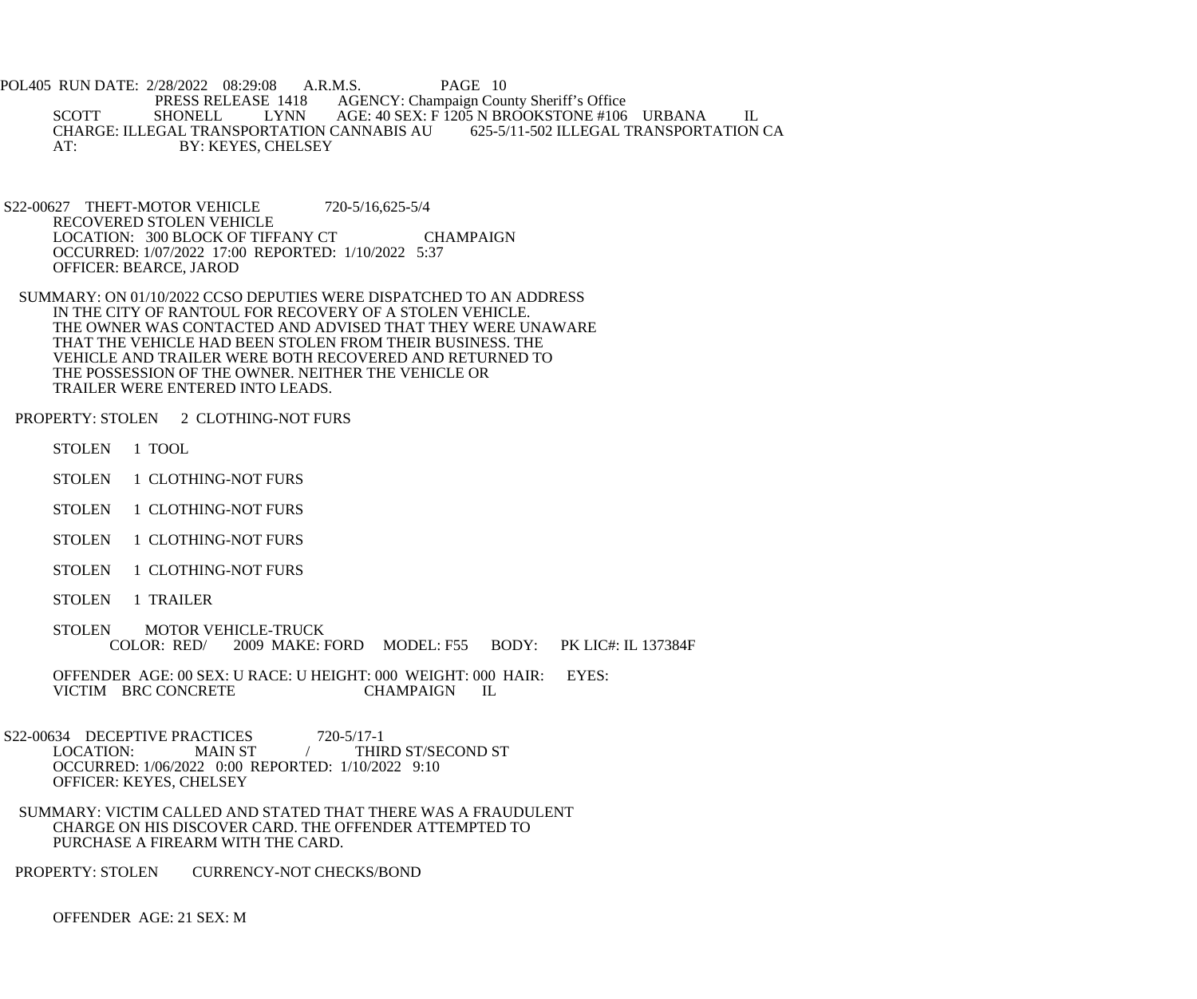POL405 RUN DATE: 2/28/2022 08:29:08 A.R.M.S. PAGE 10<br>PRESS RELEASE 1418 AGENCY: Champaign Cou E 1418 AGENCY: Champaign County Sheriff's Office<br>LYNN AGE: 40 SEX: F 1205 N BROOKSTONE #106 SCOTT SHONELL LYNN AGE: 40 SEX: F 1205 N BROOKSTONE #106 URBANA IL<br>CHARGE: ILLEGAL TRANSPORTATION CANNABIS AU 625-5/11-502 ILLEGAL TRANSPORTATION CA CHARGE: ILLEGAL TRANSPORTATION CANNABIS AU AT: BY: KEYES, CHELSEY

 S22-00627 THEFT-MOTOR VEHICLE 720-5/16,625-5/4 RECOVERED STOLEN VEHICLE LOCATION: 300 BLOCK OF TIFFANY CT CHAMPAIGN OCCURRED: 1/07/2022 17:00 REPORTED: 1/10/2022 5:37 OFFICER: BEARCE, JAROD

 SUMMARY: ON 01/10/2022 CCSO DEPUTIES WERE DISPATCHED TO AN ADDRESS IN THE CITY OF RANTOUL FOR RECOVERY OF A STOLEN VEHICLE. THE OWNER WAS CONTACTED AND ADVISED THAT THEY WERE UNAWARE THAT THE VEHICLE HAD BEEN STOLEN FROM THEIR BUSINESS. THE VEHICLE AND TRAILER WERE BOTH RECOVERED AND RETURNED TO THE POSSESSION OF THE OWNER. NEITHER THE VEHICLE OR TRAILER WERE ENTERED INTO LEADS.

PROPERTY: STOLEN 2 CLOTHING-NOT FURS

STOLEN 1 TOOL

- STOLEN 1 CLOTHING-NOT FURS
- STOLEN 1 CLOTHING-NOT FURS
- STOLEN 1 CLOTHING-NOT FURS
- STOLEN 1 CLOTHING-NOT FURS
- STOLEN 1 TRAILER
- STOLEN MOTOR VEHICLE-TRUCK<br>COLOR: RED/ 2009 MAKE: 1 2009 MAKE: FORD MODEL: F55 BODY: PK LIC#: IL 137384F

OFFENDER AGE: 00 SEX: U RACE: U HEIGHT: 000 WEIGHT: 000 HAIR: EYES:<br>VICTIM BRC CONCRETE CHAMPAIGN IL VICTIM BRC CONCRETE CHAMPAIGN IL

S22-00634 DECEPTIVE PRACTICES 720-5/17-1<br>LOCATION: MAIN ST / THIF MAIN ST  $/$  THIRD ST/SECOND ST OCCURRED: 1/06/2022 0:00 REPORTED: 1/10/2022 9:10 OFFICER: KEYES, CHELSEY

 SUMMARY: VICTIM CALLED AND STATED THAT THERE WAS A FRAUDULENT CHARGE ON HIS DISCOVER CARD. THE OFFENDER ATTEMPTED TO PURCHASE A FIREARM WITH THE CARD.

PROPERTY: STOLEN CURRENCY-NOT CHECKS/BOND

OFFENDER AGE: 21 SEX: M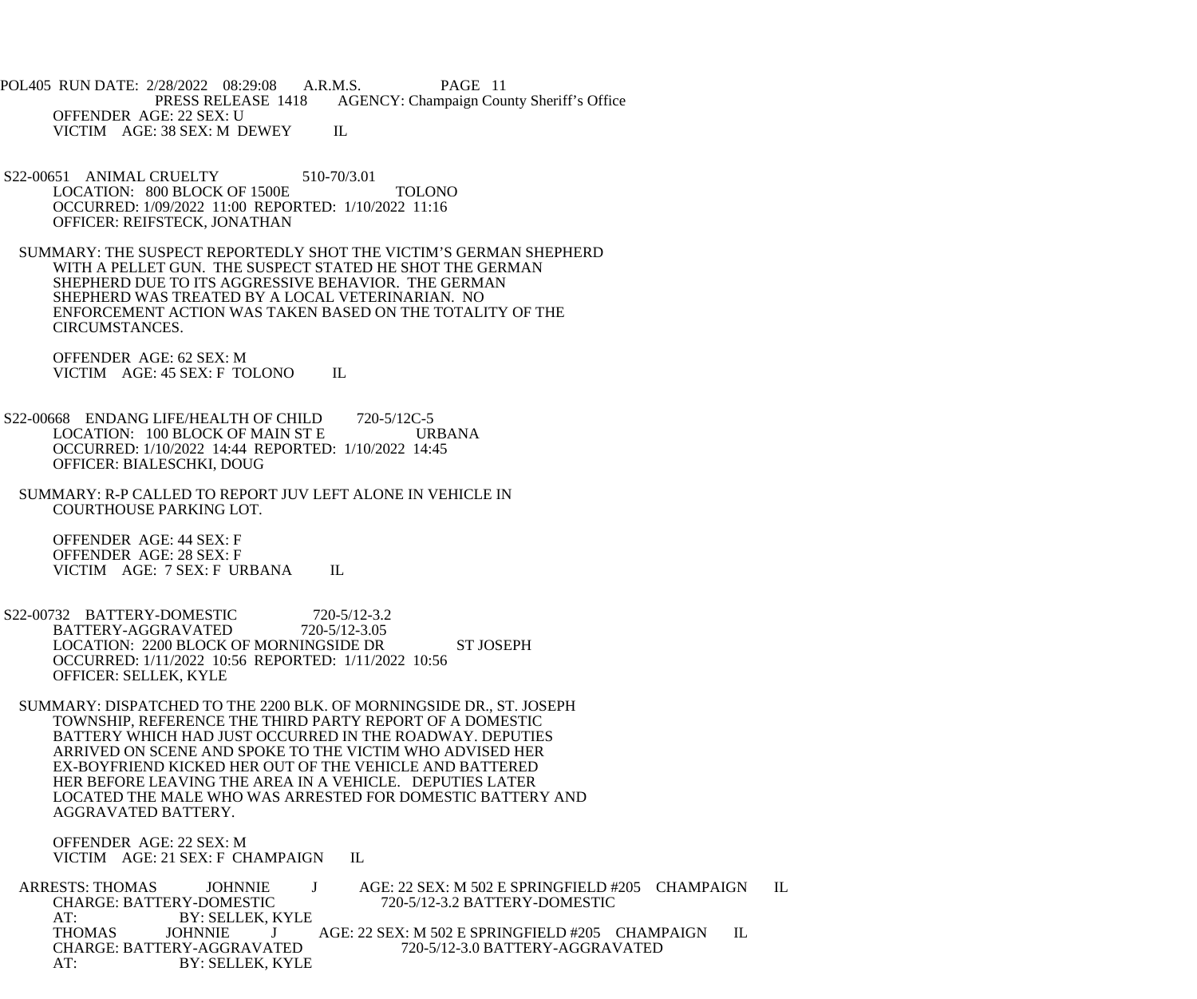POL405 RUN DATE: 2/28/2022 08:29:08 A.R.M.S. PAGE 11<br>PRESS RELEASE 1418 AGENCY: Champaign Cou AGENCY: Champaign County Sheriff's Office OFFENDER AGE: 22 SEX: U VICTIM AGE: 38 SEX: M DEWEY IL

- S22-00651 ANIMAL CRUELTY 510-70/3.01 LOCATION: 800 BLOCK OF 1500E TOLONO OCCURRED: 1/09/2022 11:00 REPORTED: 1/10/2022 11:16 OFFICER: REIFSTECK, JONATHAN
- SUMMARY: THE SUSPECT REPORTEDLY SHOT THE VICTIM'S GERMAN SHEPHERD WITH A PELLET GUN. THE SUSPECT STATED HE SHOT THE GERMAN SHEPHERD DUE TO ITS AGGRESSIVE BEHAVIOR. THE GERMAN SHEPHERD WAS TREATED BY A LOCAL VETERINARIAN. NO ENFORCEMENT ACTION WAS TAKEN BASED ON THE TOTALITY OF THE CIRCUMSTANCES.

 OFFENDER AGE: 62 SEX: M VICTIM AGE: 45 SEX: F TOLONO IL

- S22-00668 ENDANG LIFE/HEALTH OF CHILD 720-5/12C-5 LOCATION: 100 BLOCK OF MAIN ST E URBANA OCCURRED: 1/10/2022 14:44 REPORTED: 1/10/2022 14:45 OFFICER: BIALESCHKI, DOUG
- SUMMARY: R-P CALLED TO REPORT JUV LEFT ALONE IN VEHICLE IN COURTHOUSE PARKING LOT.

 OFFENDER AGE: 44 SEX: F OFFENDER AGE: 28 SEX: F VICTIM AGE: 7 SEX: F URBANA IL

- S22-00732 BATTERY-DOMESTIC 720-5/12-3.2<br>BATTERY-AGGRAVATED 720-5/12-3.05 BATTERY-AGGRAVATED LOCATION: 2200 BLOCK OF MORNINGSIDE DR ST JOSEPH OCCURRED: 1/11/2022 10:56 REPORTED: 1/11/2022 10:56 OFFICER: SELLEK, KYLE
- SUMMARY: DISPATCHED TO THE 2200 BLK. OF MORNINGSIDE DR., ST. JOSEPH TOWNSHIP, REFERENCE THE THIRD PARTY REPORT OF A DOMESTIC BATTERY WHICH HAD JUST OCCURRED IN THE ROADWAY. DEPUTIES ARRIVED ON SCENE AND SPOKE TO THE VICTIM WHO ADVISED HER EX-BOYFRIEND KICKED HER OUT OF THE VEHICLE AND BATTERED HER BEFORE LEAVING THE AREA IN A VEHICLE. DEPUTIES LATER LOCATED THE MALE WHO WAS ARRESTED FOR DOMESTIC BATTERY AND AGGRAVATED BATTERY.

 OFFENDER AGE: 22 SEX: M VICTIM AGE: 21 SEX: F CHAMPAIGN IL

ARRESTS: THOMAS JOHNNIE J AGE: 22 SEX: M 502 E SPRINGFIELD #205 CHAMPAIGN IL<br>CHARGE: BATTERY-DOMESTIC 720-5/12-3.2 BATTERY-DOMESTIC CHARGE: BATTERY-DOMESTIC 720-5/12-3.2 BATTERY-DOMESTIC AT: BY: SELLEK, KYLE THOMAS JOHNNIE J AGE: 22 SEX: M 502 E SPRINGFIELD #205 CHAMPAIGN IL CHARGE: BATTERY-AGGRAVATED 720-5/12-3.0 BATTERY-AGGRAVATED AT: BY: SELLEK, KYLE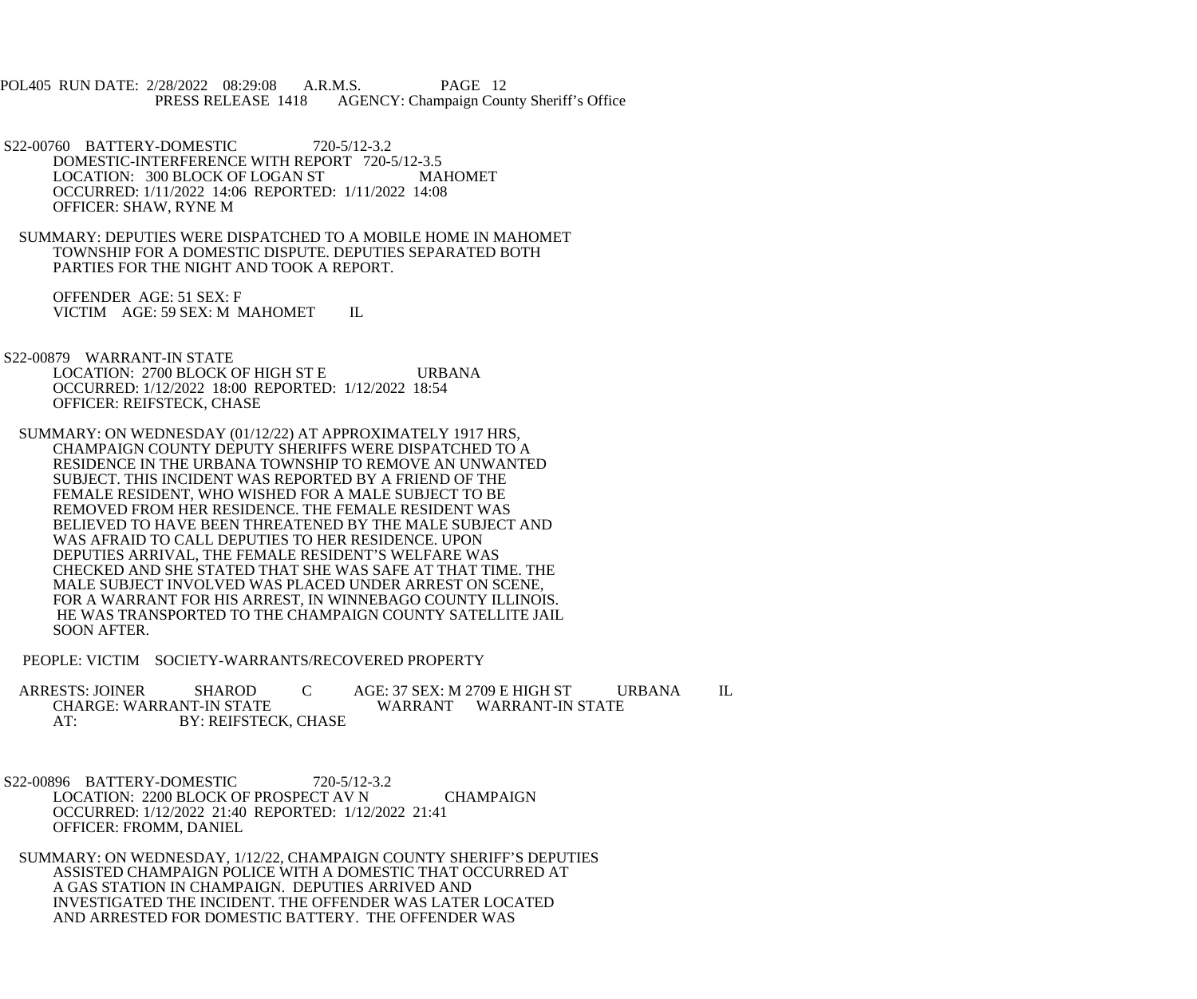POL405 RUN DATE: 2/28/2022 08:29:08 A.R.M.S. PAGE 12 AGENCY: Champaign County Sheriff's Office

- S22-00760 BATTERY-DOMESTIC 720-5/12-3.2 DOMESTIC-INTERFERENCE WITH REPORT 720-5/12-3.5 LOCATION: 300 BLOCK OF LOGAN ST MAHOMET OCCURRED: 1/11/2022 14:06 REPORTED: 1/11/2022 14:08 OFFICER: SHAW, RYNE M
- SUMMARY: DEPUTIES WERE DISPATCHED TO A MOBILE HOME IN MAHOMET TOWNSHIP FOR A DOMESTIC DISPUTE. DEPUTIES SEPARATED BOTH PARTIES FOR THE NIGHT AND TOOK A REPORT.

 OFFENDER AGE: 51 SEX: F VICTIM AGE: 59 SEX: M MAHOMET IL

 S22-00879 WARRANT-IN STATE LOCATION: 2700 BLOCK OF HIGH ST E URBANA OCCURRED: 1/12/2022 18:00 REPORTED: 1/12/2022 18:54 OFFICER: REIFSTECK, CHASE

 SUMMARY: ON WEDNESDAY (01/12/22) AT APPROXIMATELY 1917 HRS, CHAMPAIGN COUNTY DEPUTY SHERIFFS WERE DISPATCHED TO A RESIDENCE IN THE URBANA TOWNSHIP TO REMOVE AN UNWANTED SUBJECT. THIS INCIDENT WAS REPORTED BY A FRIEND OF THE FEMALE RESIDENT, WHO WISHED FOR A MALE SUBJECT TO BE REMOVED FROM HER RESIDENCE. THE FEMALE RESIDENT WAS BELIEVED TO HAVE BEEN THREATENED BY THE MALE SUBJECT AND WAS AFRAID TO CALL DEPUTIES TO HER RESIDENCE. UPON DEPUTIES ARRIVAL, THE FEMALE RESIDENT'S WELFARE WAS CHECKED AND SHE STATED THAT SHE WAS SAFE AT THAT TIME. THE MALE SUBJECT INVOLVED WAS PLACED UNDER ARREST ON SCENE, FOR A WARRANT FOR HIS ARREST, IN WINNEBAGO COUNTY ILLINOIS. HE WAS TRANSPORTED TO THE CHAMPAIGN COUNTY SATELLITE JAIL SOON AFTER.

PEOPLE: VICTIM SOCIETY-WARRANTS/RECOVERED PROPERTY

 ARRESTS: JOINER SHAROD C AGE: 37 SEX: M 2709 E HIGH ST URBANA IL CHARGE: WARRANT-IN STATE WARRANT WARRANT-IN STATE<br>AT: BY: REIFSTECK. CHASE BY: REIFSTECK, CHASE

 S22-00896 BATTERY-DOMESTIC 720-5/12-3.2 LOCATION: 2200 BLOCK OF PROSPECT AV N CHAMPAIGN OCCURRED: 1/12/2022 21:40 REPORTED: 1/12/2022 21:41 OFFICER: FROMM, DANIEL

 SUMMARY: ON WEDNESDAY, 1/12/22, CHAMPAIGN COUNTY SHERIFF'S DEPUTIES ASSISTED CHAMPAIGN POLICE WITH A DOMESTIC THAT OCCURRED AT A GAS STATION IN CHAMPAIGN. DEPUTIES ARRIVED AND INVESTIGATED THE INCIDENT. THE OFFENDER WAS LATER LOCATED AND ARRESTED FOR DOMESTIC BATTERY. THE OFFENDER WAS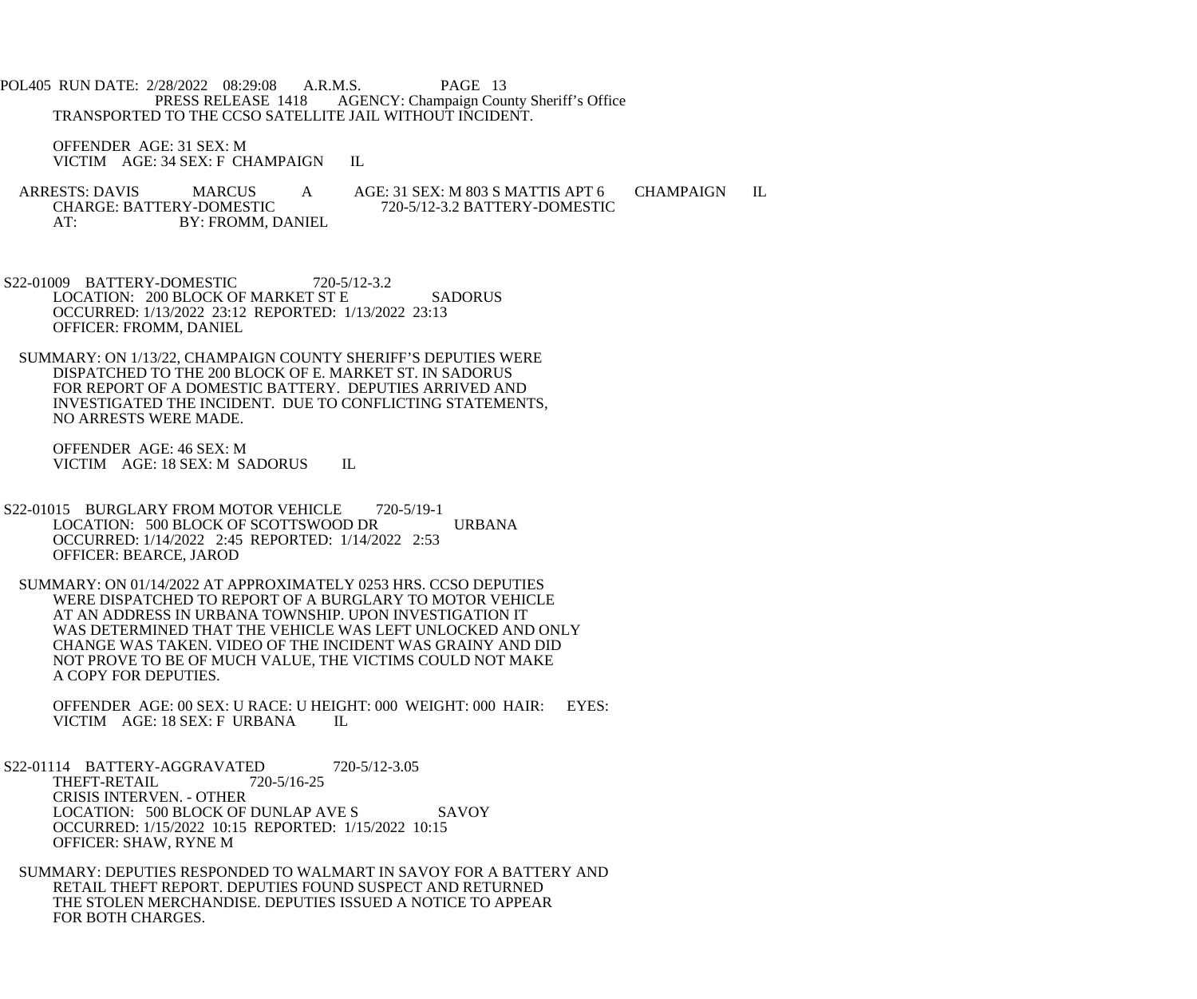POL405 RUN DATE: 2/28/2022 08:29:08 A.R.M.S. PAGE 13<br>PRESS RELEASE 1418 AGENCY: Champaign Cou AGENCY: Champaign County Sheriff's Office TRANSPORTED TO THE CCSO SATELLITE JAIL WITHOUT INCIDENT.

 OFFENDER AGE: 31 SEX: M VICTIM AGE: 34 SEX: F CHAMPAIGN IL

ARRESTS: DAVIS MARCUS A AGE: 31 SEX: M 803 S MATTIS APT 6 CHAMPAIGN IL<br>CHARGE: BATTERY-DOMESTIC 720-5/12-3.2 BATTERY-DOMESTIC CHARGE: BATTERY-DOMESTIC 720-5/12-3.2 BATTERY-DOMESTIC<br>AT: BY: FROMM. DANIEL BY: FROMM, DANIEL

S22-01009 BATTERY-DOMESTIC 720-5/12-3.2 LOCATION: 200 BLOCK OF MARKET ST E SADORUS OCCURRED: 1/13/2022 23:12 REPORTED: 1/13/2022 23:13 OFFICER: FROMM, DANIEL

 SUMMARY: ON 1/13/22, CHAMPAIGN COUNTY SHERIFF'S DEPUTIES WERE DISPATCHED TO THE 200 BLOCK OF E. MARKET ST. IN SADORUS FOR REPORT OF A DOMESTIC BATTERY. DEPUTIES ARRIVED AND INVESTIGATED THE INCIDENT. DUE TO CONFLICTING STATEMENTS, NO ARRESTS WERE MADE.

 OFFENDER AGE: 46 SEX: M VICTIM AGE: 18 SEX: M SADORUS IL

 S22-01015 BURGLARY FROM MOTOR VEHICLE 720-5/19-1 LOCATION: 500 BLOCK OF SCOTTSWOOD DR URBANA OCCURRED: 1/14/2022 2:45 REPORTED: 1/14/2022 2:53 OFFICER: BEARCE, JAROD

 SUMMARY: ON 01/14/2022 AT APPROXIMATELY 0253 HRS. CCSO DEPUTIES WERE DISPATCHED TO REPORT OF A BURGLARY TO MOTOR VEHICLE AT AN ADDRESS IN URBANA TOWNSHIP. UPON INVESTIGATION IT WAS DETERMINED THAT THE VEHICLE WAS LEFT UNLOCKED AND ONLY CHANGE WAS TAKEN. VIDEO OF THE INCIDENT WAS GRAINY AND DID NOT PROVE TO BE OF MUCH VALUE, THE VICTIMS COULD NOT MAKE A COPY FOR DEPUTIES.

OFFENDER AGE: 00 SEX: U RACE: U HEIGHT: 000 WEIGHT: 000 HAIR: EYES: VICTIM AGE: 18 SEX: F URBANA IL VICTIM AGE: 18 SEX: F URBANA

S22-01114 BATTERY-AGGRAVATED 720-5/12-3.05<br>THEFT-RETAIL 720-5/16-25 THEFT-RETAIL CRISIS INTERVEN. - OTHER LOCATION: 500 BLOCK OF DUNLAP AVE S SAVOY OCCURRED: 1/15/2022 10:15 REPORTED: 1/15/2022 10:15 OFFICER: SHAW, RYNE M

 SUMMARY: DEPUTIES RESPONDED TO WALMART IN SAVOY FOR A BATTERY AND RETAIL THEFT REPORT. DEPUTIES FOUND SUSPECT AND RETURNED THE STOLEN MERCHANDISE. DEPUTIES ISSUED A NOTICE TO APPEAR FOR BOTH CHARGES.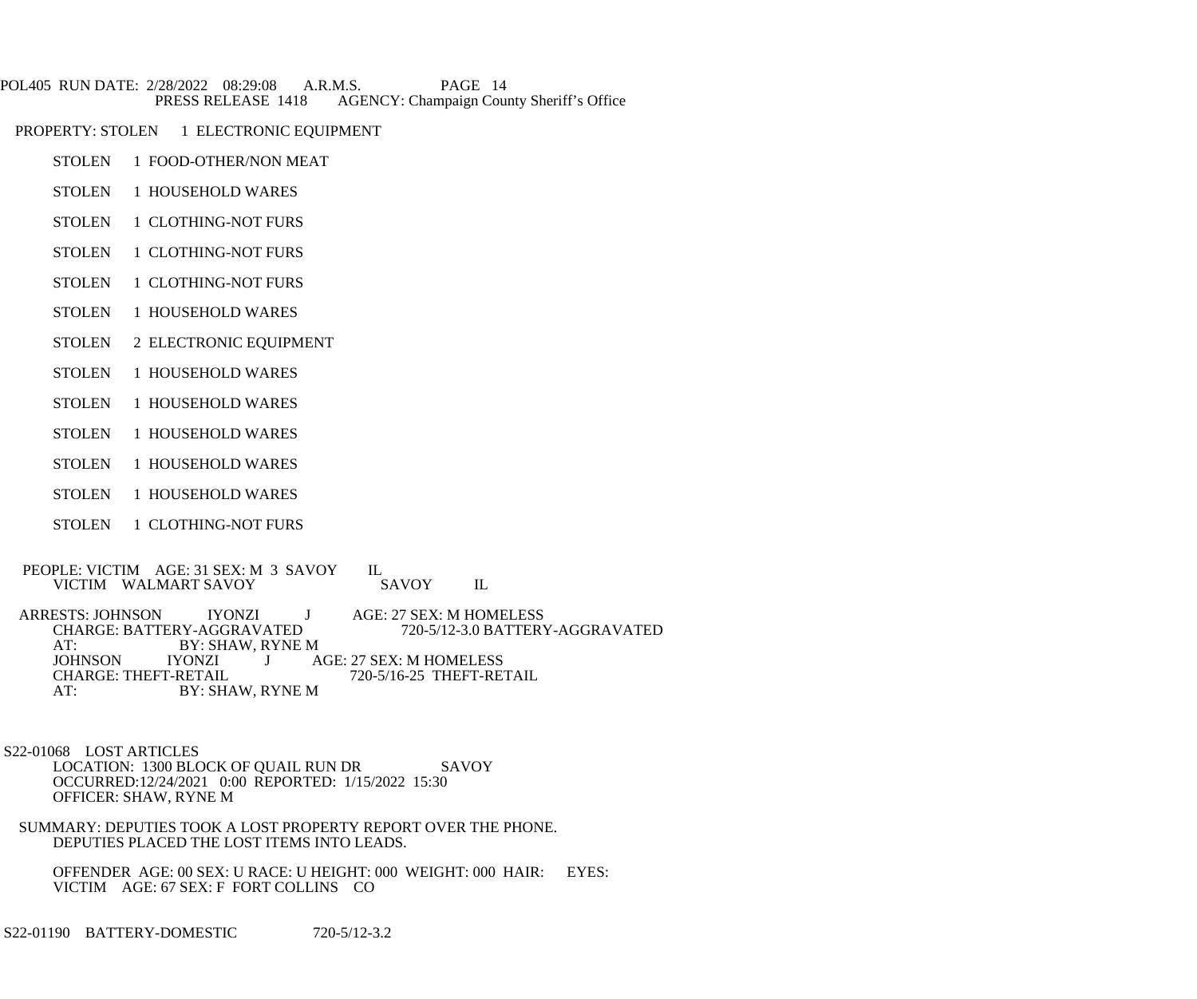- POL405 RUN DATE: 2/28/2022 08:29:08 A.R.M.S. PAGE 14<br>PRESS RELEASE 1418 AGENCY: Champaign Cou AGENCY: Champaign County Sheriff's Office
- PROPERTY: STOLEN 1 ELECTRONIC EQUIPMENT
	- STOLEN 1 FOOD-OTHER/NON MEAT
	- STOLEN 1 HOUSEHOLD WARES
	- STOLEN 1 CLOTHING-NOT FURS
	- STOLEN 1 CLOTHING-NOT FURS
	- STOLEN 1 CLOTHING-NOT FURS
	- STOLEN 1 HOUSEHOLD WARES
	- STOLEN 2 ELECTRONIC EQUIPMENT
	- STOLEN 1 HOUSEHOLD WARES
	- STOLEN 1 HOUSEHOLD WARES
	- STOLEN 1 HOUSEHOLD WARES
	- STOLEN 1 HOUSEHOLD WARES
	- STOLEN 1 HOUSEHOLD WARES
	- STOLEN 1 CLOTHING-NOT FURS
- PEOPLE: VICTIM AGE: 31 SEX: M 3 SAVOY IL<br>VICTIM WALMART SAVOY SAVOY VICTIM WALMART SAVOY SAVOY IL

ARRESTS: JOHNSON IYONZI J AGE: 27 SEX: M HOMELESS<br>CHARGE: BATTERY-AGGRAVATED 720-5/12-3.0 BATTER CHARGE: BATTERY-AGGRAVATED 720-5/12-3.0 BATTERY-AGGRAVATED<br>AT: BY: SHAW, RYNE M AT: BY: SHAW, RYNE M<br>JOHNSON IYONZI J A JOHNSON IYONZI J AGE: 27 SEX: M HOMELESS<br>CHARGE: THEFT-RETAIL 720-5/16-25 THEFT-RE CHARGE: THEFT-RETAIL 720-5/16-25 THEFT-RETAIL AT: BY: SHAW, RYNE M

 S22-01068 LOST ARTICLES LOCATION: 1300 BLOCK OF QUAIL RUN DR SAVOY

 OCCURRED:12/24/2021 0:00 REPORTED: 1/15/2022 15:30 OFFICER: SHAW, RYNE M

 SUMMARY: DEPUTIES TOOK A LOST PROPERTY REPORT OVER THE PHONE. DEPUTIES PLACED THE LOST ITEMS INTO LEADS.

 OFFENDER AGE: 00 SEX: U RACE: U HEIGHT: 000 WEIGHT: 000 HAIR: EYES: VICTIM AGE: 67 SEX: F FORT COLLINS CO

S22-01190 BATTERY-DOMESTIC 720-5/12-3.2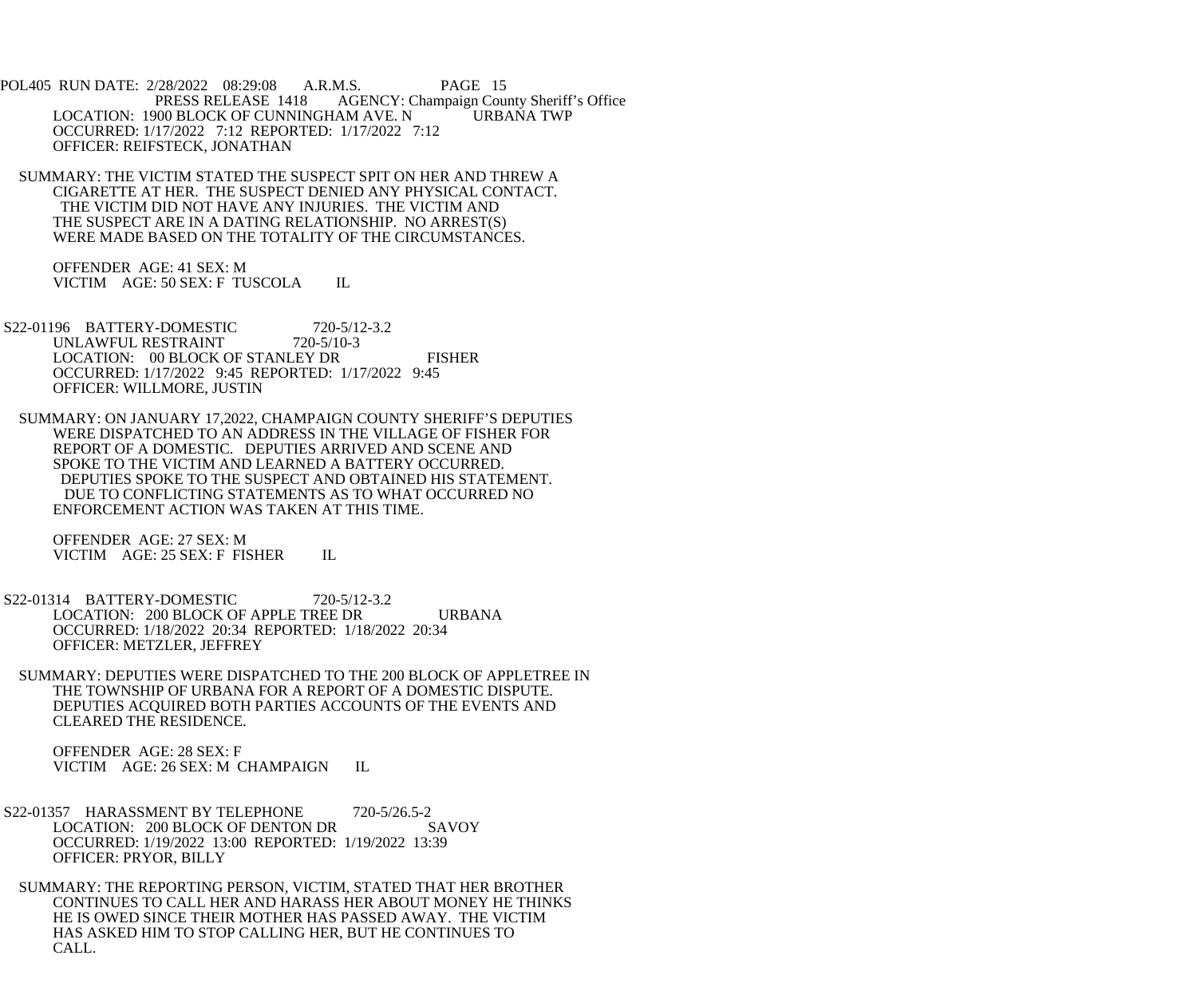POL405 RUN DATE: 2/28/2022 08:29:08 A.R.M.S. PAGE 15<br>PRESS RELEASE 1418 AGENCY: Champaign Cou AGENCY: Champaign County Sheriff's Office LOCATION: 1900 BLOCK OF CUNNINGHAM AVE. N URBANA TWP OCCURRED: 1/17/2022 7:12 REPORTED: 1/17/2022 7:12 OFFICER: REIFSTECK, JONATHAN

 SUMMARY: THE VICTIM STATED THE SUSPECT SPIT ON HER AND THREW A CIGARETTE AT HER. THE SUSPECT DENIED ANY PHYSICAL CONTACT. THE VICTIM DID NOT HAVE ANY INJURIES. THE VICTIM AND THE SUSPECT ARE IN A DATING RELATIONSHIP. NO ARREST(S) WERE MADE BASED ON THE TOTALITY OF THE CIRCUMSTANCES.

 OFFENDER AGE: 41 SEX: M VICTIM AGE: 50 SEX: F TUSCOLA IL

 S22-01196 BATTERY-DOMESTIC 720-5/12-3.2 UNLAWFUL RESTRAINT 720-5/10-3 LOCATION: 00 BLOCK OF STANLEY DR FISHER OCCURRED: 1/17/2022 9:45 REPORTED: 1/17/2022 9:45 OFFICER: WILLMORE, JUSTIN

 SUMMARY: ON JANUARY 17,2022, CHAMPAIGN COUNTY SHERIFF'S DEPUTIES WERE DISPATCHED TO AN ADDRESS IN THE VILLAGE OF FISHER FOR REPORT OF A DOMESTIC. DEPUTIES ARRIVED AND SCENE AND SPOKE TO THE VICTIM AND LEARNED A BATTERY OCCURRED. DEPUTIES SPOKE TO THE SUSPECT AND OBTAINED HIS STATEMENT. DUE TO CONFLICTING STATEMENTS AS TO WHAT OCCURRED NO ENFORCEMENT ACTION WAS TAKEN AT THIS TIME.

 OFFENDER AGE: 27 SEX: M VICTIM AGE: 25 SEX: F FISHER IL

 S22-01314 BATTERY-DOMESTIC 720-5/12-3.2 LOCATION: 200 BLOCK OF APPLE TREE DR URBANA OCCURRED: 1/18/2022 20:34 REPORTED: 1/18/2022 20:34 OFFICER: METZLER, JEFFREY

 SUMMARY: DEPUTIES WERE DISPATCHED TO THE 200 BLOCK OF APPLETREE IN THE TOWNSHIP OF URBANA FOR A REPORT OF A DOMESTIC DISPUTE. DEPUTIES ACQUIRED BOTH PARTIES ACCOUNTS OF THE EVENTS AND CLEARED THE RESIDENCE.

 OFFENDER AGE: 28 SEX: F VICTIM AGE: 26 SEX: M CHAMPAIGN IL

S22-01357 HARASSMENT BY TELEPHONE 720-5/26.5-2<br>LOCATION: 200 BLOCK OF DENTON DR SAVOY LOCATION: 200 BLOCK OF DENTON DR OCCURRED: 1/19/2022 13:00 REPORTED: 1/19/2022 13:39 OFFICER: PRYOR, BILLY

 SUMMARY: THE REPORTING PERSON, VICTIM, STATED THAT HER BROTHER CONTINUES TO CALL HER AND HARASS HER ABOUT MONEY HE THINKS HE IS OWED SINCE THEIR MOTHER HAS PASSED AWAY. THE VICTIM HAS ASKED HIM TO STOP CALLING HER, BUT HE CONTINUES TO CALL.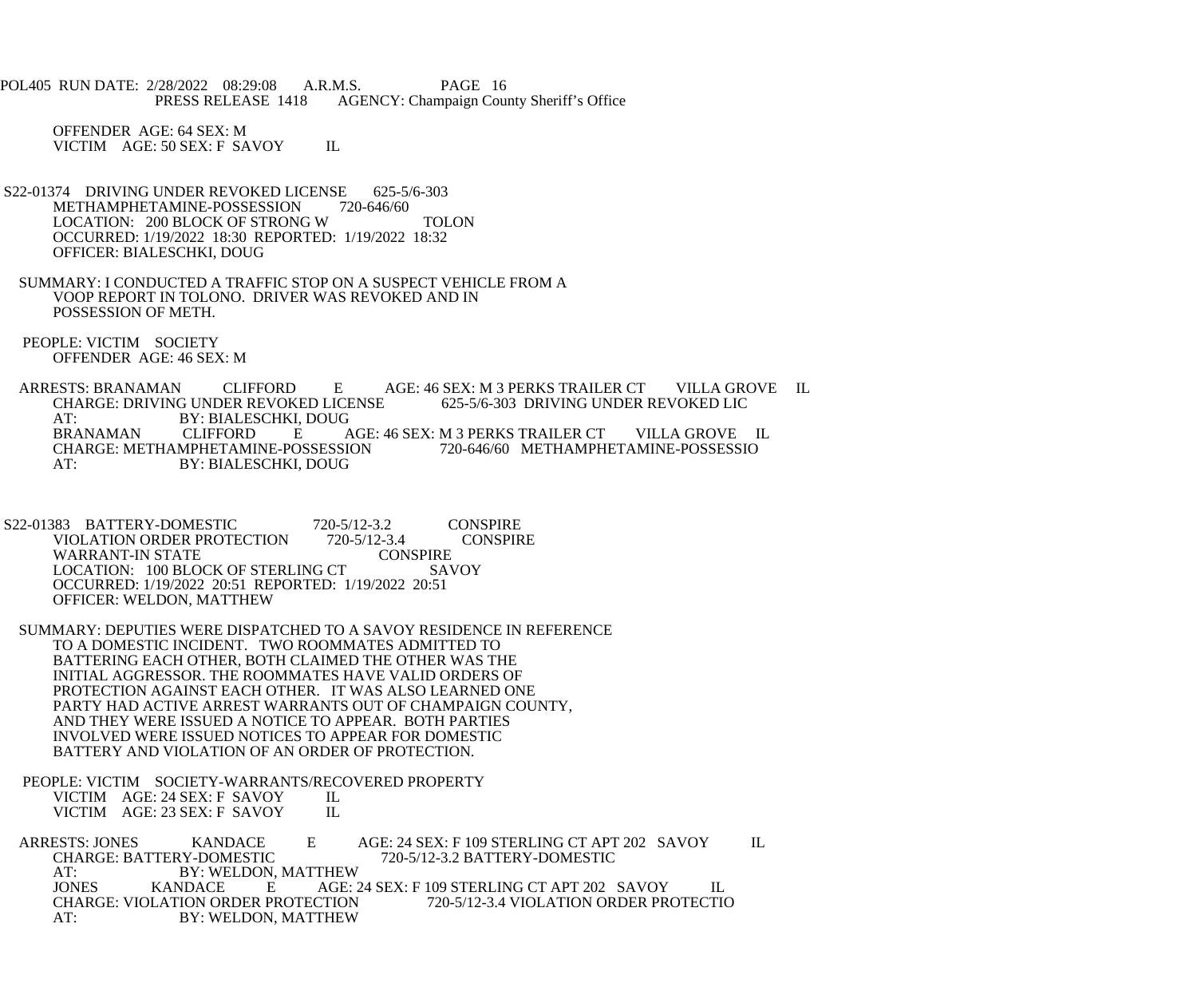POL405 RUN DATE: 2/28/2022 08:29:08 A.R.M.S. PAGE 16 PRESS RELEASE 1418 AGENCY: Champaign County Sheriff's Office

 OFFENDER AGE: 64 SEX: M VICTIM AGE: 50 SEX: F SAVOY IL

- S22-01374 DRIVING UNDER REVOKED LICENSE 625-5/6-303<br>METHAMPHETAMINE-POSSESSION 720-646/60 METHAMPHETAMINE-POSSESSION LOCATION: 200 BLOCK OF STRONG W TOLON OCCURRED: 1/19/2022 18:30 REPORTED: 1/19/2022 18:32 OFFICER: BIALESCHKI, DOUG
- SUMMARY: I CONDUCTED A TRAFFIC STOP ON A SUSPECT VEHICLE FROM A VOOP REPORT IN TOLONO. DRIVER WAS REVOKED AND IN POSSESSION OF METH.
- PEOPLE: VICTIM SOCIETY OFFENDER AGE: 46 SEX: M

ARRESTS: BRANAMAN CLIFFORD E AGE: 46 SEX: M 3 PERKS TRAILER CT VILLA GROVE IL<br>CHARGE: DRIVING UNDER REVOKED LICENSE 625-5/6-303 DRIVING UNDER REVOKED LIC CHARGE: DRIVING UNDER REVOKED LICENSE AT: BY: BIALESCHKI, DOUG<br>BRANAMAN CLIFFORD E A BRANAMAN CLIFFORD E AGE: 46 SEX: M 3 PERKS TRAILER CT VILLA GROVE IL CHARGE: METHAMPHETAMINE-POSSESSIO CHARGE: METHAMPHETAMINE-POSSESSION AT: BY: BIALESCHKI, DOUG

S22-01383 BATTERY-DOMESTIC 720-5/12-3.2 CONSPIRE<br>VIOLATION ORDER PROTECTION 720-5/12-3.4 CONSPIRE VIOLATION ORDER PROTECTION 720-5/12-3.4<br>WARRANT-IN STATE CONSPIRE WARRANT-IN STATE CONSPIRE<br>LOCATION: 100 BLOCK OF STERLING CT SAVOY LOCATION: 100 BLOCK OF STERLING CT OCCURRED: 1/19/2022 20:51 REPORTED: 1/19/2022 20:51 OFFICER: WELDON, MATTHEW

- SUMMARY: DEPUTIES WERE DISPATCHED TO A SAVOY RESIDENCE IN REFERENCE TO A DOMESTIC INCIDENT. TWO ROOMMATES ADMITTED TO BATTERING EACH OTHER, BOTH CLAIMED THE OTHER WAS THE INITIAL AGGRESSOR. THE ROOMMATES HAVE VALID ORDERS OF PROTECTION AGAINST EACH OTHER. IT WAS ALSO LEARNED ONE PARTY HAD ACTIVE ARREST WARRANTS OUT OF CHAMPAIGN COUNTY, AND THEY WERE ISSUED A NOTICE TO APPEAR. BOTH PARTIES INVOLVED WERE ISSUED NOTICES TO APPEAR FOR DOMESTIC BATTERY AND VIOLATION OF AN ORDER OF PROTECTION.
- PEOPLE: VICTIM SOCIETY-WARRANTS/RECOVERED PROPERTY<br>VICTIM AGE: 24 SEX: F SAVOY IL

VICTIM AGE: 24 SEX: F SAVOY IL<br>VICTIM AGE: 23 SEX: F SAVOY IL VICTIM AGE: 23 SEX: F SAVOY

ARRESTS: JONES KANDACE E AGE: 24 SEX: F 109 STERLING CT APT 202 SAVOY IL<br>CHARGE: BATTERY-DOMESTIC 720-5/12-3.2 BATTERY-DOMESTIC CHARGE: BATTERY-DOMESTIC 720-5/12-3.2 BATTERY-DOMESTIC<br>AT: BY: WELDON. MATTHEW AT: BY: WELDON, MATTHEW<br>JONES KANDACE E AGE: 2 AGE: 24 SEX: F 109 STERLING CT APT 202 SAVOY IL<br>CTION 720-5/12-3.4 VIOLATION ORDER PROTECTIO CHARGE: VIOLATION ORDER PROTECTION AT: BY: WELDON, MATTHEW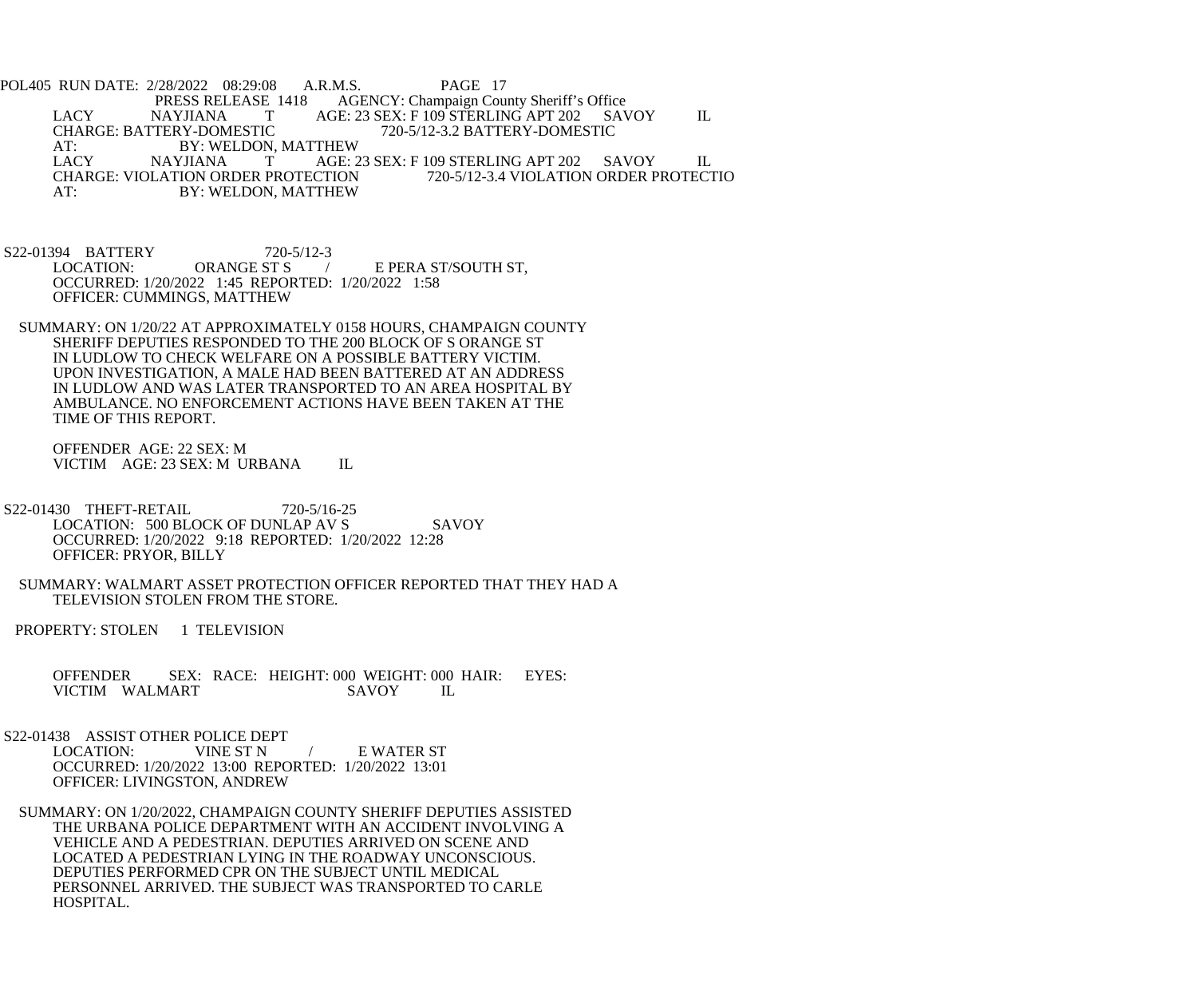POL405 RUN DATE: 2/28/2022 08:29:08 A.R.M.S. PAGE 17<br>PRESS RELEASE 1418 AGENCY: Champaign Cou E 1418 AGENCY: Champaign County Sheriff's Office<br>
T AGE: 23 SEX: F 109 STERLING APT 202 SAV LACY NAYJIANA T AGE: 23 SEX: F 109 STERLING APT 202 SAVOY IL CHARGE: BATTERY-DOMESTIC 720-5/12-3.2 BATTERY-DOMESTIC CHARGE: BATTERY-DOMESTIC 720-5/12-3.2 BATTERY-DOMESTIC AT: BY: WELDON, MATTHEW<br>LACY MAYJIANA T AGE: 2 T AGE: 23 SEX: F 109 STERLING APT 202 SAVOY IL CHARGE: VIOLATION ORDER PROTECTION 720-5/12-3.4 VIOLATION ORDER PROTECTIO AT: BY: WELDON, MATTHEW

S22-01394 BATTERY 720-5/12-3<br>LOCATION: ORANGE ST S E PERA ST/SOUTH ST, OCCURRED: 1/20/2022 1:45 REPORTED: 1/20/2022 1:58 OFFICER: CUMMINGS, MATTHEW

 SUMMARY: ON 1/20/22 AT APPROXIMATELY 0158 HOURS, CHAMPAIGN COUNTY SHERIFF DEPUTIES RESPONDED TO THE 200 BLOCK OF S ORANGE ST IN LUDLOW TO CHECK WELFARE ON A POSSIBLE BATTERY VICTIM. UPON INVESTIGATION, A MALE HAD BEEN BATTERED AT AN ADDRESS IN LUDLOW AND WAS LATER TRANSPORTED TO AN AREA HOSPITAL BY AMBULANCE. NO ENFORCEMENT ACTIONS HAVE BEEN TAKEN AT THE TIME OF THIS REPORT.

 OFFENDER AGE: 22 SEX: M VICTIM AGE: 23 SEX: M URBANA IL

 S22-01430 THEFT-RETAIL 720-5/16-25 LOCATION: 500 BLOCK OF DUNLAP AV S SAVOY OCCURRED: 1/20/2022 9:18 REPORTED: 1/20/2022 12:28 OFFICER: PRYOR, BILLY

 SUMMARY: WALMART ASSET PROTECTION OFFICER REPORTED THAT THEY HAD A TELEVISION STOLEN FROM THE STORE.

PROPERTY: STOLEN 1 TELEVISION

OFFENDER SEX: RACE: HEIGHT: 000 WEIGHT: 000 HAIR: EYES:<br>VICTIM WALMART SAVOY IL VICTIM WALMART

S22-01438 ASSIST OTHER POLICE DEPT<br>LOCATION: VINE ST N LOCATION: VINE ST N / E WATER ST OCCURRED: 1/20/2022 13:00 REPORTED: 1/20/2022 13:01 OFFICER: LIVINGSTON, ANDREW

 SUMMARY: ON 1/20/2022, CHAMPAIGN COUNTY SHERIFF DEPUTIES ASSISTED THE URBANA POLICE DEPARTMENT WITH AN ACCIDENT INVOLVING A VEHICLE AND A PEDESTRIAN. DEPUTIES ARRIVED ON SCENE AND LOCATED A PEDESTRIAN LYING IN THE ROADWAY UNCONSCIOUS. DEPUTIES PERFORMED CPR ON THE SUBJECT UNTIL MEDICAL PERSONNEL ARRIVED. THE SUBJECT WAS TRANSPORTED TO CARLE HOSPITAL.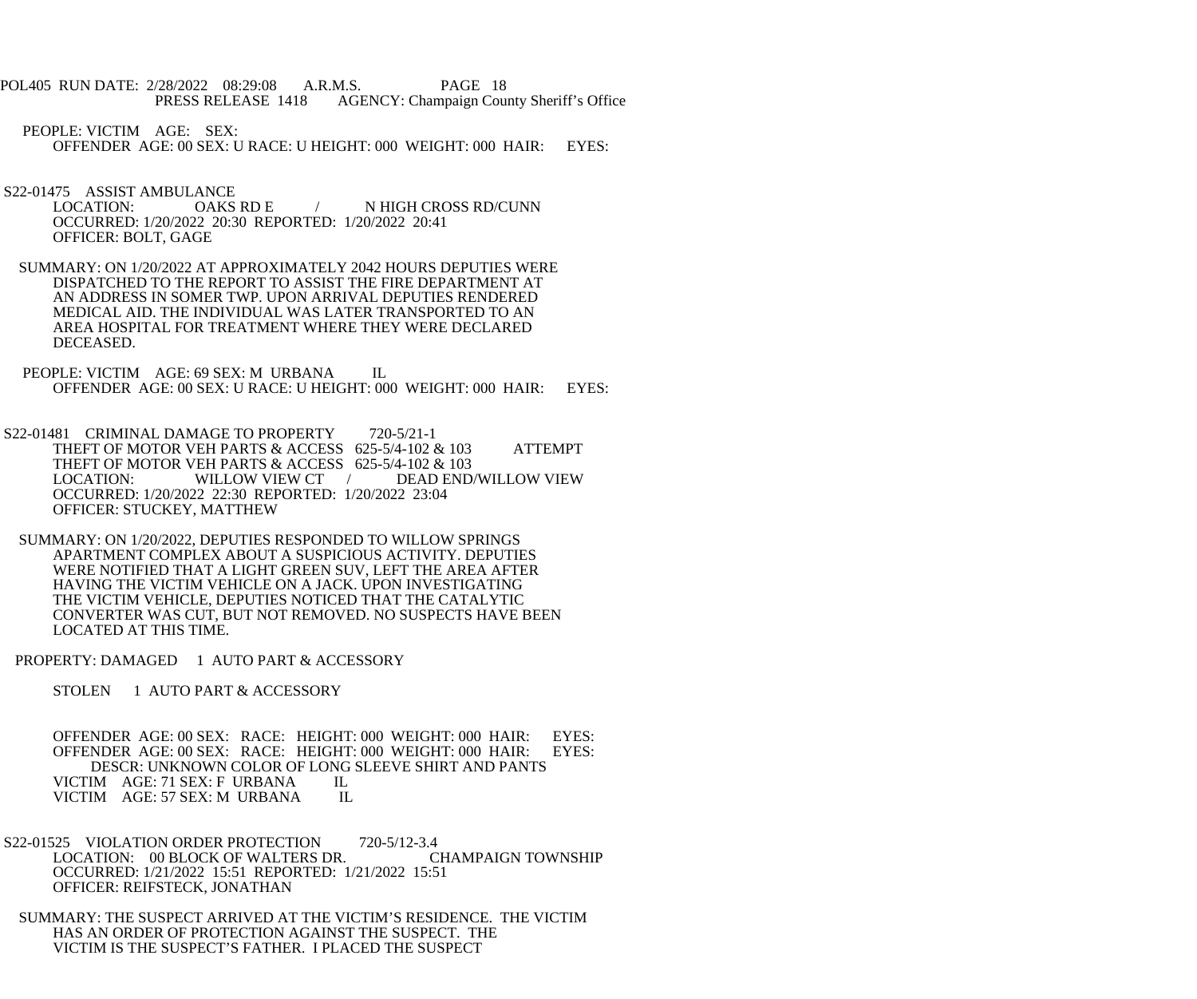POL405 RUN DATE: 2/28/2022 08:29:08 A.R.M.S. PAGE 18 PRESS RELEASE 1418 AGENCY: Champaign County Sheriff's Office

 PEOPLE: VICTIM AGE: SEX: OFFENDER AGE: 00 SEX: U RACE: U HEIGHT: 000 WEIGHT: 000 HAIR: EYES:

S22-01475 ASSIST AMBULANCE<br>LOCATION: OAKS RD E

- / N HIGH CROSS RD/CUNN OCCURRED: 1/20/2022 20:30 REPORTED: 1/20/2022 20:41 OFFICER: BOLT, GAGE
- SUMMARY: ON 1/20/2022 AT APPROXIMATELY 2042 HOURS DEPUTIES WERE DISPATCHED TO THE REPORT TO ASSIST THE FIRE DEPARTMENT AT AN ADDRESS IN SOMER TWP. UPON ARRIVAL DEPUTIES RENDERED MEDICAL AID. THE INDIVIDUAL WAS LATER TRANSPORTED TO AN AREA HOSPITAL FOR TREATMENT WHERE THEY WERE DECLARED DECEASED.
- PEOPLE: VICTIM AGE: 69 SEX: M URBANA IL OFFENDER AGE: 00 SEX: U RACE: U HEIGHT: 000 WEIGHT: 000 HAIR: EYES:
- S22-01481 CRIMINAL DAMAGE TO PROPERTY 720-5/21-1 THEFT OF MOTOR VEH PARTS & ACCESS 625-5/4-102 & 103 ATTEMPT THEFT OF MOTOR VEH PARTS & ACCESS 625-5/4-102 & 103<br>LOCATION: WILLOW VIEW CT / DEAD END DEAD END/WILLOW VIEW OCCURRED: 1/20/2022 22:30 REPORTED: 1/20/2022 23:04 OFFICER: STUCKEY, MATTHEW
- SUMMARY: ON 1/20/2022, DEPUTIES RESPONDED TO WILLOW SPRINGS APARTMENT COMPLEX ABOUT A SUSPICIOUS ACTIVITY. DEPUTIES WERE NOTIFIED THAT A LIGHT GREEN SUV, LEFT THE AREA AFTER HAVING THE VICTIM VEHICLE ON A JACK. UPON INVESTIGATING THE VICTIM VEHICLE, DEPUTIES NOTICED THAT THE CATALYTIC CONVERTER WAS CUT, BUT NOT REMOVED. NO SUSPECTS HAVE BEEN LOCATED AT THIS TIME.

PROPERTY: DAMAGED 1 AUTO PART & ACCESSORY

STOLEN 1 AUTO PART & ACCESSORY

OFFENDER AGE: 00 SEX: RACE: HEIGHT: 000 WEIGHT: 000 HAIR: EYES: OFFENDER AGE: 00 SEX: RACE: HEIGHT: 000 WEIGHT: 000 HAIR: EYES: OFFENDER AGE: 00 SEX: RACE: HEIGHT: 000 WEIGHT: 000 HAIR: DESCR: UNKNOWN COLOR OF LONG SLEEVE SHIRT AND PANTS VICTIM AGE: 71 SEX: F URBANA IL<br>VICTIM AGE: 57 SEX: M URBANA IL VICTIM AGE: 57 SEX: M URBANA

- S22-01525 VIOLATION ORDER PROTECTION 720-5/12-3.4 LOCATION: 00 BLOCK OF WALTERS DR. CHAMPAIGN TOWNSHIP OCCURRED: 1/21/2022 15:51 REPORTED: 1/21/2022 15:51 OFFICER: REIFSTECK, JONATHAN
- SUMMARY: THE SUSPECT ARRIVED AT THE VICTIM'S RESIDENCE. THE VICTIM HAS AN ORDER OF PROTECTION AGAINST THE SUSPECT. THE VICTIM IS THE SUSPECT'S FATHER. I PLACED THE SUSPECT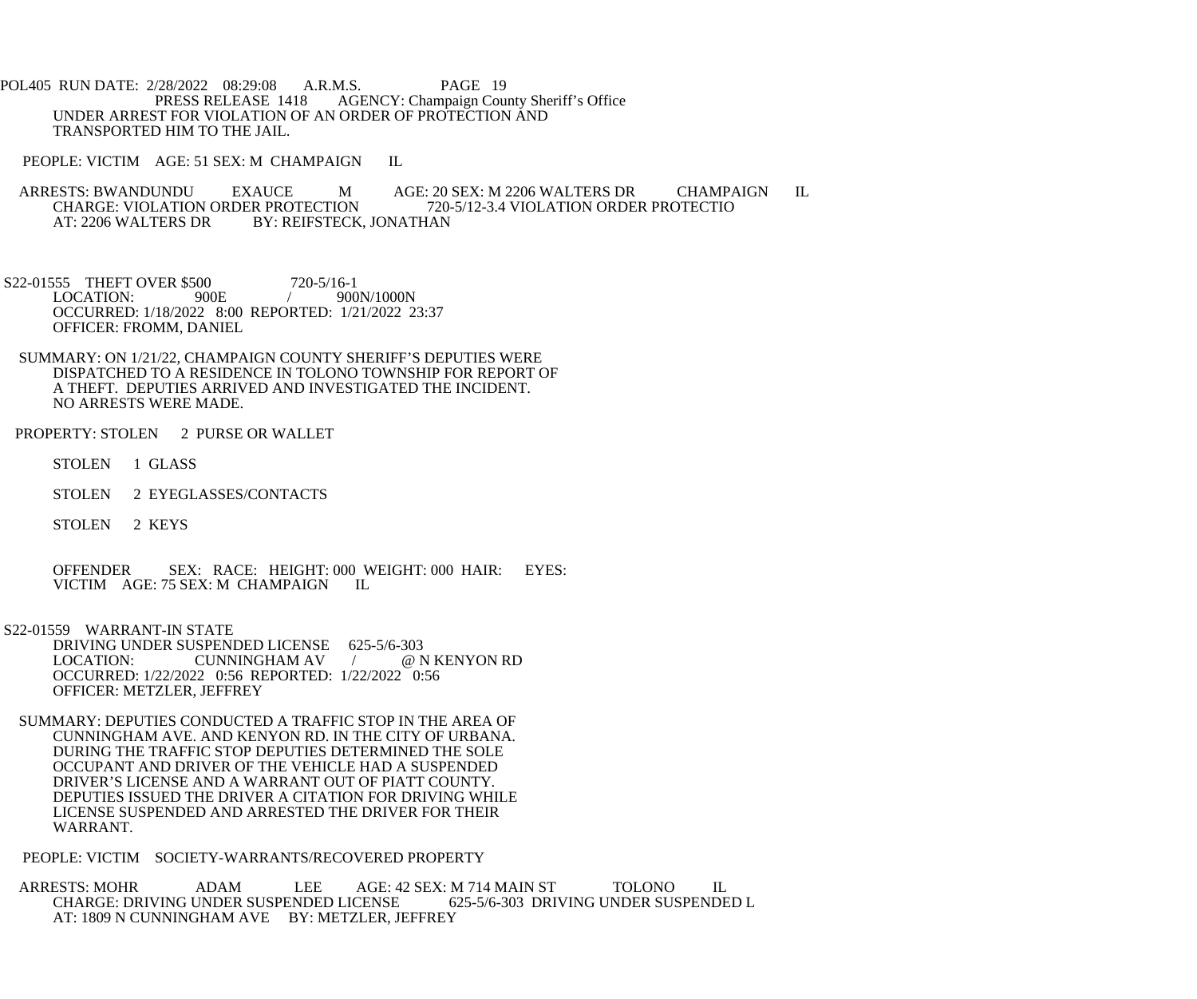POL405 RUN DATE: 2/28/2022 08:29:08 A.R.M.S. PAGE 19<br>PRESS RELEASE 1418 AGENCY: Champaign Cou AGENCY: Champaign County Sheriff's Office UNDER ARREST FOR VIOLATION OF AN ORDER OF PROTECTION AND TRANSPORTED HIM TO THE JAIL.

PEOPLE: VICTIM AGE: 51 SEX: M CHAMPAIGN IL

ARRESTS: BWANDUNDU EXAUCE M AGE: 20 SEX: M 2206 WALTERS DR CHAMPAIGN IL<br>CHARGE: VIOLATION ORDER PROTECTION 720-5/12-3.4 VIOLATION ORDER PROTECTIO CHARGE: VIOLATION ORDER PROTECTION 720-5/12-3.4 VIOLATION ORDER PROTECTIO<br>AT: 2206 WALTERS DR BY: REIFSTECK, JONATHAN BY: REIFSTECK, JONATHAN

S22-01555 THEFT OVER \$500 720-5/16-1<br>LOCATION: 900E / 900  $/ 900N/1000N$  OCCURRED: 1/18/2022 8:00 REPORTED: 1/21/2022 23:37 OFFICER: FROMM, DANIEL

 SUMMARY: ON 1/21/22, CHAMPAIGN COUNTY SHERIFF'S DEPUTIES WERE DISPATCHED TO A RESIDENCE IN TOLONO TOWNSHIP FOR REPORT OF A THEFT. DEPUTIES ARRIVED AND INVESTIGATED THE INCIDENT. NO ARRESTS WERE MADE.

PROPERTY: STOLEN 2 PURSE OR WALLET

STOLEN 1 GLASS

STOLEN 2 EYEGLASSES/CONTACTS

STOLEN 2 KEYS

 OFFENDER SEX: RACE: HEIGHT: 000 WEIGHT: 000 HAIR: EYES: VICTIM AGE: 75 SEX: M CHAMPAIGN IL

S22-01559 WARRANT-IN STATE

DRIVING UNDER SUSPENDED LICENSE 625-5/6-303<br>LOCATION: CUNNINGHAM AV / @ N KENYON RD CUNNINGHAM AV / OCCURRED: 1/22/2022 0:56 REPORTED: 1/22/2022 0:56 OFFICER: METZLER, JEFFREY

 SUMMARY: DEPUTIES CONDUCTED A TRAFFIC STOP IN THE AREA OF CUNNINGHAM AVE. AND KENYON RD. IN THE CITY OF URBANA. DURING THE TRAFFIC STOP DEPUTIES DETERMINED THE SOLE OCCUPANT AND DRIVER OF THE VEHICLE HAD A SUSPENDED DRIVER'S LICENSE AND A WARRANT OUT OF PIATT COUNTY. DEPUTIES ISSUED THE DRIVER A CITATION FOR DRIVING WHILE LICENSE SUSPENDED AND ARRESTED THE DRIVER FOR THEIR WARRANT.

PEOPLE: VICTIM SOCIETY-WARRANTS/RECOVERED PROPERTY

 ARRESTS: MOHR ADAM LEE AGE: 42 SEX: M 714 MAIN ST TOLONO IL CHARGE: DRIVING UNDER SUSPENDED LICENSE AT: 1809 N CUNNINGHAM AVE BY: METZLER, JEFFREY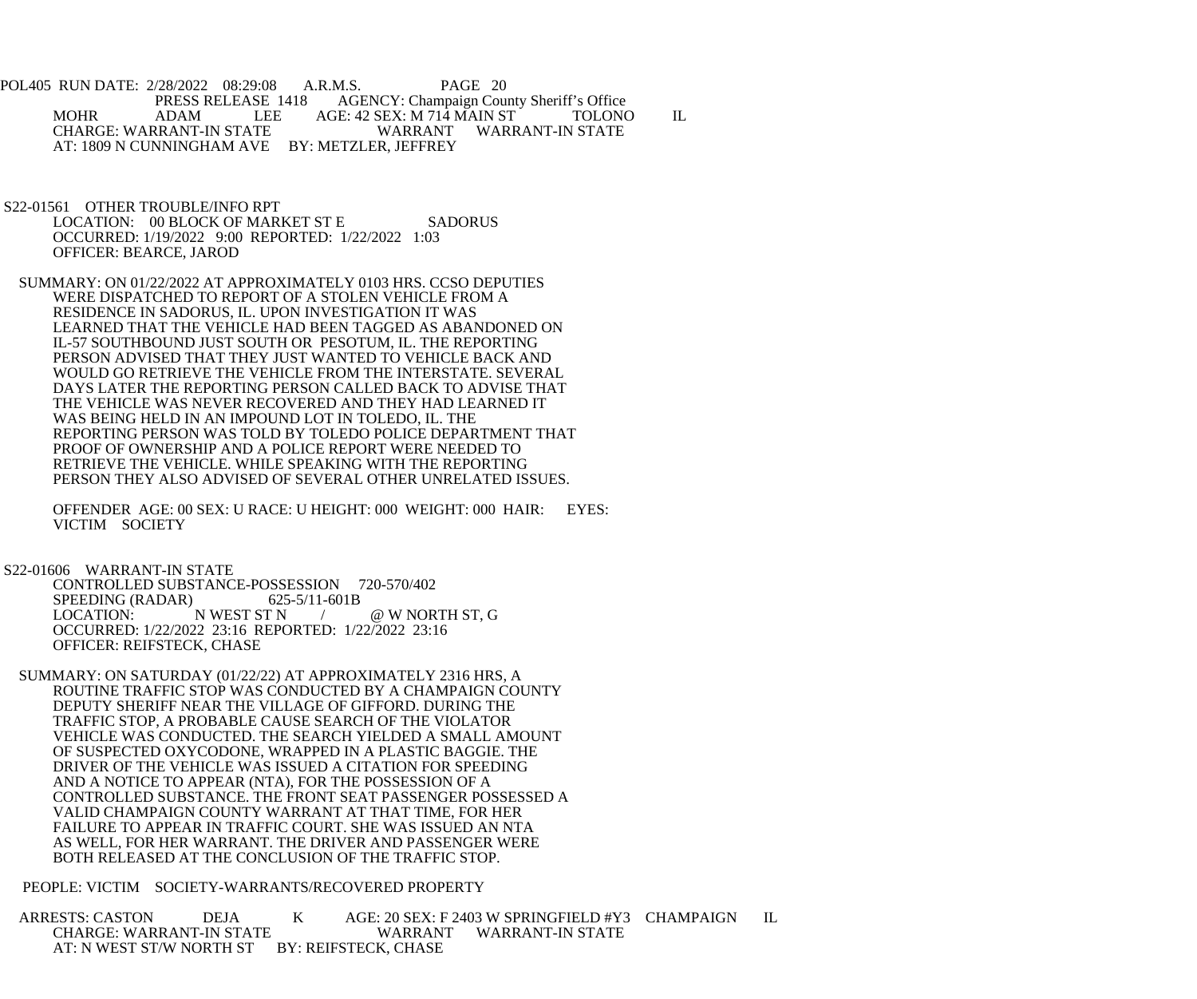POL405 RUN DATE: 2/28/2022 08:29:08 A.R.M.S. PAGE 20 PRESS RELEASE 1418 AGENCY: Champaign County Sheriff's Office MOHR ADAM LEE AGE: 42 SEX: M 714 MAIN ST TOLONO IL CHARGE: WARRANT-IN STATE AT: 1809 N CUNNINGHAM AVE BY: METZLER, JEFFREY

 S22-01561 OTHER TROUBLE/INFO RPT LOCATION: 00 BLOCK OF MARKET ST E SADORUS OCCURRED: 1/19/2022 9:00 REPORTED: 1/22/2022 1:03 OFFICER: BEARCE, JAROD

 SUMMARY: ON 01/22/2022 AT APPROXIMATELY 0103 HRS. CCSO DEPUTIES WERE DISPATCHED TO REPORT OF A STOLEN VEHICLE FROM A RESIDENCE IN SADORUS, IL. UPON INVESTIGATION IT WAS LEARNED THAT THE VEHICLE HAD BEEN TAGGED AS ABANDONED ON IL-57 SOUTHBOUND JUST SOUTH OR PESOTUM, IL. THE REPORTING PERSON ADVISED THAT THEY JUST WANTED TO VEHICLE BACK AND WOULD GO RETRIEVE THE VEHICLE FROM THE INTERSTATE. SEVERAL DAYS LATER THE REPORTING PERSON CALLED BACK TO ADVISE THAT THE VEHICLE WAS NEVER RECOVERED AND THEY HAD LEARNED IT WAS BEING HELD IN AN IMPOUND LOT IN TOLEDO, IL. THE REPORTING PERSON WAS TOLD BY TOLEDO POLICE DEPARTMENT THAT PROOF OF OWNERSHIP AND A POLICE REPORT WERE NEEDED TO RETRIEVE THE VEHICLE. WHILE SPEAKING WITH THE REPORTING PERSON THEY ALSO ADVISED OF SEVERAL OTHER UNRELATED ISSUES.

 OFFENDER AGE: 00 SEX: U RACE: U HEIGHT: 000 WEIGHT: 000 HAIR: EYES: VICTIM SOCIETY

## S22-01606 WARRANT-IN STATE

 CONTROLLED SUBSTANCE-POSSESSION 720-570/402 SPEEDING (RADAR) 625-5/11-601B LOCATION: N WEST ST N  $/$  @ W NORTH ST, G OCCURRED: 1/22/2022 23:16 REPORTED: 1/22/2022 23:16 OFFICER: REIFSTECK, CHASE

 SUMMARY: ON SATURDAY (01/22/22) AT APPROXIMATELY 2316 HRS, A ROUTINE TRAFFIC STOP WAS CONDUCTED BY A CHAMPAIGN COUNTY DEPUTY SHERIFF NEAR THE VILLAGE OF GIFFORD. DURING THE TRAFFIC STOP, A PROBABLE CAUSE SEARCH OF THE VIOLATOR VEHICLE WAS CONDUCTED. THE SEARCH YIELDED A SMALL AMOUNT OF SUSPECTED OXYCODONE, WRAPPED IN A PLASTIC BAGGIE. THE DRIVER OF THE VEHICLE WAS ISSUED A CITATION FOR SPEEDING AND A NOTICE TO APPEAR (NTA), FOR THE POSSESSION OF A CONTROLLED SUBSTANCE. THE FRONT SEAT PASSENGER POSSESSED A VALID CHAMPAIGN COUNTY WARRANT AT THAT TIME, FOR HER FAILURE TO APPEAR IN TRAFFIC COURT. SHE WAS ISSUED AN NTA AS WELL, FOR HER WARRANT. THE DRIVER AND PASSENGER WERE BOTH RELEASED AT THE CONCLUSION OF THE TRAFFIC STOP.

PEOPLE: VICTIM SOCIETY-WARRANTS/RECOVERED PROPERTY

ARRESTS: CASTON DEJA K AGE: 20 SEX: F 2403 W SPRINGFIELD #Y3 CHAMPAIGN IL<br>CHARGE: WARRANT-IN STATE WARRANT WARRANT-IN STATE WARRANT WARRANT-IN STATE AT: N WEST ST/W NORTH ST BY: REIFSTECK, CHASE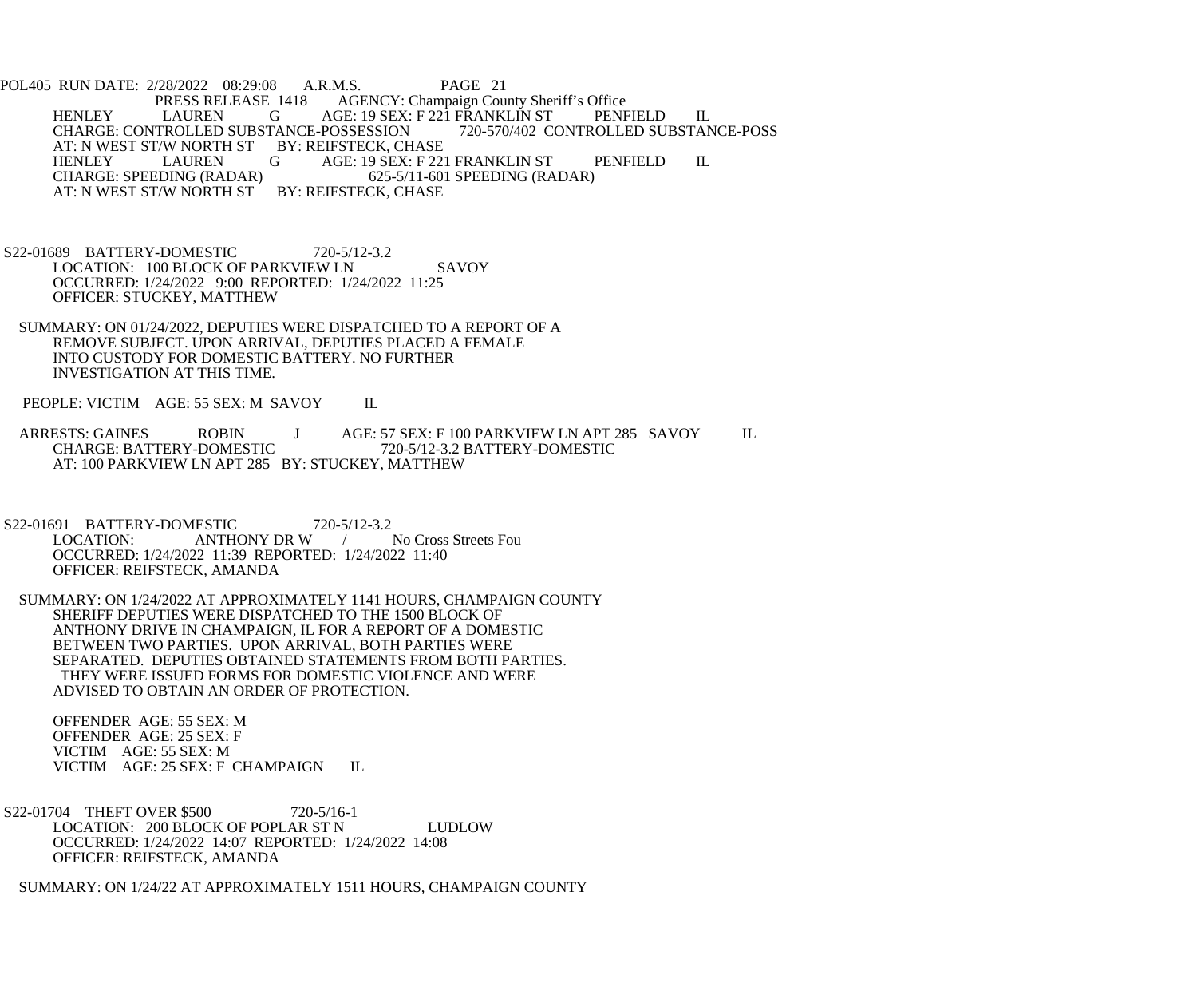POL405 RUN DATE: 2/28/2022 08:29:08 A.R.M.S. PAGE 21<br>PRESS RELEASE 1418 AGENCY: Champaign Cou AGENCY: Champaign County Sheriff's Office HENLEY LAUREN G AGE: 19 SEX: F 221 FRANKLIN ST PENFIELD IL<br>CHARGE: CONTROLLED SUBSTANCE-POSSESSION 720-570/402 CONTROLLED SUBSTANCE-POSS CHARGE: CONTROLLED SUBSTANCE-POSSESSION AT: N WEST ST/W NORTH ST BY: REIFSTECK, CHASE<br>HENLEY LAUREN G AGE: 19 SEX: F 221 LAUREN G AGE: 19 SEX: F 221 FRANKLIN ST PENFIELD IL<br>DING (RADAR) 625-5/11-601 SPEEDING (RADAR) CHARGE: SPEEDING (RADAR) 625-5/11-601<br>AT: N WEST ST/W NORTH ST BY: REIFSTECK, CHASE AT: N WEST ST/W NORTH ST

- S22-01689 BATTERY-DOMESTIC 720-5/12-3.2 LOCATION: 100 BLOCK OF PARKVIEW LN SAVOY OCCURRED: 1/24/2022 9:00 REPORTED: 1/24/2022 11:25 OFFICER: STUCKEY, MATTHEW
- SUMMARY: ON 01/24/2022, DEPUTIES WERE DISPATCHED TO A REPORT OF A REMOVE SUBJECT. UPON ARRIVAL, DEPUTIES PLACED A FEMALE INTO CUSTODY FOR DOMESTIC BATTERY. NO FURTHER INVESTIGATION AT THIS TIME.

PEOPLE: VICTIM AGE: 55 SEX: M SAVOY IL

ARRESTS: GAINES ROBIN J AGE: 57 SEX: F 100 PARKVIEW LN APT 285 SAVOY IL CHARGE: BATTERY-DOMESTIC 720-5/12-3.2 BATTERY-DOMESTIC 720-5/12-3.2 BATTERY-DOMESTIC AT: 100 PARKVIEW LN APT 285 BY: STUCKEY, MATTHEW

- S22-01691 BATTERY-DOMESTIC 720-5/12-3.2<br>LOCATION: ANTHONY DR W / No Cross Streets Fou ANTHONY DR W OCCURRED: 1/24/2022 11:39 REPORTED: 1/24/2022 11:40 OFFICER: REIFSTECK, AMANDA
- SUMMARY: ON 1/24/2022 AT APPROXIMATELY 1141 HOURS, CHAMPAIGN COUNTY SHERIFF DEPUTIES WERE DISPATCHED TO THE 1500 BLOCK OF ANTHONY DRIVE IN CHAMPAIGN, IL FOR A REPORT OF A DOMESTIC BETWEEN TWO PARTIES. UPON ARRIVAL, BOTH PARTIES WERE SEPARATED. DEPUTIES OBTAINED STATEMENTS FROM BOTH PARTIES. THEY WERE ISSUED FORMS FOR DOMESTIC VIOLENCE AND WERE ADVISED TO OBTAIN AN ORDER OF PROTECTION.

 OFFENDER AGE: 55 SEX: M OFFENDER AGE: 25 SEX: F VICTIM AGE: 55 SEX: M VICTIM AGE: 25 SEX: F CHAMPAIGN IL

S22-01704 THEFT OVER \$500 720-5/16-1 LOCATION: 200 BLOCK OF POPLAR ST N LUDLOW OCCURRED: 1/24/2022 14:07 REPORTED: 1/24/2022 14:08 OFFICER: REIFSTECK, AMANDA

SUMMARY: ON 1/24/22 AT APPROXIMATELY 1511 HOURS, CHAMPAIGN COUNTY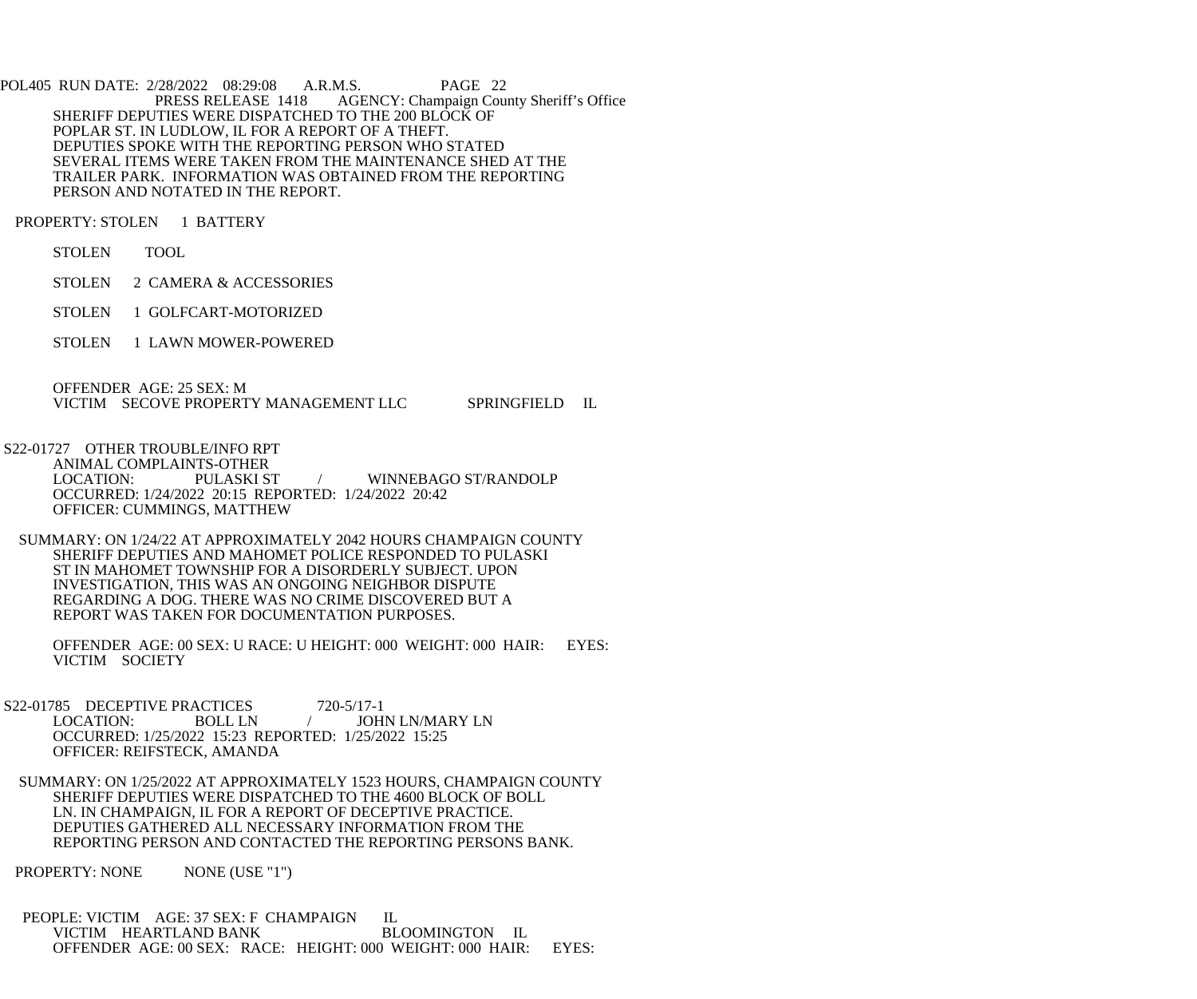POL405 RUN DATE: 2/28/2022 08:29:08 A.R.M.S. PAGE 22<br>PRESS RELEASE 1418 AGENCY: Champaign Cou AGENCY: Champaign County Sheriff's Office SHERIFF DEPUTIES WERE DISPATCHED TO THE 200 BLOCK OF POPLAR ST. IN LUDLOW, IL FOR A REPORT OF A THEFT. DEPUTIES SPOKE WITH THE REPORTING PERSON WHO STATED SEVERAL ITEMS WERE TAKEN FROM THE MAINTENANCE SHED AT THE TRAILER PARK. INFORMATION WAS OBTAINED FROM THE REPORTING PERSON AND NOTATED IN THE REPORT.

PROPERTY: STOLEN 1 BATTERY

STOLEN TOOL

STOLEN 2 CAMERA & ACCESSORIES

STOLEN 1 GOLFCART-MOTORIZED

STOLEN 1 LAWN MOWER-POWERED

OFFENDER AGE: 25 SEX: M

VICTIM SECOVE PROPERTY MANAGEMENT LLC SPRINGFIELD IL

S22-01727 OTHER TROUBLE/INFO RPT

ANIMAL COMPLAINTS-OTHER<br>LOCATION: PULASKI ST WINNEBAGO ST/RANDOLP OCCURRED: 1/24/2022 20:15 REPORTED: 1/24/2022 20:42 OFFICER: CUMMINGS, MATTHEW

 SUMMARY: ON 1/24/22 AT APPROXIMATELY 2042 HOURS CHAMPAIGN COUNTY SHERIFF DEPUTIES AND MAHOMET POLICE RESPONDED TO PULASKI ST IN MAHOMET TOWNSHIP FOR A DISORDERLY SUBJECT. UPON INVESTIGATION, THIS WAS AN ONGOING NEIGHBOR DISPUTE REGARDING A DOG. THERE WAS NO CRIME DISCOVERED BUT A REPORT WAS TAKEN FOR DOCUMENTATION PURPOSES.

 OFFENDER AGE: 00 SEX: U RACE: U HEIGHT: 000 WEIGHT: 000 HAIR: EYES: VICTIM SOCIETY

S22-01785 DECEPTIVE PRACTICES 720-5/17-1<br>LOCATION: BOLL LN / JOH / JOHN LN/MARY LN OCCURRED: 1/25/2022 15:23 REPORTED: 1/25/2022 15:25 OFFICER: REIFSTECK, AMANDA

 SUMMARY: ON 1/25/2022 AT APPROXIMATELY 1523 HOURS, CHAMPAIGN COUNTY SHERIFF DEPUTIES WERE DISPATCHED TO THE 4600 BLOCK OF BOLL LN. IN CHAMPAIGN, IL FOR A REPORT OF DECEPTIVE PRACTICE. DEPUTIES GATHERED ALL NECESSARY INFORMATION FROM THE REPORTING PERSON AND CONTACTED THE REPORTING PERSONS BANK.

PROPERTY: NONE NONE (USE "1")

PEOPLE: VICTIM AGE: 37 SEX: F CHAMPAIGN IL VICTIM HEARTLAND BANK BLOOMINGTON IL OFFENDER AGE: 00 SEX: RACE: HEIGHT: 000 WEIGHT: 000 HAIR: EYES: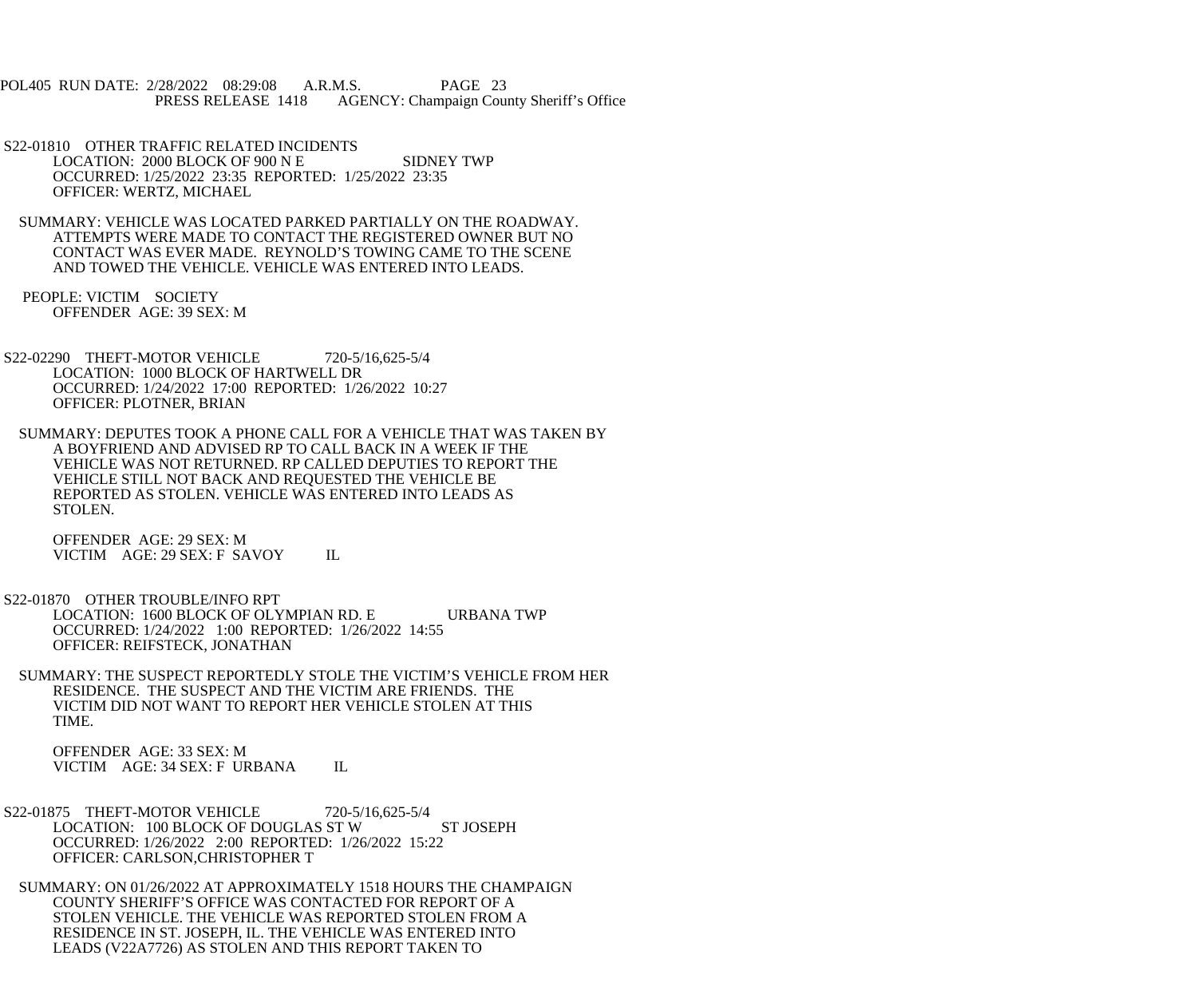POL405 RUN DATE: 2/28/2022 08:29:08 A.R.M.S. PAGE 23 PRESS RELEASE 1418 AGENCY: Champaign County Sheriff's Office

 S22-01810 OTHER TRAFFIC RELATED INCIDENTS LOCATION: 2000 BLOCK OF 900 N E SIDNEY TWP OCCURRED: 1/25/2022 23:35 REPORTED: 1/25/2022 23:35 OFFICER: WERTZ, MICHAEL

 SUMMARY: VEHICLE WAS LOCATED PARKED PARTIALLY ON THE ROADWAY. ATTEMPTS WERE MADE TO CONTACT THE REGISTERED OWNER BUT NO CONTACT WAS EVER MADE. REYNOLD'S TOWING CAME TO THE SCENE AND TOWED THE VEHICLE. VEHICLE WAS ENTERED INTO LEADS.

 PEOPLE: VICTIM SOCIETY OFFENDER AGE: 39 SEX: M

 S22-02290 THEFT-MOTOR VEHICLE 720-5/16,625-5/4 LOCATION: 1000 BLOCK OF HARTWELL DR OCCURRED: 1/24/2022 17:00 REPORTED: 1/26/2022 10:27 OFFICER: PLOTNER, BRIAN

 SUMMARY: DEPUTES TOOK A PHONE CALL FOR A VEHICLE THAT WAS TAKEN BY A BOYFRIEND AND ADVISED RP TO CALL BACK IN A WEEK IF THE VEHICLE WAS NOT RETURNED. RP CALLED DEPUTIES TO REPORT THE VEHICLE STILL NOT BACK AND REQUESTED THE VEHICLE BE REPORTED AS STOLEN. VEHICLE WAS ENTERED INTO LEADS AS STOLEN.

 OFFENDER AGE: 29 SEX: M VICTIM AGE: 29 SEX: F SAVOY IL

 S22-01870 OTHER TROUBLE/INFO RPT LOCATION: 1600 BLOCK OF OLYMPIAN RD. E URBANA TWP OCCURRED: 1/24/2022 1:00 REPORTED: 1/26/2022 14:55 OFFICER: REIFSTECK, JONATHAN

 SUMMARY: THE SUSPECT REPORTEDLY STOLE THE VICTIM'S VEHICLE FROM HER RESIDENCE. THE SUSPECT AND THE VICTIM ARE FRIENDS. THE VICTIM DID NOT WANT TO REPORT HER VEHICLE STOLEN AT THIS TIME.

 OFFENDER AGE: 33 SEX: M VICTIM AGE: 34 SEX: F URBANA IL

 S22-01875 THEFT-MOTOR VEHICLE 720-5/16,625-5/4 LOCATION: 100 BLOCK OF DOUGLAS ST W ST JOSEPH OCCURRED: 1/26/2022 2:00 REPORTED: 1/26/2022 15:22 OFFICER: CARLSON,CHRISTOPHER T

 SUMMARY: ON 01/26/2022 AT APPROXIMATELY 1518 HOURS THE CHAMPAIGN COUNTY SHERIFF'S OFFICE WAS CONTACTED FOR REPORT OF A STOLEN VEHICLE. THE VEHICLE WAS REPORTED STOLEN FROM A RESIDENCE IN ST. JOSEPH, IL. THE VEHICLE WAS ENTERED INTO LEADS (V22A7726) AS STOLEN AND THIS REPORT TAKEN TO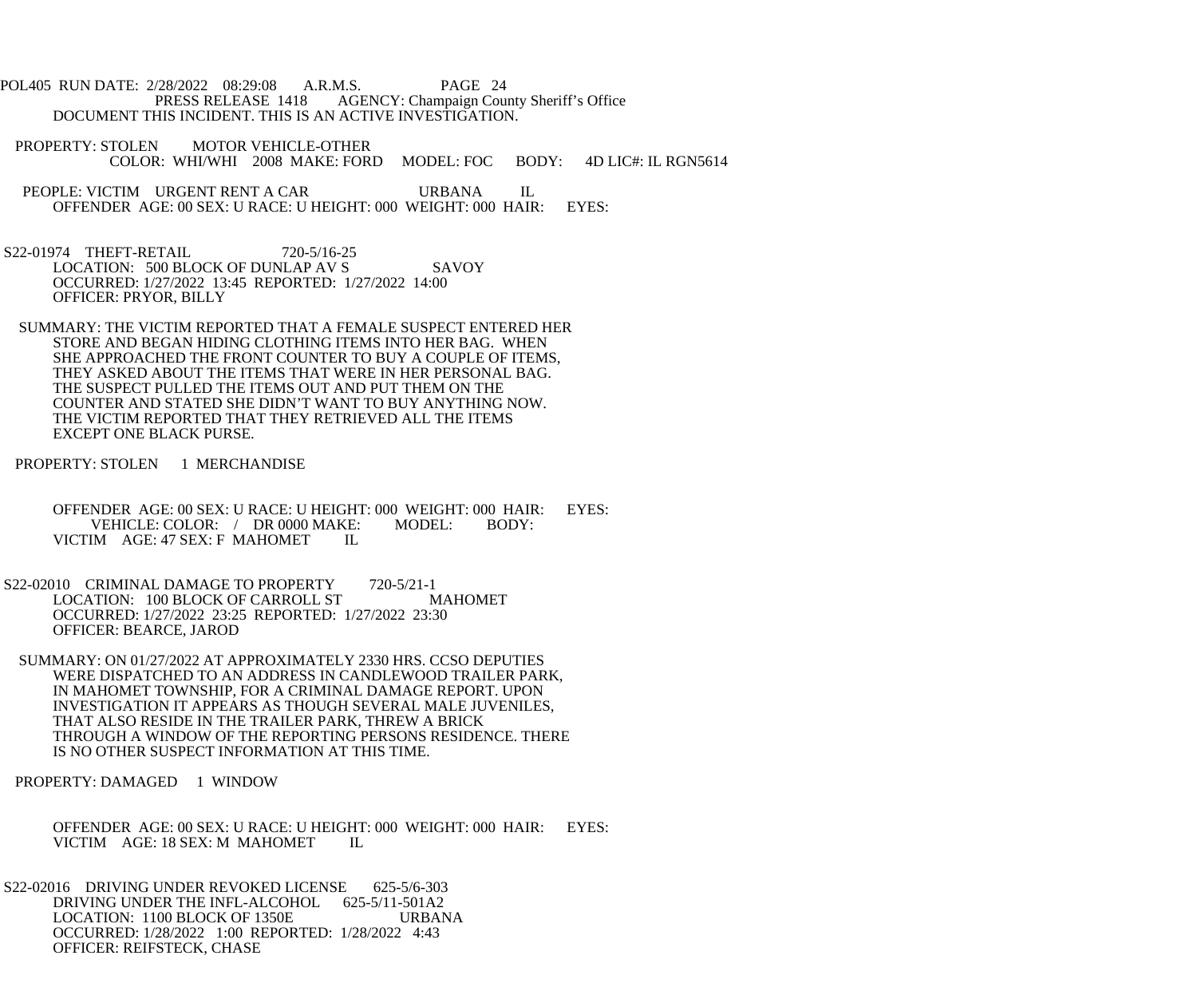POL405 RUN DATE: 2/28/2022 08:29:08 A.R.M.S. PAGE 24<br>PRESS RELEASE 1418 AGENCY: Champaign Cou AGENCY: Champaign County Sheriff's Office DOCUMENT THIS INCIDENT. THIS IS AN ACTIVE INVESTIGATION.

- PROPERTY: STOLEN MOTOR VEHICLE-OTHER COLOR: WHI/WHI 2008 MAKE: FORD MODEL: FOC BODY: 4D LIC#: IL RGN5614
- PEOPLE: VICTIM URGENT RENT A CAR URBANA IL OFFENDER AGE: 00 SEX: U RACE: U HEIGHT: 000 WEIGHT: 000 HAIR: EYES:
- S22-01974 THEFT-RETAIL 720-5/16-25 LOCATION: 500 BLOCK OF DUNLAP AV S SAVOY OCCURRED: 1/27/2022 13:45 REPORTED: 1/27/2022 14:00 OFFICER: PRYOR, BILLY
- SUMMARY: THE VICTIM REPORTED THAT A FEMALE SUSPECT ENTERED HER STORE AND BEGAN HIDING CLOTHING ITEMS INTO HER BAG. WHEN SHE APPROACHED THE FRONT COUNTER TO BUY A COUPLE OF ITEMS, THEY ASKED ABOUT THE ITEMS THAT WERE IN HER PERSONAL BAG. THE SUSPECT PULLED THE ITEMS OUT AND PUT THEM ON THE COUNTER AND STATED SHE DIDN'T WANT TO BUY ANYTHING NOW. THE VICTIM REPORTED THAT THEY RETRIEVED ALL THE ITEMS EXCEPT ONE BLACK PURSE.
- PROPERTY: STOLEN 1 MERCHANDISE
	- OFFENDER AGE: 00 SEX: U RACE: U HEIGHT: 000 WEIGHT: 000 HAIR: EYES: VEHICLE: COLOR: / DR 0000 MAKE: MODEL: BODY:<br>M AGE: 47 SEX: F MAHOMET IL VICTIM AGE: 47 SEX: F MAHOMET
- S22-02010 CRIMINAL DAMAGE TO PROPERTY 720-5/21-1<br>LOCATION: 100 BLOCK OF CARROLL ST MAHOMET LOCATION: 100 BLOCK OF CARROLL ST OCCURRED: 1/27/2022 23:25 REPORTED: 1/27/2022 23:30 OFFICER: BEARCE, JAROD
- SUMMARY: ON 01/27/2022 AT APPROXIMATELY 2330 HRS. CCSO DEPUTIES WERE DISPATCHED TO AN ADDRESS IN CANDLEWOOD TRAILER PARK, IN MAHOMET TOWNSHIP, FOR A CRIMINAL DAMAGE REPORT. UPON INVESTIGATION IT APPEARS AS THOUGH SEVERAL MALE JUVENILES, THAT ALSO RESIDE IN THE TRAILER PARK, THREW A BRICK THROUGH A WINDOW OF THE REPORTING PERSONS RESIDENCE. THERE IS NO OTHER SUSPECT INFORMATION AT THIS TIME.

PROPERTY: DAMAGED 1 WINDOW

 OFFENDER AGE: 00 SEX: U RACE: U HEIGHT: 000 WEIGHT: 000 HAIR: EYES: VICTIM AGE: 18 SEX: M MAHOMET IL

 S22-02016 DRIVING UNDER REVOKED LICENSE 625-5/6-303 DRIVING UNDER THE INFL-ALCOHOL 625-5/11-501A2 LOCATION: 1100 BLOCK OF 1350E URBANA OCCURRED: 1/28/2022 1:00 REPORTED: 1/28/2022 4:43 OFFICER: REIFSTECK, CHASE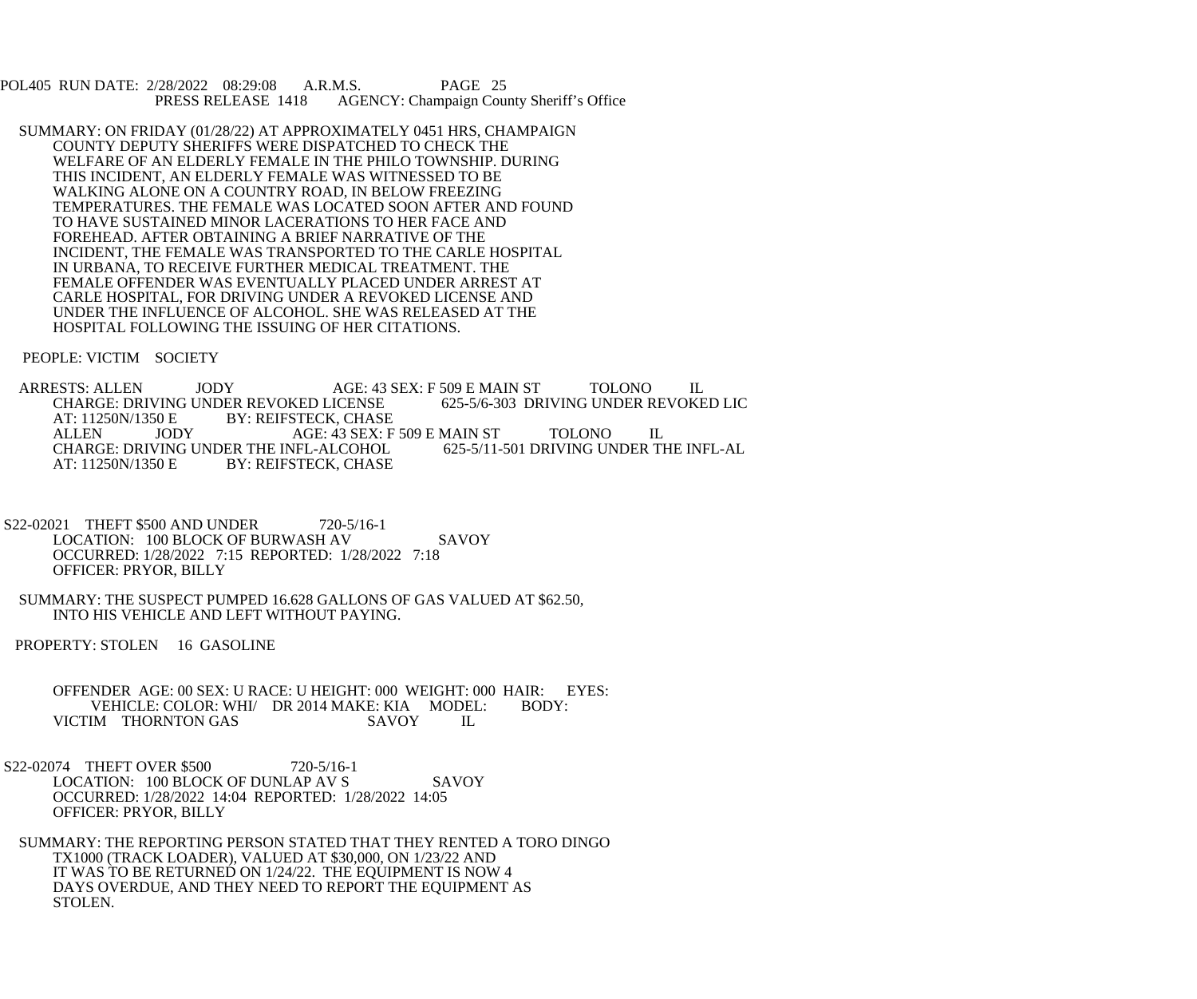POL405 RUN DATE: 2/28/2022 08:29:08 A.R.M.S. PAGE 25<br>PRESS RELEASE 1418 AGENCY: Champaign Cou AGENCY: Champaign County Sheriff's Office

 SUMMARY: ON FRIDAY (01/28/22) AT APPROXIMATELY 0451 HRS, CHAMPAIGN COUNTY DEPUTY SHERIFFS WERE DISPATCHED TO CHECK THE WELFARE OF AN ELDERLY FEMALE IN THE PHILO TOWNSHIP. DURING THIS INCIDENT, AN ELDERLY FEMALE WAS WITNESSED TO BE WALKING ALONE ON A COUNTRY ROAD, IN BELOW FREEZING TEMPERATURES. THE FEMALE WAS LOCATED SOON AFTER AND FOUND TO HAVE SUSTAINED MINOR LACERATIONS TO HER FACE AND FOREHEAD. AFTER OBTAINING A BRIEF NARRATIVE OF THE INCIDENT, THE FEMALE WAS TRANSPORTED TO THE CARLE HOSPITAL IN URBANA, TO RECEIVE FURTHER MEDICAL TREATMENT. THE FEMALE OFFENDER WAS EVENTUALLY PLACED UNDER ARREST AT CARLE HOSPITAL, FOR DRIVING UNDER A REVOKED LICENSE AND UNDER THE INFLUENCE OF ALCOHOL. SHE WAS RELEASED AT THE HOSPITAL FOLLOWING THE ISSUING OF HER CITATIONS.

PEOPLE: VICTIM SOCIETY

ARRESTS: ALLEN JODY AGE: 43 SEX: F 509 E MAIN ST TOLONO IL<br>CHARGE: DRIVING UNDER REVOKED LICENSE 625-5/6-303 DRIVING UNDER REVOKED LIC CHARGE: DRIVING UNDER REVOKED LICENSE<br>AT: 11250N/1350 E BY: REIFSTECK. CHASI AT: 11250N/1350 E BY: REIFSTECK, CHASE<br>ALLEN JODY AGE: 43 SEX: F JODY AGE: 43 SEX: F 509 E MAIN ST TOLONO IL<br>VING UNDER THE INFL-ALCOHOL 625-5/11-501 DRIVING UNDER THE INFL-AL CHARGE: DRIVING UNDER THE INFL-ALCOHOL<br>AT: 11250N/1350 E BY: REIFSTECK, CHASE BY: REIFSTECK, CHASE

- S22-02021 THEFT \$500 AND UNDER 720-5/16-1 LOCATION: 100 BLOCK OF BURWASH AV SAVOY OCCURRED: 1/28/2022 7:15 REPORTED: 1/28/2022 7:18 OFFICER: PRYOR, BILLY
- SUMMARY: THE SUSPECT PUMPED 16.628 GALLONS OF GAS VALUED AT \$62.50, INTO HIS VEHICLE AND LEFT WITHOUT PAYING.

PROPERTY: STOLEN 16 GASOLINE

OFFENDER AGE: 00 SEX: U RACE: U HEIGHT: 000 WEIGHT: 000 HAIR: EYES:<br>VEHICLE: COLOR: WHI/ DR 2014 MAKE: KIA MODEL: BODY: VEHICLE: COLOR: WHI/ DR 2014 MAKE: KIA MODEL:<br>IM THORNTON GAS SAVOY IL VICTIM THORNTON GAS

S22-02074 THEFT OVER \$500 720-5/16-1 LOCATION: 100 BLOCK OF DUNLAP AV S SAVOY OCCURRED: 1/28/2022 14:04 REPORTED: 1/28/2022 14:05 OFFICER: PRYOR, BILLY

 SUMMARY: THE REPORTING PERSON STATED THAT THEY RENTED A TORO DINGO TX1000 (TRACK LOADER), VALUED AT \$30,000, ON 1/23/22 AND IT WAS TO BE RETURNED ON 1/24/22. THE EQUIPMENT IS NOW 4 DAYS OVERDUE, AND THEY NEED TO REPORT THE EQUIPMENT AS STOLEN.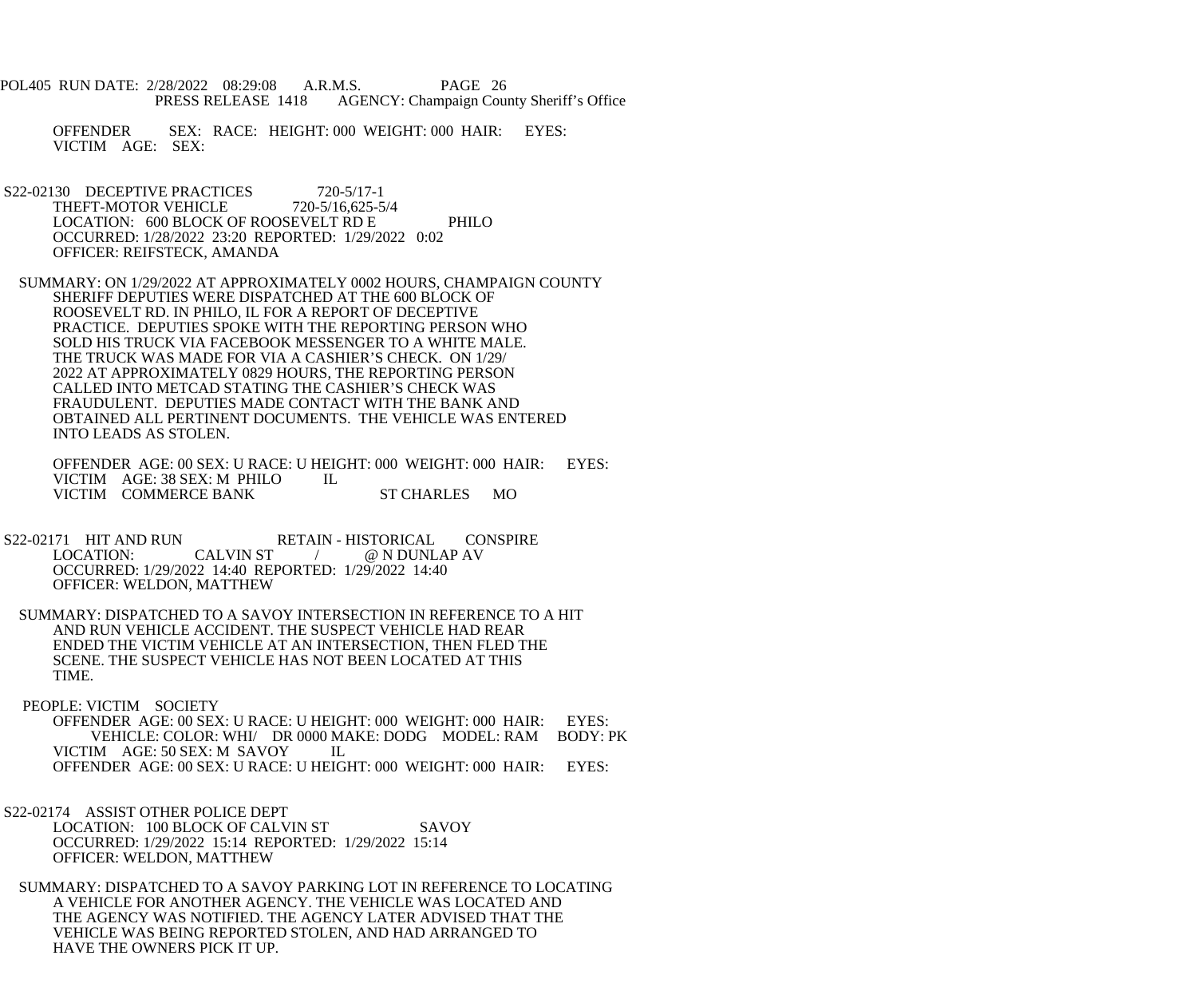- POL405 RUN DATE: 2/28/2022 08:29:08 A.R.M.S. PAGE 26 PRESS RELEASE 1418 AGENCY: Champaign County Sheriff's Office
	- OFFENDER SEX: RACE: HEIGHT: 000 WEIGHT: 000 HAIR: EYES: VICTIM AGE: SEX:
- S22-02130 DECEPTIVE PRACTICES 720-5/17-1<br>THEFT-MOTOR VEHICLE 720-5/16.625-5/4 THEFT-MOTOR VEHICLE LOCATION: 600 BLOCK OF ROOSEVELT RD E PHILO OCCURRED: 1/28/2022 23:20 REPORTED: 1/29/2022 0:02 OFFICER: REIFSTECK, AMANDA
- SUMMARY: ON 1/29/2022 AT APPROXIMATELY 0002 HOURS, CHAMPAIGN COUNTY SHERIFF DEPUTIES WERE DISPATCHED AT THE 600 BLOCK OF ROOSEVELT RD. IN PHILO, IL FOR A REPORT OF DECEPTIVE PRACTICE. DEPUTIES SPOKE WITH THE REPORTING PERSON WHO SOLD HIS TRUCK VIA FACEBOOK MESSENGER TO A WHITE MALE. THE TRUCK WAS MADE FOR VIA A CASHIER'S CHECK. ON 1/29/ 2022 AT APPROXIMATELY 0829 HOURS, THE REPORTING PERSON CALLED INTO METCAD STATING THE CASHIER'S CHECK WAS FRAUDULENT. DEPUTIES MADE CONTACT WITH THE BANK AND OBTAINED ALL PERTINENT DOCUMENTS. THE VEHICLE WAS ENTERED INTO LEADS AS STOLEN.

 OFFENDER AGE: 00 SEX: U RACE: U HEIGHT: 000 WEIGHT: 000 HAIR: EYES: VICTIM AGE: 38 SEX: M PHILO IL VICTIM COMMERCE BANK ST CHARLES MO

- S22-02171 HIT AND RUN RETAIN HISTORICAL CONSPIRE<br>LOCATION: CALVIN ST / @ N DUNLAP AV @ N DUNLAP AV OCCURRED: 1/29/2022 14:40 REPORTED: 1/29/2022 14:40 OFFICER: WELDON, MATTHEW
- SUMMARY: DISPATCHED TO A SAVOY INTERSECTION IN REFERENCE TO A HIT AND RUN VEHICLE ACCIDENT. THE SUSPECT VEHICLE HAD REAR ENDED THE VICTIM VEHICLE AT AN INTERSECTION, THEN FLED THE SCENE. THE SUSPECT VEHICLE HAS NOT BEEN LOCATED AT THIS TIME.
- PEOPLE: VICTIM SOCIETY OFFENDER AGE: 00 SEX: U RACE: U HEIGHT: 000 WEIGHT: 000 HAIR: EYES: VEHICLE: COLOR: WHI/ DR 0000 MAKE: DODG MODEL: RAM BODY: PK VICTIM AGE: 50 SEX: M SAVOY IL OFFENDER AGE: 00 SEX: U RACE: U HEIGHT: 000 WEIGHT: 000 HAIR: EYES:
- S22-02174 ASSIST OTHER POLICE DEPT LOCATION: 100 BLOCK OF CALVIN ST SAVOY OCCURRED: 1/29/2022 15:14 REPORTED: 1/29/2022 15:14 OFFICER: WELDON, MATTHEW
- SUMMARY: DISPATCHED TO A SAVOY PARKING LOT IN REFERENCE TO LOCATING A VEHICLE FOR ANOTHER AGENCY. THE VEHICLE WAS LOCATED AND THE AGENCY WAS NOTIFIED. THE AGENCY LATER ADVISED THAT THE VEHICLE WAS BEING REPORTED STOLEN, AND HAD ARRANGED TO HAVE THE OWNERS PICK IT UP.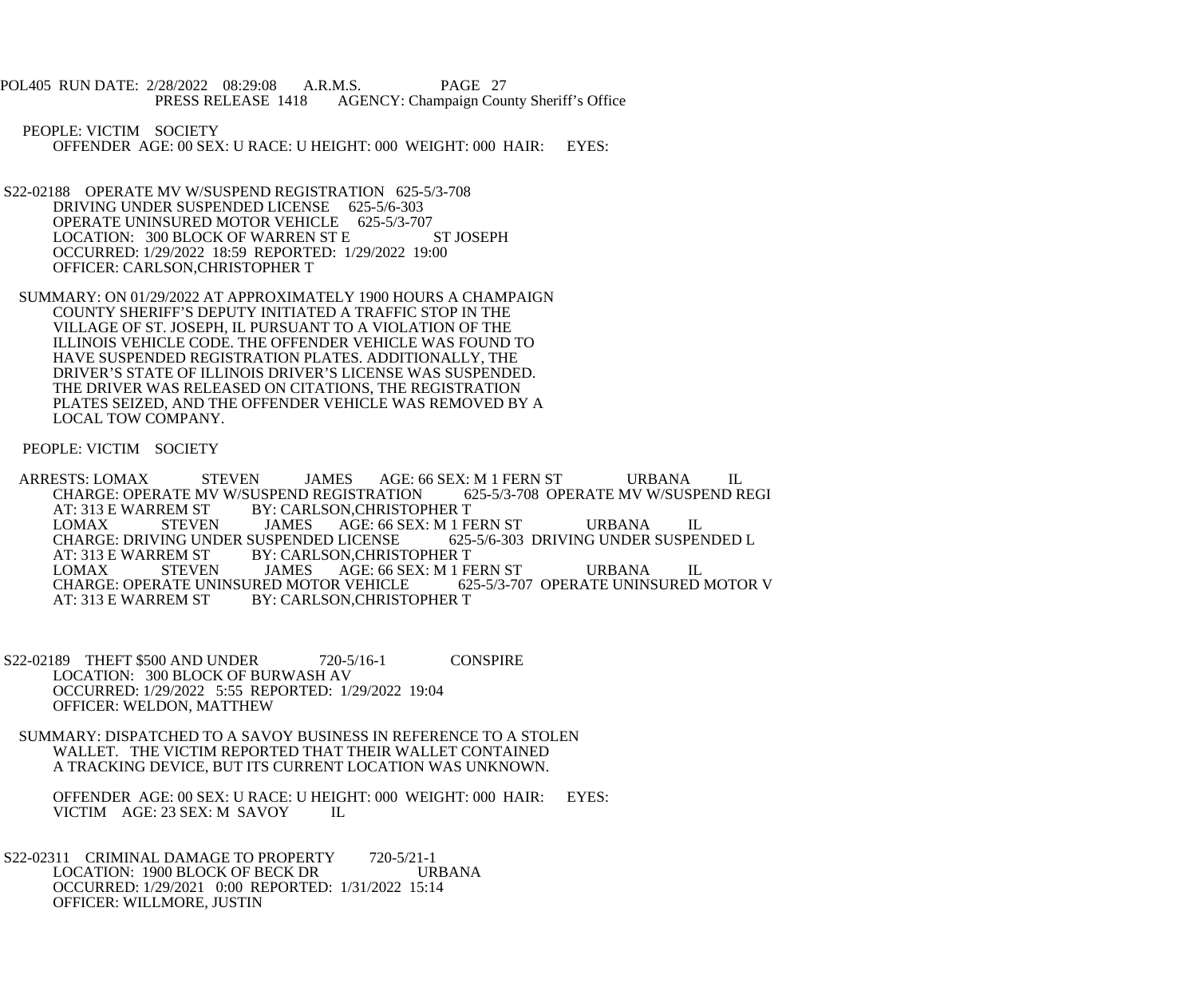POL405 RUN DATE: 2/28/2022 08:29:08 A.R.M.S. PAGE 27<br>PRESS RELEASE 1418 AGENCY: Champaign Cou AGENCY: Champaign County Sheriff's Office

 PEOPLE: VICTIM SOCIETY OFFENDER AGE: 00 SEX: U RACE: U HEIGHT: 000 WEIGHT: 000 HAIR: EYES:

- S22-02188 OPERATE MV W/SUSPEND REGISTRATION 625-5/3-708 DRIVING UNDER SUSPENDED LICENSE 625-5/6-303 OPERATE UNINSURED MOTOR VEHICLE 625-5/3-707<br>LOCATION: 300 BLOCK OF WARREN ST E ST JOSEPH LOCATION: 300 BLOCK OF WARREN ST E OCCURRED: 1/29/2022 18:59 REPORTED: 1/29/2022 19:00 OFFICER: CARLSON,CHRISTOPHER T
- SUMMARY: ON 01/29/2022 AT APPROXIMATELY 1900 HOURS A CHAMPAIGN COUNTY SHERIFF'S DEPUTY INITIATED A TRAFFIC STOP IN THE VILLAGE OF ST. JOSEPH, IL PURSUANT TO A VIOLATION OF THE ILLINOIS VEHICLE CODE. THE OFFENDER VEHICLE WAS FOUND TO HAVE SUSPENDED REGISTRATION PLATES. ADDITIONALLY, THE DRIVER'S STATE OF ILLINOIS DRIVER'S LICENSE WAS SUSPENDED. THE DRIVER WAS RELEASED ON CITATIONS, THE REGISTRATION PLATES SEIZED, AND THE OFFENDER VEHICLE WAS REMOVED BY A LOCAL TOW COMPANY.

PEOPLE: VICTIM SOCIETY

- ARRESTS: LOMAX STEVEN JAMES AGE: 66 SEX: M 1 FERN ST URBANA IL<br>CHARGE: OPERATE MV W/SUSPEND REGISTRATION 625-5/3-708 OPERATE MV W/SUSPEND REGI CHARGE: OPERATE MV W/SUSPEND REGISTRATION AT: 313 E WARREM ST BY: CARLSON, CHRISTOPHER T<br>
LOMAX STEVEN JAMES AGE: 66 SEX: M 1 F LOMAX STEVEN JAMES AGE: 66 SEX: M 1 FERN ST URBANA IL<br>CHARGE: DRIVING UNDER SUSPENDED LICENSE 625-5/6-303 DRIVING UNDER SUSPENDED L CHARGE: DRIVING UNDER SUSPENDED LICENSE<br>AT: 313 E WARREM ST BY: CARLSON, CHRIST AT: 313 E WARREM ST BY: CARLSON, CHRISTOPHER T<br>
LOMAX STEVEN JAMES AGE: 66 SEX: M 1 F AGE: 66 SEX: M 1 FERN ST URBANA IL<br>R VEHICLE 625-5/3-707 OPERATE UNINSURED MOTOR V CHARGE: OPERATE UNINSURED MOTOR VEHICLE<br>AT: 313 E WARREM ST BY: CARLSON.CHRISTO BY: CARLSON, CHRISTOPHER T
- S22-02189 THEFT \$500 AND UNDER 720-5/16-1 CONSPIRE LOCATION: 300 BLOCK OF BURWASH AV OCCURRED: 1/29/2022 5:55 REPORTED: 1/29/2022 19:04 OFFICER: WELDON, MATTHEW
- SUMMARY: DISPATCHED TO A SAVOY BUSINESS IN REFERENCE TO A STOLEN WALLET. THE VICTIM REPORTED THAT THEIR WALLET CONTAINED A TRACKING DEVICE, BUT ITS CURRENT LOCATION WAS UNKNOWN.

 OFFENDER AGE: 00 SEX: U RACE: U HEIGHT: 000 WEIGHT: 000 HAIR: EYES: VICTIM AGE: 23 SEX: M SAVOY IL

S22-02311 CRIMINAL DAMAGE TO PROPERTY 720-5/21-1<br>LOCATION: 1900 BLOCK OF BECK DR URBANA LOCATION: 1900 BLOCK OF BECK DR OCCURRED: 1/29/2021 0:00 REPORTED: 1/31/2022 15:14 OFFICER: WILLMORE, JUSTIN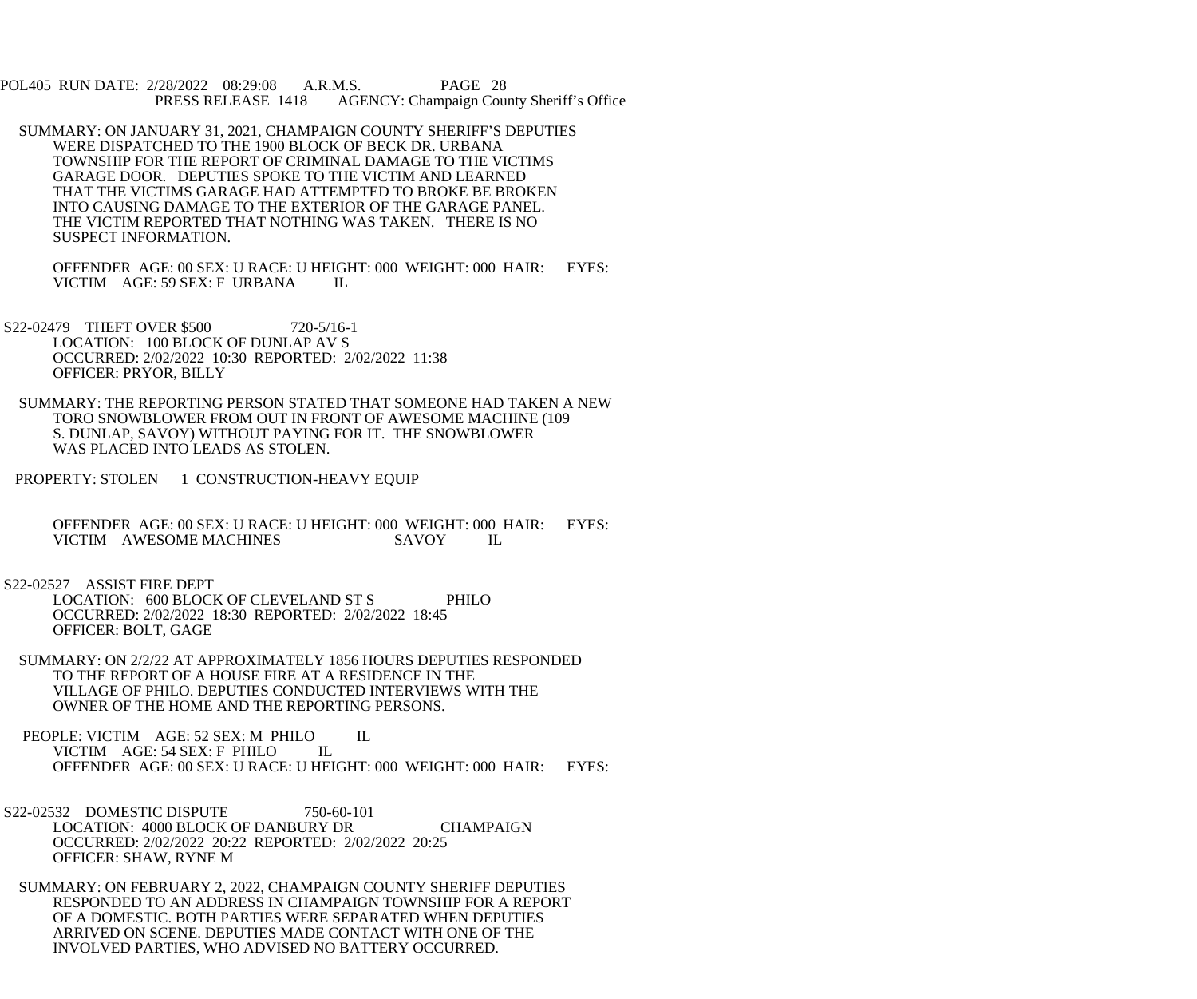POL405 RUN DATE: 2/28/2022 08:29:08 A.R.M.S. PAGE 28<br>PRESS RELEASE 1418 AGENCY: Champaign Cou AGENCY: Champaign County Sheriff's Office

 SUMMARY: ON JANUARY 31, 2021, CHAMPAIGN COUNTY SHERIFF'S DEPUTIES WERE DISPATCHED TO THE 1900 BLOCK OF BECK DR. URBANA TOWNSHIP FOR THE REPORT OF CRIMINAL DAMAGE TO THE VICTIMS GARAGE DOOR. DEPUTIES SPOKE TO THE VICTIM AND LEARNED THAT THE VICTIMS GARAGE HAD ATTEMPTED TO BROKE BE BROKEN INTO CAUSING DAMAGE TO THE EXTERIOR OF THE GARAGE PANEL. THE VICTIM REPORTED THAT NOTHING WAS TAKEN. THERE IS NO SUSPECT INFORMATION.

 OFFENDER AGE: 00 SEX: U RACE: U HEIGHT: 000 WEIGHT: 000 HAIR: EYES: VICTIM AGE: 59 SEX: F URBANA IL

S22-02479 THEFT OVER \$500 720-5/16-1 LOCATION: 100 BLOCK OF DUNLAP AV S OCCURRED: 2/02/2022 10:30 REPORTED: 2/02/2022 11:38 OFFICER: PRYOR, BILLY

 SUMMARY: THE REPORTING PERSON STATED THAT SOMEONE HAD TAKEN A NEW TORO SNOWBLOWER FROM OUT IN FRONT OF AWESOME MACHINE (109 S. DUNLAP, SAVOY) WITHOUT PAYING FOR IT. THE SNOWBLOWER WAS PLACED INTO LEADS AS STOLEN.

PROPERTY: STOLEN 1 CONSTRUCTION-HEAVY EQUIP

OFFENDER AGE: 00 SEX: U RACE: U HEIGHT: 000 WEIGHT: 000 HAIR: EYES:<br>VICTIM AWESOME MACHINES SAVOY IL VICTIM AWESOME MACHINES

 S22-02527 ASSIST FIRE DEPT LOCATION: 600 BLOCK OF CLEVELAND ST S PHILO OCCURRED: 2/02/2022 18:30 REPORTED: 2/02/2022 18:45 OFFICER: BOLT, GAGE

 SUMMARY: ON 2/2/22 AT APPROXIMATELY 1856 HOURS DEPUTIES RESPONDED TO THE REPORT OF A HOUSE FIRE AT A RESIDENCE IN THE VILLAGE OF PHILO. DEPUTIES CONDUCTED INTERVIEWS WITH THE OWNER OF THE HOME AND THE REPORTING PERSONS.

PEOPLE: VICTIM AGE: 52 SEX: M PHILO IL<br>VICTIM AGE: 54 SEX: F PHILO IL VICTIM AGE: 54 SEX: F PHILO OFFENDER AGE: 00 SEX: U RACE: U HEIGHT: 000 WEIGHT: 000 HAIR: EYES:

- S22-02532 DOMESTIC DISPUTE 750-60-101 LOCATION: 4000 BLOCK OF DANBURY DR CHAMPAIGN OCCURRED: 2/02/2022 20:22 REPORTED: 2/02/2022 20:25 OFFICER: SHAW, RYNE M
- SUMMARY: ON FEBRUARY 2, 2022, CHAMPAIGN COUNTY SHERIFF DEPUTIES RESPONDED TO AN ADDRESS IN CHAMPAIGN TOWNSHIP FOR A REPORT OF A DOMESTIC. BOTH PARTIES WERE SEPARATED WHEN DEPUTIES ARRIVED ON SCENE. DEPUTIES MADE CONTACT WITH ONE OF THE INVOLVED PARTIES, WHO ADVISED NO BATTERY OCCURRED.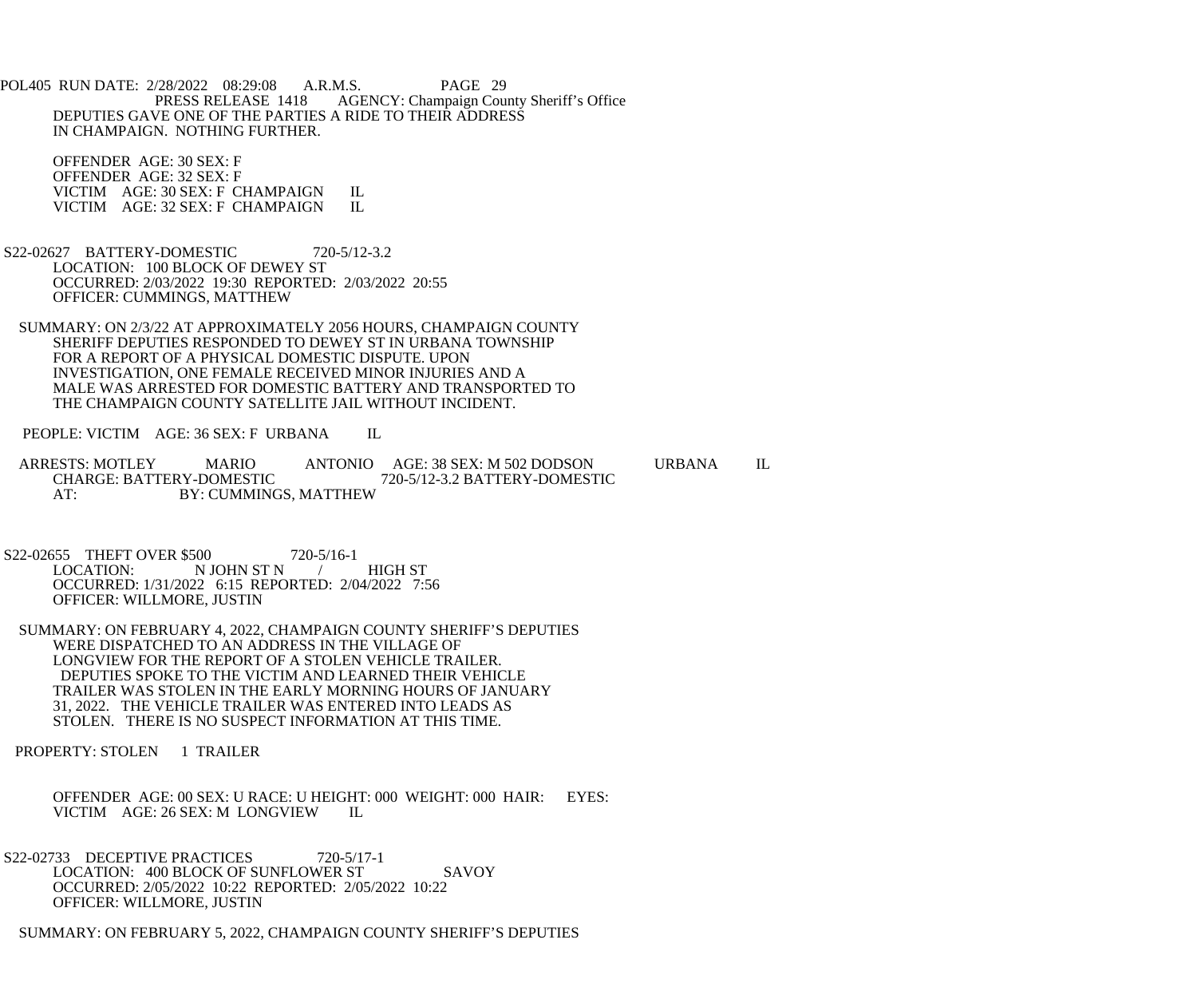POL405 RUN DATE: 2/28/2022 08:29:08 A.R.M.S. PAGE 29<br>PRESS RELEASE 1418 AGENCY: Champaign Cou AGENCY: Champaign County Sheriff's Office DEPUTIES GAVE ONE OF THE PARTIES A RIDE TO THEIR ADDRESS IN CHAMPAIGN. NOTHING FURTHER.

 OFFENDER AGE: 30 SEX: F OFFENDER AGE: 32 SEX: F VICTIM AGE: 30 SEX: F CHAMPAIGN IL<br>VICTIM AGE: 32 SEX: F CHAMPAIGN IL VICTIM AGE: 32 SEX: F CHAMPAIGN

- S22-02627 BATTERY-DOMESTIC 720-5/12-3.2 LOCATION: 100 BLOCK OF DEWEY ST OCCURRED: 2/03/2022 19:30 REPORTED: 2/03/2022 20:55 OFFICER: CUMMINGS, MATTHEW
- SUMMARY: ON 2/3/22 AT APPROXIMATELY 2056 HOURS, CHAMPAIGN COUNTY SHERIFF DEPUTIES RESPONDED TO DEWEY ST IN URBANA TOWNSHIP FOR A REPORT OF A PHYSICAL DOMESTIC DISPUTE. UPON INVESTIGATION, ONE FEMALE RECEIVED MINOR INJURIES AND A MALE WAS ARRESTED FOR DOMESTIC BATTERY AND TRANSPORTED TO THE CHAMPAIGN COUNTY SATELLITE JAIL WITHOUT INCIDENT.

PEOPLE: VICTIM AGE: 36 SEX: F URBANA IL

ARRESTS: MOTLEY MARIO ANTONIO AGE: 38 SEX: M 502 DODSON URBANA IL CHARGE: BATTERY-DOMESTIC 720-5/12-3.2 BATTERY-DOMESTIC CHARGE: BATTERY-DOMESTIC 720-5/12-3.2 BATTERY-DOMESTIC AT: BY: CUMMINGS, MATTHEW

S22-02655 THEFT OVER \$500 720-5/16-1<br>LOCATION: N JOHN ST N N JOHN ST N / HIGH ST OCCURRED: 1/31/2022 6:15 REPORTED: 2/04/2022 7:56 OFFICER: WILLMORE, JUSTIN

 SUMMARY: ON FEBRUARY 4, 2022, CHAMPAIGN COUNTY SHERIFF'S DEPUTIES WERE DISPATCHED TO AN ADDRESS IN THE VILLAGE OF LONGVIEW FOR THE REPORT OF A STOLEN VEHICLE TRAILER. DEPUTIES SPOKE TO THE VICTIM AND LEARNED THEIR VEHICLE TRAILER WAS STOLEN IN THE EARLY MORNING HOURS OF JANUARY 31, 2022. THE VEHICLE TRAILER WAS ENTERED INTO LEADS AS STOLEN. THERE IS NO SUSPECT INFORMATION AT THIS TIME.

PROPERTY: STOLEN 1 TRAILER

 OFFENDER AGE: 00 SEX: U RACE: U HEIGHT: 000 WEIGHT: 000 HAIR: EYES: VICTIM AGE: 26 SEX: M LONGVIEW IL

S22-02733 DECEPTIVE PRACTICES 720-5/17-1 LOCATION: 400 BLOCK OF SUNFLOWER ST SAVOY OCCURRED: 2/05/2022 10:22 REPORTED: 2/05/2022 10:22 OFFICER: WILLMORE, JUSTIN

SUMMARY: ON FEBRUARY 5, 2022, CHAMPAIGN COUNTY SHERIFF'S DEPUTIES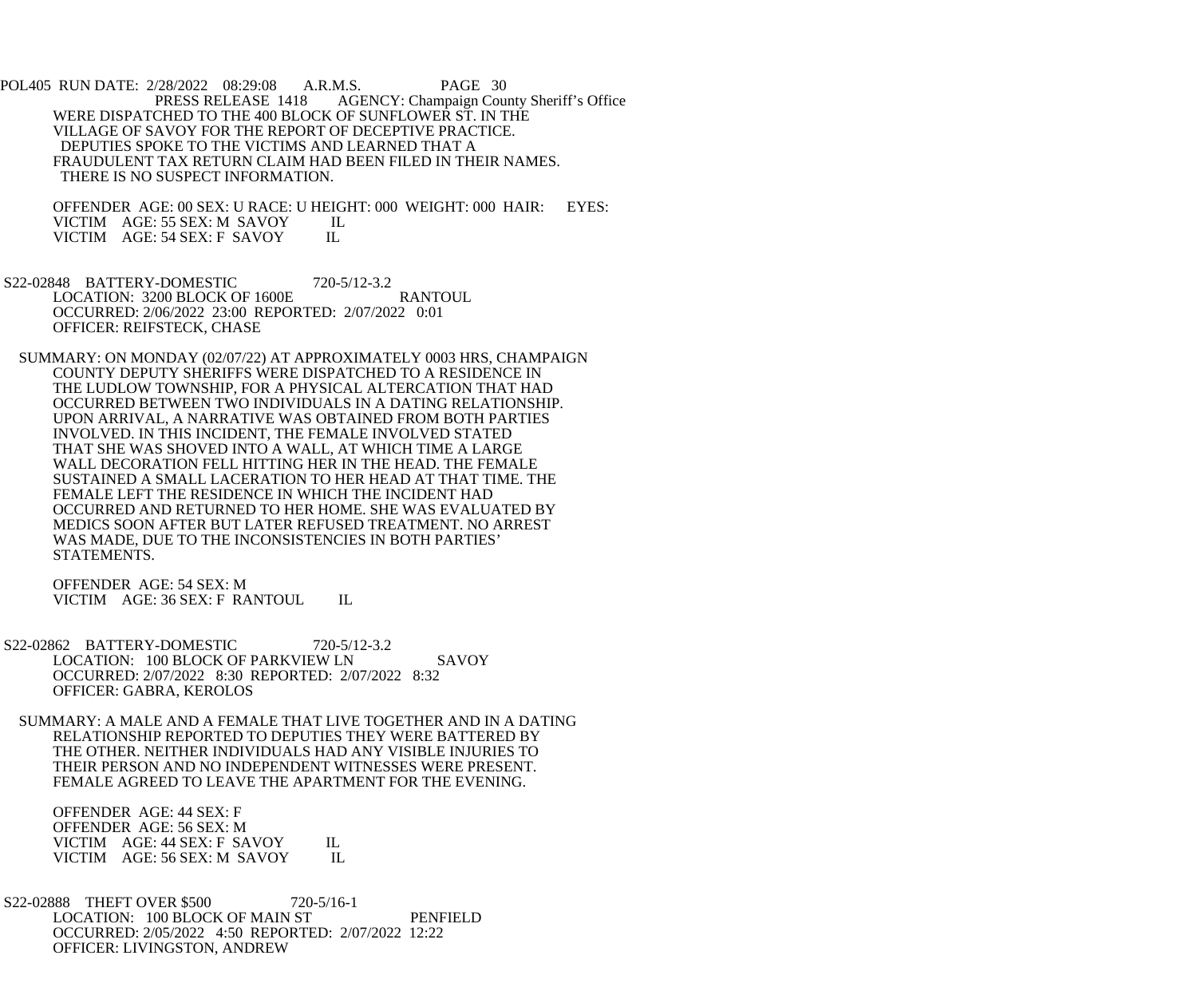POL405 RUN DATE: 2/28/2022 08:29:08 A.R.M.S. PAGE 30 PRESS RELEASE 1418 AGENCY: Champaign County Sheriff's Office WERE DISPATCHED TO THE 400 BLOCK OF SUNFLOWER ST. IN THE VILLAGE OF SAVOY FOR THE REPORT OF DECEPTIVE PRACTICE. DEPUTIES SPOKE TO THE VICTIMS AND LEARNED THAT A FRAUDULENT TAX RETURN CLAIM HAD BEEN FILED IN THEIR NAMES. THERE IS NO SUSPECT INFORMATION.

 OFFENDER AGE: 00 SEX: U RACE: U HEIGHT: 000 WEIGHT: 000 HAIR: EYES: VICTIM AGE: 55 SEX: M SAVOY IL<br>VICTIM AGE: 54 SEX: F SAVOY IL VICTIM AGE: 54 SEX: F SAVOY

 S22-02848 BATTERY-DOMESTIC 720-5/12-3.2 LOCATION: 3200 BLOCK OF 1600E RANTOUL OCCURRED: 2/06/2022 23:00 REPORTED: 2/07/2022 0:01 OFFICER: REIFSTECK, CHASE

 SUMMARY: ON MONDAY (02/07/22) AT APPROXIMATELY 0003 HRS, CHAMPAIGN COUNTY DEPUTY SHERIFFS WERE DISPATCHED TO A RESIDENCE IN THE LUDLOW TOWNSHIP, FOR A PHYSICAL ALTERCATION THAT HAD OCCURRED BETWEEN TWO INDIVIDUALS IN A DATING RELATIONSHIP. UPON ARRIVAL, A NARRATIVE WAS OBTAINED FROM BOTH PARTIES INVOLVED. IN THIS INCIDENT, THE FEMALE INVOLVED STATED THAT SHE WAS SHOVED INTO A WALL, AT WHICH TIME A LARGE WALL DECORATION FELL HITTING HER IN THE HEAD. THE FEMALE SUSTAINED A SMALL LACERATION TO HER HEAD AT THAT TIME. THE FEMALE LEFT THE RESIDENCE IN WHICH THE INCIDENT HAD OCCURRED AND RETURNED TO HER HOME. SHE WAS EVALUATED BY MEDICS SOON AFTER BUT LATER REFUSED TREATMENT. NO ARREST WAS MADE, DUE TO THE INCONSISTENCIES IN BOTH PARTIES' STATEMENTS.

 OFFENDER AGE: 54 SEX: M VICTIM AGE: 36 SEX: F RANTOUL IL

- S22-02862 BATTERY-DOMESTIC 720-5/12-3.2 LOCATION: 100 BLOCK OF PARKVIEW LN SAVOY OCCURRED: 2/07/2022 8:30 REPORTED: 2/07/2022 8:32 OFFICER: GABRA, KEROLOS
- SUMMARY: A MALE AND A FEMALE THAT LIVE TOGETHER AND IN A DATING RELATIONSHIP REPORTED TO DEPUTIES THEY WERE BATTERED BY THE OTHER. NEITHER INDIVIDUALS HAD ANY VISIBLE INJURIES TO THEIR PERSON AND NO INDEPENDENT WITNESSES WERE PRESENT. FEMALE AGREED TO LEAVE THE APARTMENT FOR THE EVENING.

 OFFENDER AGE: 44 SEX: F OFFENDER AGE: 56 SEX: M VICTIM AGE: 44 SEX: F SAVOY IL<br>VICTIM AGE: 56 SEX: M SAVOY IL VICTIM AGE: 56 SEX: M SAVOY

 S22-02888 THEFT OVER \$500 720-5/16-1 LOCATION: 100 BLOCK OF MAIN ST PENFIELD OCCURRED: 2/05/2022 4:50 REPORTED: 2/07/2022 12:22 OFFICER: LIVINGSTON, ANDREW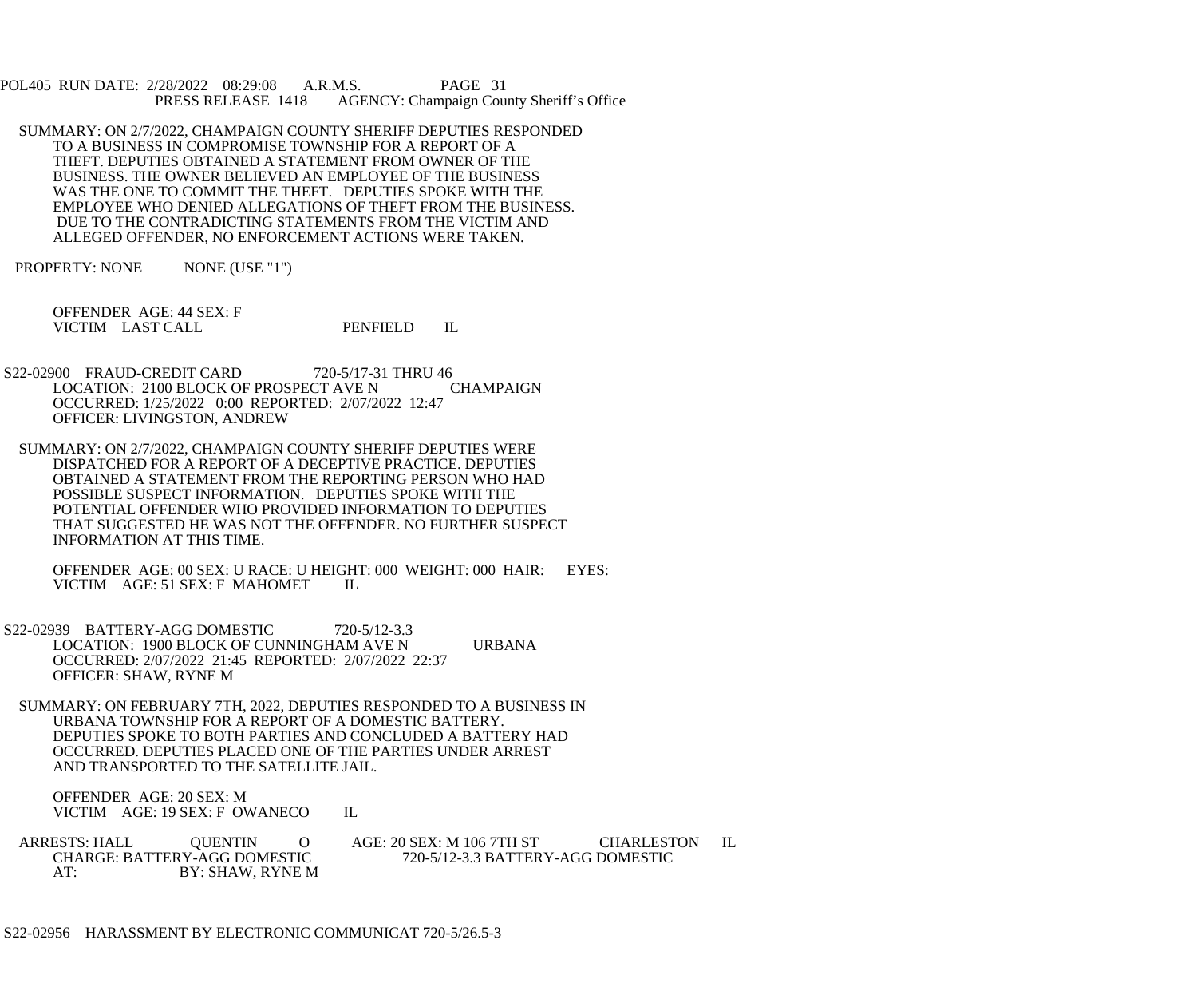POL405 RUN DATE: 2/28/2022 08:29:08 A.R.M.S. PAGE 31<br>PRESS RELEASE 1418 AGENCY: Champaign Cou AGENCY: Champaign County Sheriff's Office

- SUMMARY: ON 2/7/2022, CHAMPAIGN COUNTY SHERIFF DEPUTIES RESPONDED TO A BUSINESS IN COMPROMISE TOWNSHIP FOR A REPORT OF A THEFT. DEPUTIES OBTAINED A STATEMENT FROM OWNER OF THE BUSINESS. THE OWNER BELIEVED AN EMPLOYEE OF THE BUSINESS WAS THE ONE TO COMMIT THE THEFT. DEPUTIES SPOKE WITH THE EMPLOYEE WHO DENIED ALLEGATIONS OF THEFT FROM THE BUSINESS. DUE TO THE CONTRADICTING STATEMENTS FROM THE VICTIM AND ALLEGED OFFENDER, NO ENFORCEMENT ACTIONS WERE TAKEN.
- PROPERTY: NONE NONE (USE "1")

 OFFENDER AGE: 44 SEX: F VICTIM LAST CALL PENFIELD IL

- S22-02900 FRAUD-CREDIT CARD 720-5/17-31 THRU 46 LOCATION: 2100 BLOCK OF PROSPECT AVE N CHAMPAIGN OCCURRED: 1/25/2022 0:00 REPORTED: 2/07/2022 12:47 OFFICER: LIVINGSTON, ANDREW
- SUMMARY: ON 2/7/2022, CHAMPAIGN COUNTY SHERIFF DEPUTIES WERE DISPATCHED FOR A REPORT OF A DECEPTIVE PRACTICE. DEPUTIES OBTAINED A STATEMENT FROM THE REPORTING PERSON WHO HAD POSSIBLE SUSPECT INFORMATION. DEPUTIES SPOKE WITH THE POTENTIAL OFFENDER WHO PROVIDED INFORMATION TO DEPUTIES THAT SUGGESTED HE WAS NOT THE OFFENDER. NO FURTHER SUSPECT INFORMATION AT THIS TIME.

 OFFENDER AGE: 00 SEX: U RACE: U HEIGHT: 000 WEIGHT: 000 HAIR: EYES: VICTIM AGE: 51 SEX: F MAHOMET IL

- S22-02939 BATTERY-AGG DOMESTIC 720-5/12-3.3 LOCATION: 1900 BLOCK OF CUNNINGHAM AVE N URBANA OCCURRED: 2/07/2022 21:45 REPORTED: 2/07/2022 22:37 OFFICER: SHAW, RYNE M
- SUMMARY: ON FEBRUARY 7TH, 2022, DEPUTIES RESPONDED TO A BUSINESS IN URBANA TOWNSHIP FOR A REPORT OF A DOMESTIC BATTERY. DEPUTIES SPOKE TO BOTH PARTIES AND CONCLUDED A BATTERY HAD OCCURRED. DEPUTIES PLACED ONE OF THE PARTIES UNDER ARREST AND TRANSPORTED TO THE SATELLITE JAIL.

 OFFENDER AGE: 20 SEX: M VICTIM AGE: 19 SEX: F OWANECO IL

ARRESTS: HALL QUENTIN O AGE: 20 SEX: M 106 7TH ST CHARLESTON IL CHARGE: BATTERY-AGG DOMESTIC 720-5/12-3.3 BATTERY-AGG DOMESTIC CHARGE: BATTERY-AGG DOMESTIC 720-5/12-3.3 BATTERY-AGG DOMESTIC<br>AT: BY: SHAW, RYNE M BY: SHAW, RYNE M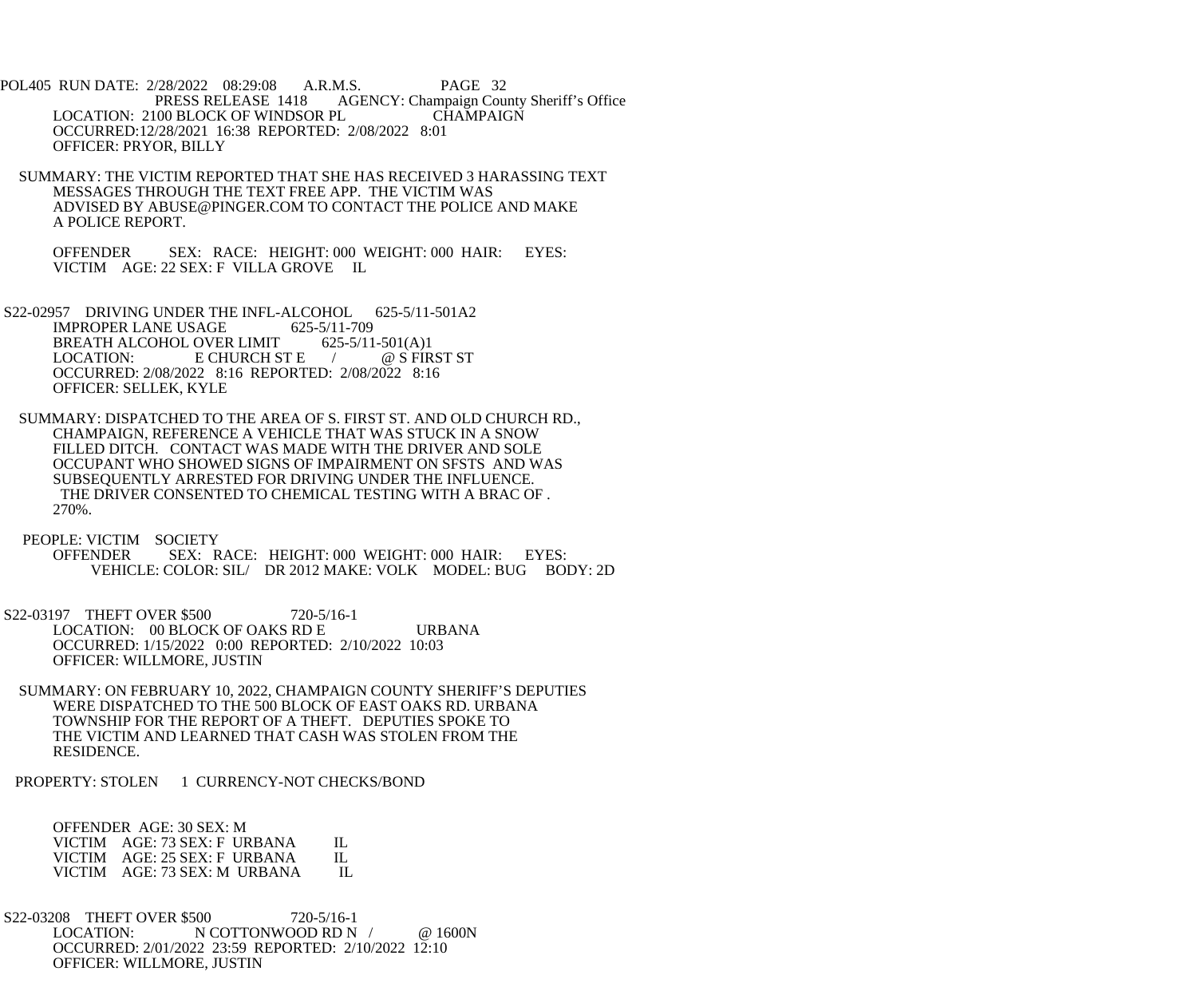POL405 RUN DATE: 2/28/2022 08:29:08 A.R.M.S. PAGE 32 PRESS RELEASE 1418 AGENCY: Champaign County Sheriff's Office LOCATION: 2100 BLOCK OF WINDSOR PL CHAMPAIGN OCCURRED:12/28/2021 16:38 REPORTED: 2/08/2022 8:01 OFFICER: PRYOR, BILLY

 SUMMARY: THE VICTIM REPORTED THAT SHE HAS RECEIVED 3 HARASSING TEXT MESSAGES THROUGH THE TEXT FREE APP. THE VICTIM WAS ADVISED BY ABUSE@PINGER.COM TO CONTACT THE POLICE AND MAKE A POLICE REPORT.

 OFFENDER SEX: RACE: HEIGHT: 000 WEIGHT: 000 HAIR: EYES: VICTIM AGE: 22 SEX: F VILLA GROVE IL

S22-02957 DRIVING UNDER THE INFL-ALCOHOL 625-5/11-501A2<br>IMPROPER LANE USAGE 625-5/11-709 **IMPROPER LANE USAGE** BREATH ALCOHOL OVER LIMIT 625-5/11-501(A)1 LOCATION: E CHURCH ST E / @ S FIRST ST OCCURRED: 2/08/2022 8:16 REPORTED: 2/08/2022 8:16 OFFICER: SELLEK, KYLE

 SUMMARY: DISPATCHED TO THE AREA OF S. FIRST ST. AND OLD CHURCH RD., CHAMPAIGN, REFERENCE A VEHICLE THAT WAS STUCK IN A SNOW FILLED DITCH. CONTACT WAS MADE WITH THE DRIVER AND SOLE OCCUPANT WHO SHOWED SIGNS OF IMPAIRMENT ON SFSTS AND WAS SUBSEQUENTLY ARRESTED FOR DRIVING UNDER THE INFLUENCE. THE DRIVER CONSENTED TO CHEMICAL TESTING WITH A BRAC OF . 270%.

PEOPLE: VICTIM SOCIETY<br>OFFENDER SEX: R SEX: RACE: HEIGHT: 000 WEIGHT: 000 HAIR: EYES: VEHICLE: COLOR: SIL/ DR 2012 MAKE: VOLK MODEL: BUG BODY: 2D

 S22-03197 THEFT OVER \$500 720-5/16-1 LOCATION: 00 BLOCK OF OAKS RD E URBANA OCCURRED: 1/15/2022 0:00 REPORTED: 2/10/2022 10:03 OFFICER: WILLMORE, JUSTIN

 SUMMARY: ON FEBRUARY 10, 2022, CHAMPAIGN COUNTY SHERIFF'S DEPUTIES WERE DISPATCHED TO THE 500 BLOCK OF EAST OAKS RD. URBANA TOWNSHIP FOR THE REPORT OF A THEFT. DEPUTIES SPOKE TO THE VICTIM AND LEARNED THAT CASH WAS STOLEN FROM THE RESIDENCE.

PROPERTY: STOLEN 1 CURRENCY-NOT CHECKS/BOND

 OFFENDER AGE: 30 SEX: M VICTIM AGE: 73 SEX: F URBANA IL<br>VICTIM AGE: 25 SEX: F URBANA IL VICTIM AGE: 25 SEX: F URBANA IL<br>VICTIM AGE: 73 SEX: M URBANA IL VICTIM AGE: 73 SEX: M URBANA

S22-03208 THEFT OVER \$500 720-5/16-1<br>LOCATION: N COTTONWOOD RD N N COTTONWOOD RD N / @ 1600N OCCURRED: 2/01/2022 23:59 REPORTED: 2/10/2022 12:10 OFFICER: WILLMORE, JUSTIN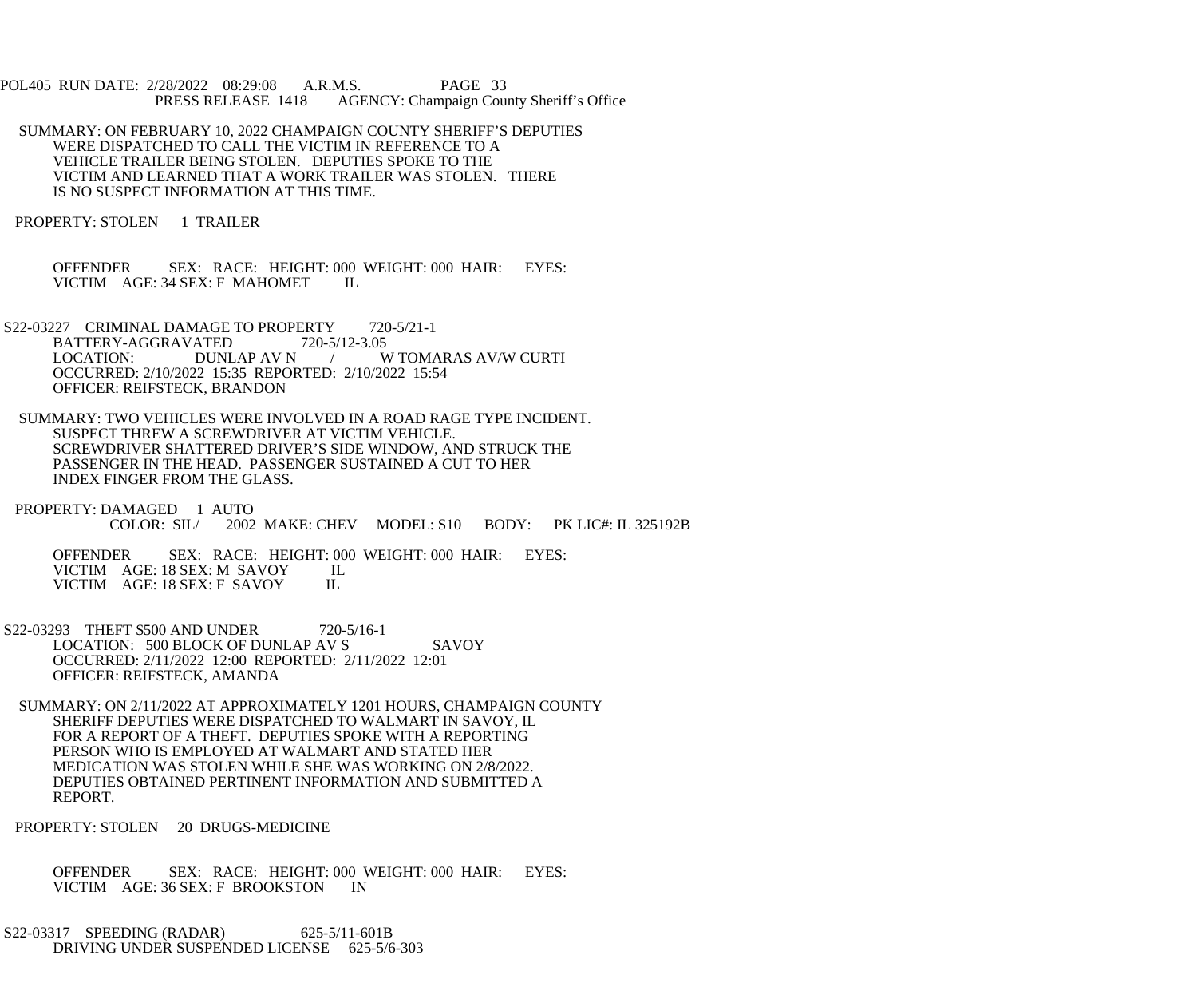POL405 RUN DATE: 2/28/2022 08:29:08 A.R.M.S. PAGE 33 PRESS RELEASE 1418 AGENCY: Champaign County Sheriff's Office

 SUMMARY: ON FEBRUARY 10, 2022 CHAMPAIGN COUNTY SHERIFF'S DEPUTIES WERE DISPATCHED TO CALL THE VICTIM IN REFERENCE TO A VEHICLE TRAILER BEING STOLEN. DEPUTIES SPOKE TO THE VICTIM AND LEARNED THAT A WORK TRAILER WAS STOLEN. THERE IS NO SUSPECT INFORMATION AT THIS TIME.

PROPERTY: STOLEN 1 TRAILER

 OFFENDER SEX: RACE: HEIGHT: 000 WEIGHT: 000 HAIR: EYES: VICTIM AGE: 34 SEX: F MAHOMET IL

- S22-03227 CRIMINAL DAMAGE TO PROPERTY 720-5/21-1 BATTERY-AGGRAVATED 720-5/12-3.05<br>LOCATION: DUNLAP AV N / V / W TOMARAS AV/W CURTI OCCURRED: 2/10/2022 15:35 REPORTED: 2/10/2022 15:54 OFFICER: REIFSTECK, BRANDON
- SUMMARY: TWO VEHICLES WERE INVOLVED IN A ROAD RAGE TYPE INCIDENT. SUSPECT THREW A SCREWDRIVER AT VICTIM VEHICLE. SCREWDRIVER SHATTERED DRIVER'S SIDE WINDOW, AND STRUCK THE PASSENGER IN THE HEAD. PASSENGER SUSTAINED A CUT TO HER INDEX FINGER FROM THE GLASS.
- PROPERTY: DAMAGED 1 AUTO<br>COLOR: SIL/ 2002 2002 MAKE: CHEV MODEL: S10 BODY: PK LIC#: IL 325192B

 OFFENDER SEX: RACE: HEIGHT: 000 WEIGHT: 000 HAIR: EYES: VICTIM AGE: 18 SEX: M SAVOY IL<br>VICTIM AGE: 18 SEX: F SAVOY IL VICTIM AGE: 18 SEX: F SAVOY

- S22-03293 THEFT \$500 AND UNDER 720-5/16-1 LOCATION: 500 BLOCK OF DUNLAP AV S SAVOY OCCURRED: 2/11/2022 12:00 REPORTED: 2/11/2022 12:01 OFFICER: REIFSTECK, AMANDA
- SUMMARY: ON 2/11/2022 AT APPROXIMATELY 1201 HOURS, CHAMPAIGN COUNTY SHERIFF DEPUTIES WERE DISPATCHED TO WALMART IN SAVOY, IL FOR A REPORT OF A THEFT. DEPUTIES SPOKE WITH A REPORTING PERSON WHO IS EMPLOYED AT WALMART AND STATED HER MEDICATION WAS STOLEN WHILE SHE WAS WORKING ON 2/8/2022. DEPUTIES OBTAINED PERTINENT INFORMATION AND SUBMITTED A REPORT.

PROPERTY: STOLEN 20 DRUGS-MEDICINE

 OFFENDER SEX: RACE: HEIGHT: 000 WEIGHT: 000 HAIR: EYES: VICTIM AGE: 36 SEX: F BROOKSTON IN

 S22-03317 SPEEDING (RADAR) 625-5/11-601B DRIVING UNDER SUSPENDED LICENSE 625-5/6-303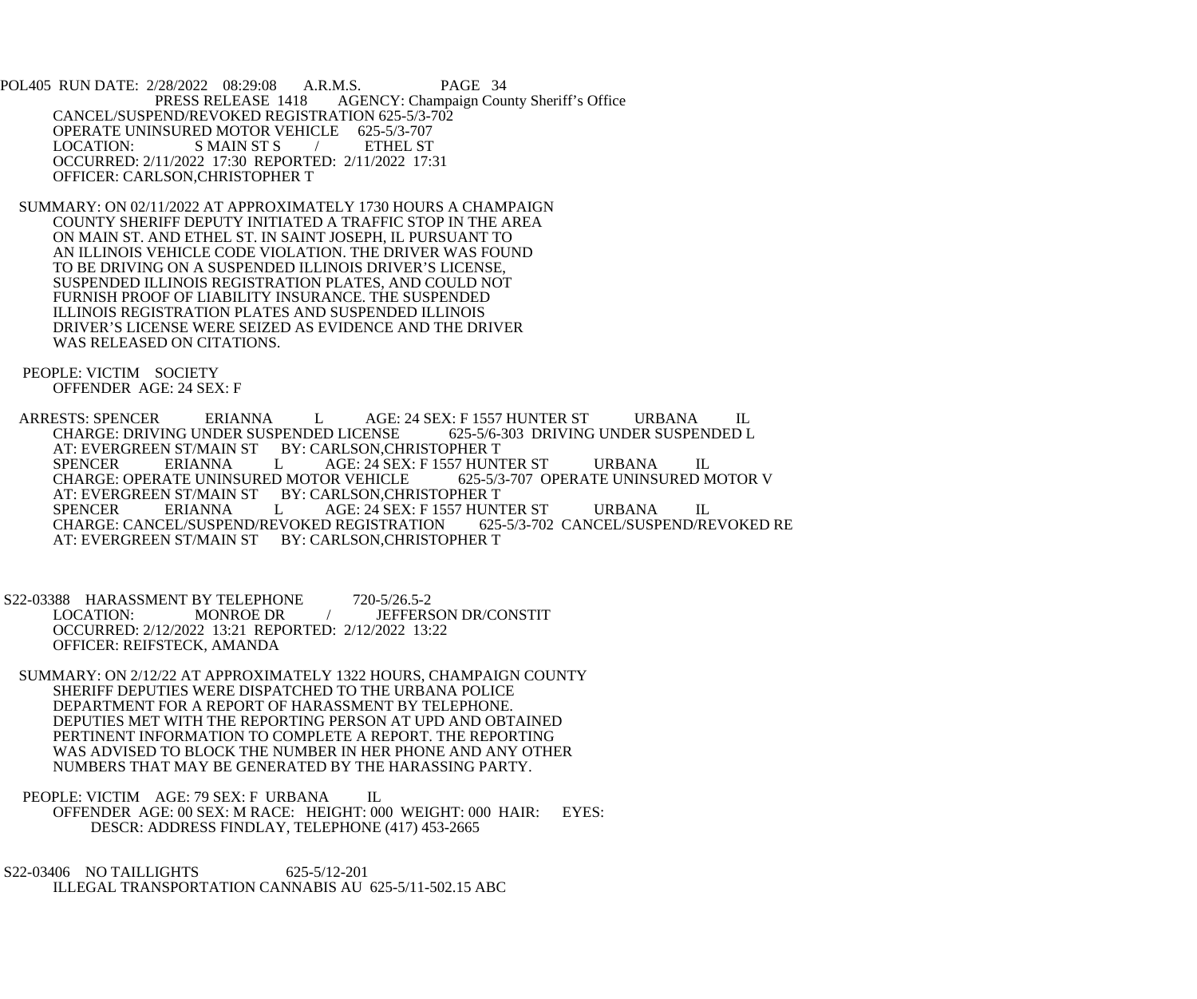POL405 RUN DATE: 2/28/2022 08:29:08 A.R.M.S. PAGE 34<br>PRESS RELEASE 1418 AGENCY: Champaign Cou AGENCY: Champaign County Sheriff's Office CANCEL/SUSPEND/REVOKED REGISTRATION 625-5/3-702 OPERATE UNINSURED MOTOR VEHICLE 625-5/3-707<br>LOCATION: S MAIN ST S / ETHEL ST S MAIN ST S OCCURRED: 2/11/2022 17:30 REPORTED: 2/11/2022 17:31 OFFICER: CARLSON,CHRISTOPHER T

 SUMMARY: ON 02/11/2022 AT APPROXIMATELY 1730 HOURS A CHAMPAIGN COUNTY SHERIFF DEPUTY INITIATED A TRAFFIC STOP IN THE AREA ON MAIN ST. AND ETHEL ST. IN SAINT JOSEPH, IL PURSUANT TO AN ILLINOIS VEHICLE CODE VIOLATION. THE DRIVER WAS FOUND TO BE DRIVING ON A SUSPENDED ILLINOIS DRIVER'S LICENSE, SUSPENDED ILLINOIS REGISTRATION PLATES, AND COULD NOT FURNISH PROOF OF LIABILITY INSURANCE. THE SUSPENDED ILLINOIS REGISTRATION PLATES AND SUSPENDED ILLINOIS DRIVER'S LICENSE WERE SEIZED AS EVIDENCE AND THE DRIVER WAS RELEASED ON CITATIONS.

 PEOPLE: VICTIM SOCIETY OFFENDER AGE: 24 SEX: F

ARRESTS: SPENCER ERIANNA LAGE: 24 SEX: F 1557 HUNTER ST URBANA IL<br>CHARGE: DRIVING UNDER SUSPENDED LICENSE 625-5/6-303 DRIVING UNDER SUSPENDED L CHARGE: DRIVING UNDER SUSPENDED LICENSE AT: EVERGREEN ST/MAIN ST BY: CARLSON, CHRISTOPHER T<br>SPENCER ERIANNA L AGE: 24 SEX: F 1557 HUNT AGE: 24 SEX: F 1557 HUNTER ST URBANA IL<br>OR VEHICLE 625-5/3-707 OPERATE UNINSURED MOTOR V CHARGE: OPERATE UNINSURED MOTOR VEHICLE AT: EVERGREEN ST/MAIN ST BY: CARLSON, CHRISTOPHER T SPENCER ERIANNA L AGE: 24 SEX: F 1557 HUNTER ST URBANA IL<br>CHARGE: CANCEL/SUSPEND/REVOKED REGISTRATION 625-5/3-702 CANCEL/SUSPEND/REVOKED RE CHARGE: CANCEL/SUSPEND/REVOKED REGISTRATION AT: EVERGREEN ST/MAIN ST BY: CARLSON, CHRISTOPHER T

 S22-03388 HARASSMENT BY TELEPHONE 720-5/26.5-2 LOCATION: MONROE DR / JEFFERSON DR/CONSTIT OCCURRED: 2/12/2022 13:21 REPORTED: 2/12/2022 13:22 OFFICER: REIFSTECK, AMANDA

 SUMMARY: ON 2/12/22 AT APPROXIMATELY 1322 HOURS, CHAMPAIGN COUNTY SHERIFF DEPUTIES WERE DISPATCHED TO THE URBANA POLICE DEPARTMENT FOR A REPORT OF HARASSMENT BY TELEPHONE. DEPUTIES MET WITH THE REPORTING PERSON AT UPD AND OBTAINED PERTINENT INFORMATION TO COMPLETE A REPORT. THE REPORTING WAS ADVISED TO BLOCK THE NUMBER IN HER PHONE AND ANY OTHER NUMBERS THAT MAY BE GENERATED BY THE HARASSING PARTY.

PEOPLE: VICTIM AGE: 79 SEX: F URBANA IL OFFENDER AGE: 00 SEX: M RACE: HEIGHT: 000 WEIGHT: 000 HAIR: EYES: DESCR: ADDRESS FINDLAY, TELEPHONE (417) 453-2665

S22-03406 NO TAILLIGHTS 625-5/12-201 ILLEGAL TRANSPORTATION CANNABIS AU 625-5/11-502.15 ABC